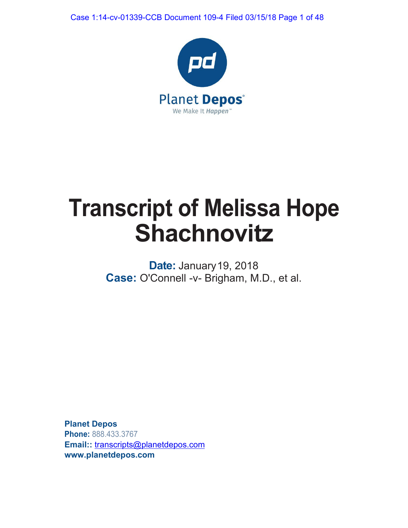Case 1:14-cv-01339-CCB Document 109-4 Filed 03/15/18 Page 1 of 48



# **Transcript of Melissa Hope Shachnovitz**

**Date:** January19, 2018 **Case:** O'Connell -v- Brigham, M.D., et al.

**Planet Depos Phone:** 888.433.3767 **Email::** [transcripts@planetdepos.com](mailto:transcripts@planetdepos.com) **[www.planetdepos.com](http://www.planetdepos.com/)**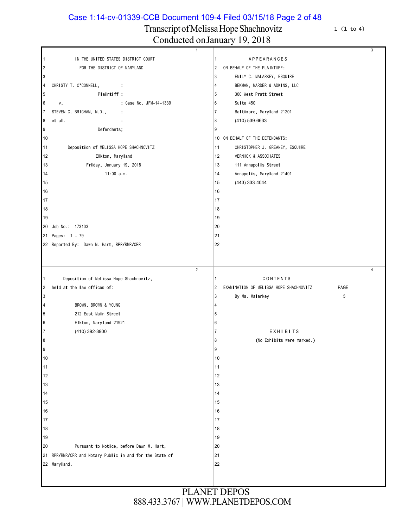Case 1:14-cv-01339-CCB Document 109-4 Filed 03/15/18 Page 2 of 48

# Transcript of Melissa Hope Shachnovitz 1 (1 to 4)

|                | $\overline{1}$                                        |                |                                         | 3              |
|----------------|-------------------------------------------------------|----------------|-----------------------------------------|----------------|
| $\mathbf{1}$   | IN THE UNITED STATES DISTRICT COURT                   | $\mathbf{1}$   | APPEARANCES                             |                |
| $\sqrt{2}$     | FOR THE DISTRICT OF MARYLAND                          | $\overline{2}$ | ON BEHALF OF THE PLAINTIFF:             |                |
| 3              |                                                       | $\overline{3}$ | EMILY C. MALARKEY, ESQUIRE              |                |
| 4              | CHRISTY T. O'CONNELL,<br><b>Contractor</b>            | $\overline{4}$ | BEKMAN, MARDER & ADKINS, LLC            |                |
| 5              | Plaintiff:                                            | 5              | 300 West Pratt Street                   |                |
| 6              | : Case No. JFM-14-1339<br>V.                          | 6              | Suite 450                               |                |
| 7              | STEVEN C. BRIGHAM, M.D.,<br>$\ddot{\phantom{a}}$      | $\overline{7}$ | Baltimore, Maryland 21201               |                |
| 8              | et al.<br>$\ddot{\phantom{a}}$                        | 8              | (410) 539-6633                          |                |
| 9              | Defendants;                                           | 9              |                                         |                |
| 10             |                                                       |                | 10 ON BEHALF OF THE DEFENDANTS:         |                |
| 11             | Deposition of MELISSA HOPE SHACHNOVITZ                | 11             | CHRISTOPHER J. GREANEY, ESQUIRE         |                |
| 12             | Elkton, Maryland                                      | 12             | VERNICK & ASSOCIATES                    |                |
| 13             | Friday, January 19, 2018                              | 13             | 111 Annapolis Street                    |                |
| 14             | 11:00 a.m.                                            | 14             | Annapolis, Maryland 21401               |                |
| 15             |                                                       | 15             | (443) 333-4044                          |                |
| 16             |                                                       | 16             |                                         |                |
| 17             |                                                       | 17             |                                         |                |
| 18             |                                                       | 18             |                                         |                |
| 19             |                                                       | 19             |                                         |                |
| 20             | Job No.: 173103                                       | 20             |                                         |                |
| 21             | Pages: 1 - 79                                         | 21             |                                         |                |
|                | 22 Reported By: Dawn M. Hart, RPR/RMR/CRR             | 22             |                                         |                |
|                |                                                       |                |                                         |                |
|                |                                                       |                |                                         |                |
|                | $\overline{2}$                                        |                |                                         | $\overline{4}$ |
|                |                                                       |                |                                         |                |
| 1              | Deposition of Melissa Hope Shachnovitz,               | $\vert$ 1      | CONTENTS                                |                |
| 2              | held at the law offices of:                           | $\overline{2}$ | EXAMINATION OF MELISSA HOPE SHACHNOVITZ | PAGE           |
| $\mathbf{3}$   |                                                       | $\overline{3}$ | By Ms. Malarkey                         | 5              |
| 4              | BROWN, BROWN & YOUNG                                  | 4              |                                         |                |
| 5              | 212 East Main Street                                  | 5              |                                         |                |
| 6              | Elkton, Maryland 21921                                | 6              |                                         |                |
| $\overline{7}$ | (410) 392-3900                                        | 7              | EXHIBITS                                |                |
| 8              |                                                       | 8              | (No Exhibits were marked.)              |                |
| 9              |                                                       | 9              |                                         |                |
| 10             |                                                       | 10             |                                         |                |
| 11             |                                                       | 11             |                                         |                |
|                |                                                       |                |                                         |                |
| 12             |                                                       | 12             |                                         |                |
| 13             |                                                       | 13             |                                         |                |
| 14             |                                                       | 14             |                                         |                |
| 15             |                                                       | 15             |                                         |                |
| 16             |                                                       | 16             |                                         |                |
| 17             |                                                       | 17             |                                         |                |
| 18             |                                                       | 18             |                                         |                |
| 19             |                                                       | 19             |                                         |                |
| 20             | Pursuant to Notice, before Dawn M. Hart,              | 20             |                                         |                |
| 21             | RPR/RMR/CRR and Notary Public in and for the State of | 21             |                                         |                |
|                | 22 Maryland.                                          | 22             |                                         |                |
|                |                                                       |                |                                         |                |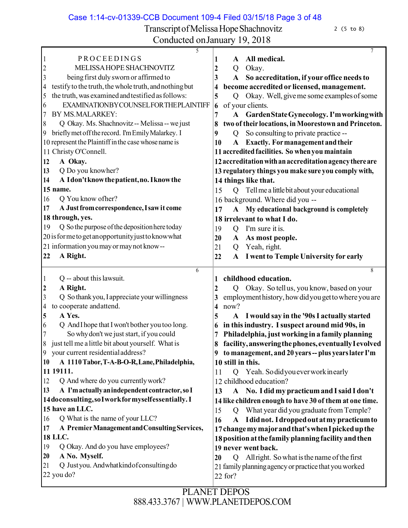Case 1:14-cv-01339-CCB Document 109-4 Filed 03/15/18 Page 3 of 48

Transcript of Melissa Hope Shachnovitz 2 (5 to 8) Conducted on January 19, 2018

| CUNUUCKU UNJANUAI Y-19, ZUTO                                |                                                                          |
|-------------------------------------------------------------|--------------------------------------------------------------------------|
| 5                                                           | $\tau$                                                                   |
| PROCEEDINGS                                                 | All medical.<br>1<br>A                                                   |
| MELISSA HOPE SHACHNOVITZ                                    | $\boldsymbol{2}$<br>Okay.<br>Q                                           |
| being first duly sworn or affirmed to<br>3                  | 3<br>So accreditation, if your office needs to<br>A                      |
| testify to the truth, the whole truth, and nothing but<br>4 | become accredited or licensed, management.<br>4                          |
| the truth, was examined and testified as follows:<br>5      | Okay. Well, give me some examples of some<br>5<br>$\overline{Q}$         |
| EXAMINATIONBYCOUNSELFORTHEPLAINTIFF                         |                                                                          |
| 6                                                           | of your clients.<br>6                                                    |
| BY MS.MALARKEY:<br>7                                        | Garden State Gynecology. I'm working with<br>7<br>$\mathbf A$            |
| Q Okay. Ms. Shachnovitz -- Melissa -- we just<br>8          | two of their locations, in Moorestown and Princeton.                     |
| briefly met off the record. I'm Emily Malarkey. I<br>9      | So consulting to private practice --<br>9<br>Q                           |
| 10 represent the Plaintiff in the case whose name is        | <b>Exactly.</b> For management and their<br>$\mathbf{A}$<br>10           |
| 11 Christy O'Connell.                                       | 11 accredited facilities. So when you maintain                           |
| A Okay.<br>12                                               | 12 accreditation with an accreditation agency there are                  |
| Q Do you knowher?<br>13                                     | 13 regulatory things you make sure you comply with,                      |
|                                                             |                                                                          |
| A Idon't know the patient, no. I know the<br>14             | 14 things like that.                                                     |
| 15 name.                                                    | Q Tell me a little bit about your educational<br>15                      |
| Q You know ofher?<br>16                                     | 16 background. Where did you --                                          |
| A Just from correspondence, I saw it come<br>17             | A My educational background is completely<br>17                          |
| 18 through, yes.                                            | 18 irrelevant to what I do.                                              |
| Q So the purpose of the deposition here today<br>19         | 19<br>I'm sure it is.<br>$\overline{Q}$                                  |
| 20 is for me to get an opportunity just to know what        |                                                                          |
|                                                             | As most people.<br>20<br>$\mathbf A$                                     |
| 21 information you may or may not know--                    | Yeah, right.<br>21<br>Q                                                  |
| A Right.<br>22                                              | 22<br>I went to Temple University for early<br>$\mathbf{A}$              |
|                                                             |                                                                          |
|                                                             |                                                                          |
| 6                                                           | 8                                                                        |
| Q -- about this lawsuit.                                    | childhood education.<br>1                                                |
| A Right.<br>2                                               | Okay. So tell us, you know, based on your<br>2<br>Q                      |
| Q So thank you, I appreciate your willingness<br>3          | employment history, how did you get to where you are<br>3                |
| to cooperate and attend.<br>4                               | now?<br>4                                                                |
| 5<br>A Yes.                                                 | I would say in the '90s I actually started<br>5<br>$\mathbf{A}$          |
| Q And I hope that I won't bother you too long.<br>6         | in this industry. I suspect around mid 90s, in<br>6                      |
| So why don't we just start, if you could<br>7               | Philadelphia, just working in a family planning                          |
| just tell me a little bit about yourself. What is           | facility, answering the phones, eventually I evolved                     |
| your current residential address?<br>9                      | 9                                                                        |
|                                                             | to management, and 20 years -- plus years later I'm<br>10 still in this. |
| A 1110 Tabor, T-A-B-O-R, Lane, Philadelphia,<br>10          |                                                                          |
| 11 19111.                                                   | Q Yeah. Sodidyou ever work inearly<br>11                                 |
| Q And where do you currently work?<br>12                    | 12 childhood education?                                                  |
| A I'm actually an independent contractor, so I<br>13        | A No. I did my practicum and I said I don't<br>13                        |
| 14doconsulting, so Iworkformyselfessentially. I             | 14 like children enough to have 30 of them at one time.                  |
| 15 have an LLC.                                             | What year did you graduate from Temple?<br>15<br>$\overline{Q}$          |
| Q What is the name of your LLC?<br>16                       | A Idid not. I dropped out at my practicum to<br>16                       |
| A Premier Management and Consulting Services,<br>17         |                                                                          |
| <b>18 LLC.</b>                                              | 17 change my major and that's when I picked up the                       |
| 19                                                          | 18 position at the family planning facility and then                     |
| Q Okay. And do you have employees?                          | 19 never went back.                                                      |
| A No. Myself.<br>20                                         | All right. So what is the name of the first<br>20<br>Q                   |
| Q Justyou. Andwhatkindof consulting do<br>21<br>22 you do?  | 21 family planning agency or practice that you worked<br>22 for?         |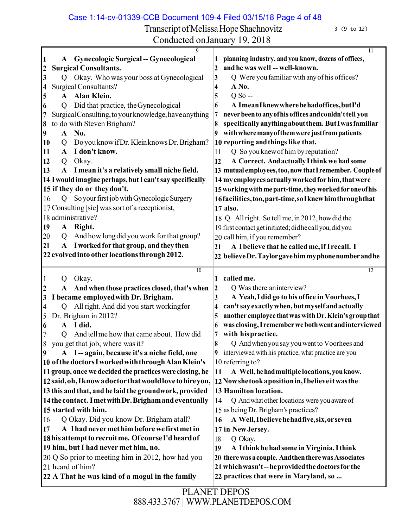Case 1:14-cv-01339-CCB Document 109-4 Filed 03/15/18 Page 4 of 48

Transcript of Melissa Hope Shachnovitz 3 (9 to 12)

|                  | A            | 9<br><b>Gynecologic Surgical -- Gynecological</b>                               | 11<br>planning industry, and you know, dozens of offices,                                                  |
|------------------|--------------|---------------------------------------------------------------------------------|------------------------------------------------------------------------------------------------------------|
| $\mathbf{c}$     |              | <b>Surgical Consultants.</b>                                                    | and he was well -- well-known.<br>2                                                                        |
| 3                | Q            | Okay. Who was your boss at Gynecological                                        | Q Were you familiar with any of his offices?<br>3                                                          |
| 4                |              | <b>Surgical Consultants?</b>                                                    | A No.<br>4                                                                                                 |
| 5                | $\mathbf{A}$ | Alan Klein.                                                                     | $Q$ So --<br>5                                                                                             |
| 6                | Q            | Did that practice, the Gynecological                                            | A Imean I knew where he had offices, but I'd<br>6                                                          |
| 7                |              | Surgical Consulting, to your knowledge, have anything                           | never been to any of his offices and couldn't tell you<br>7                                                |
| 8                |              | to do with Steven Brigham?                                                      | specifically anything about them. But I was familiar<br>8                                                  |
| 9                | A            | No.                                                                             | with where many of them were just from patients<br>9                                                       |
| 10               | Q            | Do you know if Dr. Klein knows Dr. Brigham?                                     | 10 reporting and things like that.                                                                         |
| 11               | A            | I don't know.                                                                   | Q So you knew of him by reputation?<br>11                                                                  |
| 12               | Q            | Okay.                                                                           | A Correct. And actually I think we had some<br>12                                                          |
| 13               | ${\bf A}$    | I mean it's a relatively small niche field.                                     | 13 mutual employees, too, now that I remember. Couple of                                                   |
|                  |              | 14 I would imagine perhaps, but I can't say specifically                        | 14 my employees actually worked for him, that were                                                         |
|                  |              | 15 if they do or they don't.                                                    | 15 working with me part-time, they worked for one of his                                                   |
| 16               | Q            | So your first job with Gynecologic Surgery                                      | 16 facilities, too, part-time, so I knew him through that                                                  |
|                  |              | 17 Consulting [sic] was sort of a receptionist,                                 | 17 also.                                                                                                   |
|                  |              | 18 administrative?                                                              | 18 Q All right. So tell me, in 2012, how did the                                                           |
| 19               | ${\bf A}$    | Right.                                                                          | 19 first contact get initiated; did he call you, did you                                                   |
| 20               | Q            | And how long did you work for that group?                                       | 20 call him, if you remember?                                                                              |
| 21               | ${\bf A}$    | I worked for that group, and they then                                          | A Ibelieve that he called me, if I recall. I<br>21                                                         |
|                  |              | 22 evolved into other locations through 2012.                                   | 22 believe Dr. Taylor gave him my phone number and he                                                      |
|                  |              | 10                                                                              | 12                                                                                                         |
|                  |              |                                                                                 |                                                                                                            |
|                  |              |                                                                                 | 1                                                                                                          |
|                  | Q            | Okay.                                                                           | called me.                                                                                                 |
|                  |              | A And when those practices closed, that's when                                  | Q Was there an interview?<br> 2                                                                            |
| 3<br>4           | O            | I became employed with Dr. Brigham.<br>All right. And did you start working for | A Yeah, I did go to his office in Voorhees, I<br>3<br>can't say exactly when, but myself and actually<br>4 |
| 5                |              |                                                                                 | another employee that was with Dr. Klein's group that<br>5                                                 |
| 6                | $\mathbf{A}$ | Dr. Brigham in 2012?<br>I did.                                                  | was closing, I remember we both went and interviewed<br>6                                                  |
|                  |              | And tell me how that came about. How did                                        | with his practice.<br>7                                                                                    |
| Q                |              | you get that job, where was it?                                                 | 8<br>Q And when you say you went to Voorhees and                                                           |
| $\boldsymbol{9}$ |              | A I-again, because it's a niche field, one                                      | 9 interviewed with his practice, what practice are you                                                     |
|                  |              | 10 of the doctors I worked with through Alan Klein's                            | 10 referring to?                                                                                           |
|                  |              | 11 group, once we decided the practices were closing, he                        | A Well, he had multiple locations, you know.<br>11                                                         |
|                  |              | 12 said, oh, I know a doctor that would love to hireyou,                        | 12 Now she took a position in, I believe it was the                                                        |
|                  |              | 13 this and that, and he laid the groundwork, provided                          | 13 Hamilton location.                                                                                      |
|                  |              | 14 the contact. I met with Dr. Brigham and eventually                           | Q And what other locations were you aware of<br>14                                                         |
|                  |              | 15 started with him.                                                            | 15 as being Dr. Brigham's practices?                                                                       |
| 16               |              | Q Okay. Did you know Dr. Brigham at all?                                        | A Well, I believe he had five, six, or seven<br>16                                                         |
| 17               |              | A I had never met him before we first met in                                    | 17 in New Jersey.                                                                                          |
|                  |              | 18 his attempt to recruit me. Of course I'd heard of                            | Q Okay.<br>18                                                                                              |
|                  |              | 19 him, but I had never met him, no.                                            | 19<br>A I think he had some in Virginia, I think                                                           |
|                  |              | 20 Q So prior to meeting him in 2012, how had you                               | 20 there was a couple. And then there was Associates                                                       |
|                  |              | 21 heard of him?                                                                | 21 which wasn't--he provided the doctors for the                                                           |
|                  |              | 22 A That he was kind of a mogul in the family                                  | 22 practices that were in Maryland, so                                                                     |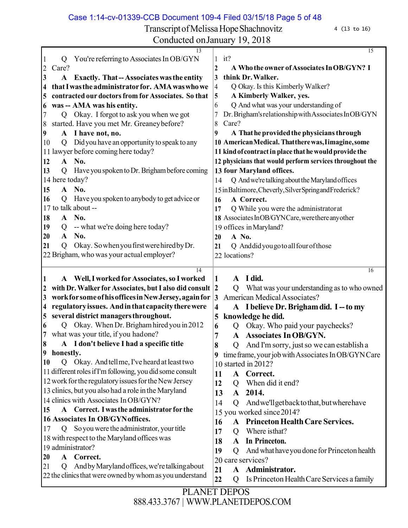Case 1:14-cv-01339-CCB Document 109-4 Filed 03/15/18 Page 5 of 48

Transcript of Melissa Hope Shachnovitz 4 (13 to 16)

| Conducted on January 19, 2018                                                                                   |                                                                                 |
|-----------------------------------------------------------------------------------------------------------------|---------------------------------------------------------------------------------|
| 13                                                                                                              | 15                                                                              |
| You're referring to Associates In OB/GYN<br>Q                                                                   | $1$ it?                                                                         |
| $\overline{2}$<br>Care?                                                                                         | A Who the owner of Associates In OB/GYN? I<br>2<br>think Dr. Walker.            |
| <b>Exactly. That -- Associates was the entity</b><br>3<br>A<br>that I was the administrator for. AMA was who we | 3                                                                               |
| 4                                                                                                               | Q Okay. Is this Kimberly Walker?<br>4<br>A Kimberly Walker, yes.                |
| contracted our doctors from for Associates. So that<br>$\overline{\mathbf{5}}$                                  | 5<br>Q And what was your understanding of                                       |
| was -- AMA was his entity.<br>6                                                                                 | 6                                                                               |
| Q Okay. I forgot to ask you when we got<br>7                                                                    | Dr. Brigham's relationship with Associates InOB/GYN<br>7                        |
| started. Have you met Mr. Greaney before?<br>8                                                                  | Care?<br>8<br>A That he provided the physicians through                         |
| A I have not, no.<br>$\boldsymbol{9}$                                                                           | 9<br>10 American Medical. That there was, I imagine, some                       |
| Did you have an opportunity to speak to any<br>10<br>Q                                                          | 11 kind of contract in place that he would provide the                          |
| 11 lawyer before coming here today?                                                                             |                                                                                 |
| A No.<br>12                                                                                                     | 12 physicians that would perform services throughout the                        |
| 13<br>Have you spoken to Dr. Brigham before coming<br>Q                                                         | 13 four Maryland offices.                                                       |
| 14 here today?                                                                                                  | Q And we're talking about the Maryland offices<br>14                            |
| A No.<br>15                                                                                                     | 15 in Baltimore, Cheverly, Silver Spring and Frederick?                         |
| Have you spoken to anybody to get advice or<br>16<br>Q                                                          | A Correct.<br>16                                                                |
| 17 to talk about --                                                                                             | Q While you were the administratorat<br>17                                      |
| A No.<br>18                                                                                                     | 18 Associates InOB/GYNCare, were there any other                                |
| -- what we're doing here today?<br>19<br>Q                                                                      | 19 offices in Maryland?                                                         |
| No.<br>20<br>$\mathbf{A}$                                                                                       | A No.<br>20                                                                     |
| Okay. So when you first were hired by Dr.<br>21<br>Q                                                            | Q Anddidyou go to all four of those<br>21                                       |
| 22 Brigham, who was your actual employer?                                                                       | 22 locations?                                                                   |
| 14                                                                                                              | 16                                                                              |
| A Well, I worked for Associates, so I worked                                                                    | A I did.<br>1                                                                   |
| with Dr. Walker for Associates, but I also did consult 2<br>$\boldsymbol{2}$                                    | What was your understanding as to who owned<br>$\overline{Q}$                   |
| work for some of his offices in New Jersey, again for<br>$\boldsymbol{\beta}$                                   | American Medical Associates?<br> 3                                              |
| regulatory issues. And in that capacity there were<br>$\overline{\mathbf{4}}$                                   | A I believe Dr. Brigham did. I -- to my<br>4                                    |
| several district managers throughout.<br> 5                                                                     | knowledge he did.<br>5                                                          |
| Okay. When Dr. Brigham hired you in 2012<br>6<br>Q                                                              | Okay. Who paid your paychecks?<br>6<br>Q                                        |
| what was your title, if you hadone?                                                                             | 7<br>A Associates In OB/GYN.                                                    |
| A I don't believe I had a specific title<br>8                                                                   | And I'm sorry, just so we can establish a<br>8<br>$\mathcal{O}$                 |
| honestly.<br>$\boldsymbol{9}$                                                                                   | time frame, your job with Associates In OB/GYN Care<br>9                        |
| Okay. And tell me, I've heard at least two<br>Q<br><b>10</b>                                                    | 10 started in 2012?                                                             |
| 11 different roles if I'm following, you did some consult                                                       | A Correct.<br>11                                                                |
| 12 work for the regulatory issues for the New Jersey                                                            | When did it end?<br>12<br>Q                                                     |
| 13 clinics, but you also had a role in the Maryland                                                             | 13<br>2014.<br>$\mathbf{A}$                                                     |
| 14 clinics with Associates In OB/GYN?                                                                           | 14<br>Andwe'll get back to that, but where have<br>Q                            |
| A Correct. I was the administrator for the<br><b>15</b>                                                         | 15 you worked since 2014?                                                       |
|                                                                                                                 |                                                                                 |
| 16 Associates In OB/GYNoffices.                                                                                 |                                                                                 |
| Q So you were the administrator, your title<br>17                                                               | <b>Princeton Health Care Services.</b><br>16<br>${\bf A}$                       |
| 18 with respect to the Maryland offices was                                                                     | Where isthat?<br>17<br>Q                                                        |
| 19 administrator?                                                                                               | In Princeton.<br>18<br>$\mathbf{A}$                                             |
| Correct.<br>20<br>A                                                                                             | 19<br>And what have you done for Princeton health<br>Q                          |
| And by Maryland offices, we're talking about<br>21<br>Q                                                         | 20 care services?                                                               |
| 22 the clinics that were owned by whom as you understand                                                        | A Administrator.<br>21<br>Is Princeton Health Care Services a family<br>22<br>Q |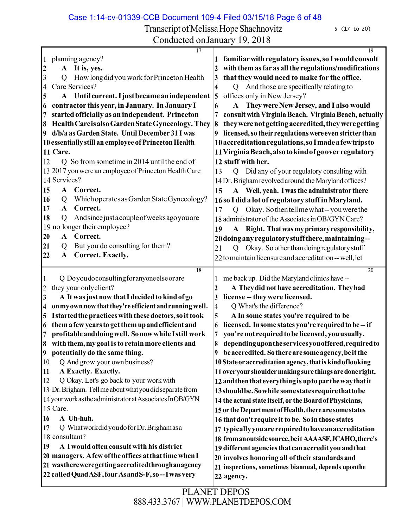Case 1:14-cv-01339-CCB Document 109-4 Filed 03/15/18 Page 6 of 48

Transcript of Melissa Hope Shachnovitz 5 (17 to 20)

| 17                                                                                                            | 19<br>familiar with regulatory issues, so I would consult                 |
|---------------------------------------------------------------------------------------------------------------|---------------------------------------------------------------------------|
| planning agency?<br>A It is, yes.                                                                             | with them as far as all the regulations/modifications<br>2                |
| 2<br>How long did you work for Princeton Health<br>3<br>Q                                                     | that they would need to make for the office.<br>3                         |
| Care Services?<br>4                                                                                           | And those are specifically relating to<br>4<br>$\overline{Q}$             |
| Until current. I just became an independent<br>5<br>${\bf A}$                                                 | offices only in New Jersey?<br>5                                          |
| contractor this year, in January. In January I                                                                | They were New Jersey, and I also would<br>6<br>A                          |
| 6<br>started officially as an independent. Princeton<br>7                                                     | consult with Virginia Beach. Virginia Beach, actually<br>7                |
| Health Careis also Garden State Gynecology. They<br>8                                                         | they were not getting accredited, they were getting<br>8                  |
| d/b/a as Garden State. Until December 31 I was<br>9                                                           | licensed, so their regulations were even stricter than                    |
| 10 essentially still an employee of Princeton Health                                                          | 10 accreditation regulations, so I made a few trips to                    |
| 11 Care.                                                                                                      | 11 Virginia Beach, also to kind of go over regulatory                     |
| Q So from sometime in 2014 until the end of<br>12                                                             | 12 stuff with her.                                                        |
| 13 2017 you were an employee of Princeton Health Care                                                         | Q Did any of your regulatory consulting with<br>13                        |
| 14 Services?                                                                                                  | 14 Dr. Brigham revolved around the Maryland offices?                      |
| 15<br>$\mathbf{A}$<br>Correct.                                                                                | A Well, yeah. I was the administrator there                               |
| Which operates as Garden State Gynecology?<br>16<br>Q                                                         | 15<br>16 so I did a lot of regulatory stuff in Maryland.                  |
| Correct.<br>17<br>$\mathbf{A}$                                                                                | Okay. So then tell me what -- you were the                                |
| Andsincejustacouple of weeks ago you are<br>18<br>Q                                                           | 17<br>$\mathcal{O}$<br>18 administrator of the Associates in OB/GYN Care? |
| 19 no longer their employee?                                                                                  |                                                                           |
| Correct.<br>20<br>$\mathbf{A}$                                                                                | Right. That was my primary responsibility,<br>19<br>$\mathbf{A}$          |
| But you do consulting for them?<br>21<br>Q                                                                    | 20 doing any regulatory stuff there, maintaining--                        |
| 22<br><b>Correct. Exactly.</b><br>$\mathbf{A}$                                                                | Okay. So other than doing regulatory stuff<br>21<br>Q                     |
|                                                                                                               | 22 to maintain licensure and accreditation -- well, let                   |
| $\overline{18}$                                                                                               | 20                                                                        |
| Q Doyoudoconsulting for anyone else or are                                                                    | me back up. Did the Maryland clinics have --                              |
| they your only client?<br>2                                                                                   | A They did not have accreditation. They had<br>$\mathbf 2$                |
| A It was just now that I decided to kind of go<br>3<br>on my own now that they're efficient and running well. | license -- they were licensed.<br>3                                       |
| 4<br>I started the practices with these doctors, so it took                                                   | Q What's the difference?<br>4<br>A In some states you're required to be   |
| 5<br>them a few years to get them up and efficient and<br>6                                                   | 5<br>licensed. In some states you're required to be--if<br>6              |
| profitable and doing well. So now while I still work<br>7                                                     | you're not required to be licensed, you usually,<br>7                     |
| with them, my goal is to retain more clients and<br>8.                                                        | 8<br>depending upon the services you offered, required to                 |
| 9 potentially do the same thing.                                                                              | 9 beaccredited. So there are some agency, be it the                       |
| Q And grow your own business?<br>10                                                                           | 10 State or accreditation agency, that is kind of looking                 |
| A Exactly. Exactly.<br>11                                                                                     | 11 over your shoulder making sure things are done right,                  |
| Q Okay. Let's go back to your work with<br>12                                                                 | 12 and then that everything is up to par the way that it                  |
| 13 Dr. Brigham. Tell me about what you did separate from                                                      | 13 should be. Sowhile some states require that to be                      |
| 14 your work as the administrator at Associates InOB/GYN                                                      | 14 the actual state itself, or the Board of Physicians,                   |
| 15 Care.                                                                                                      | 15 or the Department of Health, there are some states                     |
| A Uh-huh.<br>16                                                                                               | 16 that don't require it to be. So in those states                        |
| Q Whatwork did you do for Dr. Brighamasa<br>17                                                                | 17 typically you are required to have an accreditation                    |
| 18 consultant?                                                                                                | 18 from anoutside source, be it AAAASF, JCAHO, there's                    |
| A I would often consult with his district<br>19                                                               | 19 different agencies that can accredit you and that                      |
| 20 managers. A few of the offices at that time when I                                                         | 20 involves honoring all of their standards and                           |
| 21 was there were getting accredited through an agency                                                        | 21 inspections, sometimes biannual, depends uponthe                       |
|                                                                                                               |                                                                           |
| 22 called Quad ASF, four As and S-F, so-I was very                                                            | 22 agency.                                                                |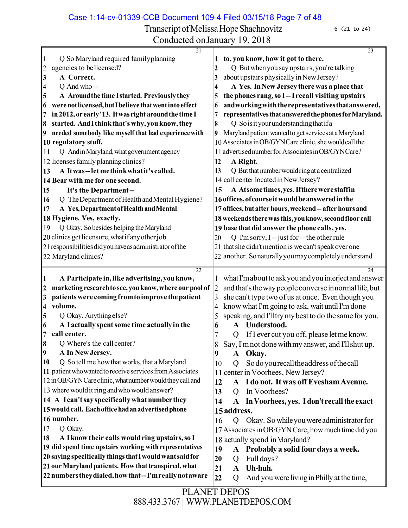Case 1:14-cv-01339-CCB Document 109-4 Filed 03/15/18 Page 7 of 48

 $\overline{24}$ 

Transcript of Melissa Hope Shachnovitz 6 (21 to 24) Conducted onJanuary 19, 2018 Q So Maryland required familyplanning agencies to belicensed? **A Correct.** Q And who -- **A Aroundthe time Istarted. Previouslythey werenotlicensed,butIbelieve thatwentintoeffect in2012,or early'13. Itwas right aroundthe time I started. AndIthinkthat'swhy,youknow,they needed somebody like myself that had experiencewith 10 regulatory stuff.** Q AndinMaryland,whatgovernment agency 12 licenses family planning clinics? **A Itwas--letmethinkwhatit's called. Bear with me for one second. It's the Department--** 16 Q The Department of Health and Mental Hygiene? **A Yes,DepartmentofHealthandMental 18 Hygiene. Yes, exactly.** 19 Q Okay. So besides helping the Maryland 20 clinics get licensure, what if any other job 21 responsibilities did you have as administrator of the 22 Maryland clinics? **to, you know, how it got to there.** Q But whenyou say upstairs, you're talking about upstairs physically inNewJersey? **A Yes. InNew Jersey there was a place that the phones rang,so I--I recall visiting upstairs andworkingwiththerepresentativesthatanswered, representativesthatansweredthephonesforMaryland.** Q Soisityourunderstandingthatifa Maryland patient wanted to get services at a Maryland AssociatesinOB/GYNCare clinic,shewouldcallthe advertisednumberforAssociatesinOB/GYNCare? **A Right.** 13 Q But that number would ring at a centralized 14 call center located in New Jersey? **A Atsometimes,yes.Iftherewerestaffin 16offices,ofcourseitwouldbeansweredinthe offices,but after hours,weekend-- after hours and 18weekendstherewasthis,youknow,secondfloor call base that did answer the phone calls, yes.** Q I'msorry,I-- just for -- the other rule 21 that she didn't mention is we can't speak over one another. Sonaturallyyoumaycompletelyunderstand **A Participate in, like advertising,youknow, marketing researchto see, youknow,where our pool of patientswere coming fromto improve thepatient volume.** Q Okay. Anything else? **A I actuallyspentsome time actuallyin the call center.** Q Where's the call center? **A In New Jersey.** 10 Q So tell me how that works, that a Maryland 11 patient who wanted to receive services from Associates inOB/GYNCareclinic,whatnumberwouldtheycall and where wouldit ring andwhowouldanswer? **A I can'tsayspecificallywhat number they wouldcall. Eachofficehadanadvertisedphone number.** Q Okay. **A Iknow their calls would ring upstairs,so I did spend time upstairs working with representatives saying specifically thingsthatIwouldwantsaidfor ourMarylandpatients. How thattranspired,what 22numberstheydialed,howthat--I'mreallynotaware** whatI'mabouttoaskyouandyouinterjectandanswer 2 and that's the way people converse in normal life, but she can't type two of us at once. Even though you 4 know what I'm going to ask, wait until I'm done speaking, and I'lltrymybestto do thesame for you. **A Understood.** Q If I ever cut you off, please letme know. Say,I'mnot donewithmy answer, and I'llshut up. **A Okay.** Q Sodoyourecalltheaddressofthecall center inVoorhees, New Jersey? **A I do not. Itwas offEveshamAvenue.** 13 O In Voorhees? **A InVoorhees, yes. I don't recallthe exact address.** Q Okay. Sowhileyouwereadministratorfor 17 Associates in OB/GYN Care, how much time did you 18 actually spend inMaryland? **A Probablya solidfourdays a week.** Q Full days? **A Uh-huh.** Q And you were livinginPhilly at the time,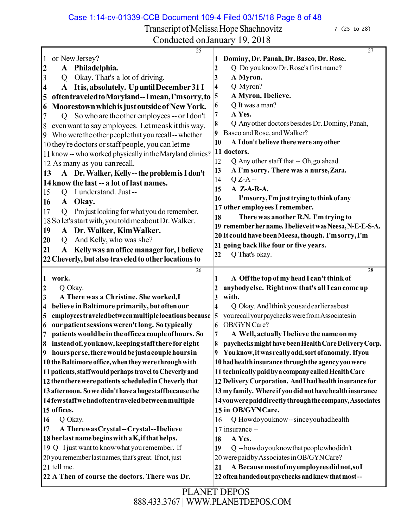Case 1:14-cv-01339-CCB Document 109-4 Filed 03/15/18 Page 8 of 48 PLANET DEPOS Transcript of Melissa Hope Shachnovitz 7 (25 to 28) Conducted onJanuary 19, 2018  $\overline{25}$  or NewJersey? **A Philadelphia.** Q Okay. That's a lot of driving. **A Itis, absolutely. UpuntilDecember31 I oftentraveledtoMaryland--Imean,I'msorry,to MoorestownwhichisjustoutsideofNewYork.** Q So who are theother employees-- orI don't evenwantto say employees. Letmeask itthisway. Who were theother people that you recall--whether they're doctors orstaff people, you can letme 11 know -- who worked physically in the Maryland clinics? 12 As many as you canrecall. **A Dr.Walker, Kelly--the problemisI don't 14know the last -- a lot of last names.** Q I understand. Just-- **A Okay.** Q I'mjust looking for what you do remember. 18So let'sstartwith,youtoldmeaboutDr.Walker. **A Dr. Walker, KimWalker.** Q And Kelly, who was she? **A Kellywas anoffice managerfor,I believe 22Cheverly, but also traveledto other locationsto Dominy,Dr.Panah,Dr.Basco, Dr. Rose.** Q Do you know Dr. Rose's first name? **A Myron.** Q Myron? **A Myron, Ibelieve.** Q It was a man? **A Yes.** Q Anyother doctors besidesDr.Dominy,Panah, Basco and Rose, and Walker? **A Idon't believe therewere anyother doctors.** Q Any other staff that -- Oh,go ahead. **A I'm sorry. There was a nurse,Zara.** Q Z-A -- **A Z-A-R-A. I'msorry,I'mjusttrying to thinkofany other employeesI remember. There was another R.N. I'm trying to rememberhername.IbelieveitwasNeesa,N-E-E-S-A. It couldhavebeenMeesa,though. I'msorry,I'm going back like four or five years.** Q That's okay. **work.** Q Okay. **A There was a Christine. She worked,I believe inBaltimore primarily, but oftenour employeestraveledbetweenmultiplelocationsbecause our patientsessions weren'tlong. So typically patientswouldbeinthe officeacoupleofhours. So insteadof,youknow,keeping staffthere for eight hoursperse,therewouldbejustacouplehoursin theBaltimore office,whentheywere throughwith patients,staffwouldperhapstraveltoCheverlyand thentherewerepatientsscheduledinCheverlythat afternoon. Sowedidn'thaveahugestaffbecause the 14fewstaffwehadoftentraveledbetweenmultiple offices.** Q Okay. **A TherewasCrystal--Crystal--Ibelieve her lastnamebeginswithaK,ifthathelps.** Q Ijust want to knowwhat you remember. If yourememberlast names,that'sgreat. Ifnot,just 21 tell me. **22 A Then of course the doctors. There was Dr. A Offthe top ofmy headI can't think of anybodyelse. Right now that's allIcancome up with.** Q Okay.AndIthinkyousaidearlierasbest yourecallyourpaycheckswerefromAssociatesin OB/GYN Care? **A Well, actually Ibelieve the name onmy paychecksmighthavebeenHealthCareDeliveryCorp. Youknow,itwasreallyodd,sort ofanomaly. Ifyou hadhealthinsurance throughthe agencyyouwere technicallypaidbyacompanycalledHealthCare DeliveryCorporation. AndIhadhealthinsurance for myfamily. Where if youdidnot havehealthinsurance 14youwerepaiddirectlythroughthecompany,Associates 15 in OB/GYNCare.** Q Howdoyouknow--sinceyouhadhealth 17 insurance -- **A Yes.** Q --howdoyouknowthatpeoplewhodidn't 20 were paid by Associates in OB/GYN Care? **A Becausemostofmyemployeesdidnot,soI oftenhandedoutpaychecksandknewthatmost--**

888.433.3767 | [WWW.PLANETDEPOS.COM](http://www.planetdepos.com/)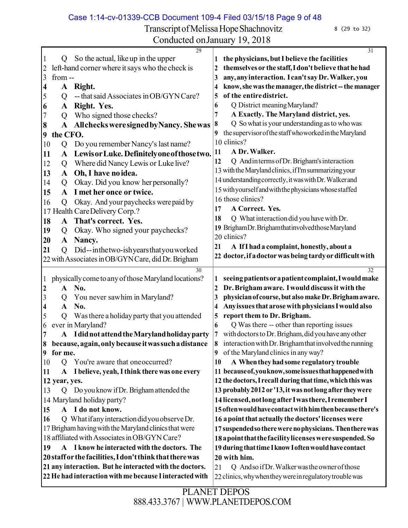Case 1:14-cv-01339-CCB Document 109-4 Filed 03/15/18 Page 9 of 48

Transcript of Melissa Hope Shachnovitz 8 (29 to 32) Conducted onJanuary 19, 2018

| $\sim$ onducted ontailearly 19, 2010                            |                                                             |
|-----------------------------------------------------------------|-------------------------------------------------------------|
| 29<br>So the actual, like up in the upper<br>$\mathbf{I}$<br>Q  | 31<br>the physicians, but I believe the facilities          |
| left-hand corner where it says who the check is<br>2            | themselves or the staff, I don't believe that he had        |
| 3<br>from--                                                     | any, any interaction. I can't say Dr. Walker, you<br>3      |
| A Right.<br>4                                                   | know, she was the manager, the district--the manager        |
| -- that said Associates in OB/GYN Care?<br>5<br>Q               | of the entire district.<br>5                                |
| Right. Yes.<br>6<br>A                                           | Q District meaning Maryland?<br>6                           |
| 7<br>Who signed those checks?<br>Q                              | A Exactly. The Maryland district, yes.<br>7                 |
| A All checks were signed by Nancy. She was<br>8                 | Q So what is your understanding as to who was<br>8          |
| the CFO.<br>9                                                   | the supervisor of the staff who worked in the Maryland<br>9 |
| Do you remember Nancy's last name?<br>10<br>Q                   | 10 clinics?                                                 |
| Lewis or Luke. Definitely one of those two.<br>11<br>A          | A Dr. Walker.<br>11                                         |
| Where did Nancy Lewis or Luke live?<br>12<br>Q                  | 12<br>Q And in terms of Dr. Brigham's interaction           |
| Oh, I have no idea.<br>13<br>$\mathbf{A}$                       | 13 with the Maryland clinics, if I'm summarizing your       |
| Okay. Did you know her personally?<br>14<br>Q                   | 14 understanding correctly, it was with Dr. Walker and      |
| I met her once or twice.<br>15<br>$\mathbf{A}$                  | 15 with yourself and with the physicians whose staffed      |
| Okay. And your paychecks were paid by<br>16<br>Q                | 16 those clinics?                                           |
| 17 Health Care Delivery Corp.?                                  | 17<br>A Correct. Yes.                                       |
| A That's correct. Yes.<br>18                                    | Q What interaction did you have with Dr.<br>18              |
| Okay. Who signed your paychecks?<br>19<br>Q                     | 19 BrighamDr. Brighamthat involved those Maryland           |
| 20<br>$\mathbf{A}$<br>Nancy.                                    | 20 clinics?                                                 |
| 21<br>Did--inthetwo-ishyearsthatyouworked<br>$\overline{O}$     | A If I had a complaint, honestly, about a<br>21             |
| 22 with Associates in OB/GYN Care, did Dr. Brigham              | 22 doctor, if a doctor was being tardy or difficult with    |
| 30                                                              | 32                                                          |
| physically come to any of those Maryland locations?             | seeing patients or a patient complaint, I would make<br>1   |
| No.<br>$\boldsymbol{2}$<br>$\mathbf{A}$                         | Dr. Brigham aware. I would discuss it with the<br>2         |
| $\mathfrak{Z}$<br>You never sawhim in Maryland?<br>Q            | physician of course, but also make Dr. Brigham aware.<br>3  |
| No.<br>A<br>4                                                   | Any issues that arose with physicians I would also<br>4     |
| Was there a holiday party that you attended<br>5<br>Q           | report them to Dr. Brigham.<br>5                            |
| ever in Maryland?<br>6                                          | Q Was there -- other than reporting issues<br>6             |
| 7<br>A I did not attend the Maryland holiday party              | with doctors to Dr. Brigham, did you have any other<br>7    |
| because, again, only because it was such a distance<br>8        | 8 interaction with Dr. Brigham that involved the running    |
| for me.<br>9                                                    | of the Maryland clinics in any way?<br>9                    |
| 10<br>You're aware that one occurred?<br>$\mathcal{O}$          | A When they had some regulatory trouble<br>10               |
| A Ibelieve, yeah, I think there was one every<br>11             | 11 because of, you know, some issues that happened with     |
| 12 year, yes.                                                   | 12 the doctors, I recall during that time, which this was   |
| Do you know if Dr. Brigham attended the<br>13<br>$\overline{Q}$ | 13 probably 2012 or '13, it was not long after they were    |
| 14 Maryland holiday party?                                      | 14 licensed, not long after I was there, I remember I       |
| A I do not know.<br>15                                          | 15 often would have contact with him then because there's   |
| Q What if any interaction did you observe Dr.<br>16             | 16 a point that actually the doctors' licenses were         |
| 17 Brigham having with the Maryland clinics that were           | 17 suspended so there were no physicians. Then there was    |
| 18 affiliated with Associates in OB/GYN Care?                   | 18 a point that the facility licenses were suspended. So    |
| A I know he interacted with the doctors. The<br>19              | 19 during that time I know I often would have contact       |
| 20 staff or the facilities, I don't think that there was        | 20 with him.                                                |
| 21 any interaction. But he interacted with the doctors.         | Q Andso if Dr. Walker was the owner of those<br>21          |
| 22 He had interaction with me because I interacted with         | 22 clinics, why when they were in regulatory trouble was    |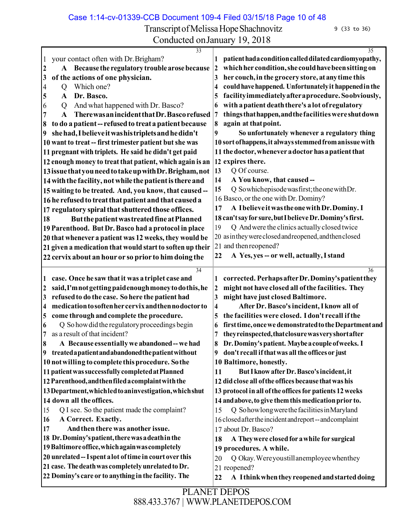Case 1:14-cv-01339-CCB Document 109-4 Filed 03/15/18 Page 10 of 48

Transcript of Melissa Hope Shachnovitz 9 (33 to 36)

|                                                                                    | $-2, -2 - 1$                                                            |
|------------------------------------------------------------------------------------|-------------------------------------------------------------------------|
| $\overline{33}$<br>your contact often with Dr. Brigham?                            | 35<br>patient had a condition called dilated cardiomyopathy,<br>1       |
| $\mathbf{1}$<br>A Because the regulatory trouble arose because<br>$\boldsymbol{2}$ | which her condition, she could have been sitting on<br>$\boldsymbol{2}$ |
| of the actions of one physician.<br>3                                              | her couch, in the grocery store, at any time this<br>3                  |
| Which one?<br>4<br>Q                                                               | could have happened. Unfortunately it happened in the<br>4              |
| Dr. Basco.<br>5<br>A                                                               | facility immediately after a procedure. So obviously,<br>5              |
| And what happened with Dr. Basco?<br>6<br>Q                                        | with a patient death there's a lot of regulatory<br>6                   |
| There was an incident that Dr. Basco refused<br>$\mathbf{A}$                       | things that happen, and the facilities were shut down<br>7              |
| to do a patient -- refused to treat a patient because<br>8                         | 8<br>again at that point.                                               |
| she had, I believe it was his triplets and he didn't<br>9                          | 9<br>So unfortunately whenever a regulatory thing                       |
| 10 want to treat -- first trimester patient but she was                            | 10 sort of happens, it always stemmed from an issue with                |
| 11 pregnant with triplets. He said he didn't get paid                              | 11 the doctor, whenever a doctor has a patient that                     |
|                                                                                    |                                                                         |
| 12 enough money to treat that patient, which again is an                           | 12 expires there.                                                       |
| 13 issue that you need to take up with Dr. Brigham, not                            | 13<br>Q Of course.                                                      |
| 14 with the facility, not while the patient is there and                           | A You know, that caused --<br>14                                        |
| 15 waiting to be treated. And, you know, that caused --                            | Q Sowhichepisode was first; the one with Dr.<br>15                      |
| 16 he refused to treat that patient and that caused a                              | 16 Basco, or the one with Dr. Dominy?                                   |
| 17 regulatory spiral that shuttered those offices.                                 | A Ibelieve it was the one with Dr. Dominy. I<br>17                      |
| But the patient was treated fine at Planned<br>18                                  | 18 can't say for sure, but I believe Dr. Dominy's first.                |
| 19 Parenthood. But Dr. Basco had a protocol in place                               | Q And were the clinics actually closed twice<br>19                      |
| 20 that whenever a patient was 12 weeks, they would be                             | 20 as in they were closed and reopened, and then closed                 |
| 21 given a medication that would start to soften up their                          | 21 and then reopened?                                                   |
| 22 cervix about an hour or so prior to him doing the                               | A Yes, yes -- or well, actually, I stand<br>22                          |
| 34                                                                                 | 36                                                                      |
| case. Once he saw that it was a triplet case and<br>1                              | corrected. Perhaps after Dr. Dominy's patient they<br>1                 |
| said, I'm not getting paid enough money to do this, he<br>2                        | might not have closed all of the facilities. They<br>$\boldsymbol{2}$   |
| refused to do the case. So here the patient had<br>3                               | might have just closed Baltimore.<br>3                                  |
| medication to soften her cervix and then no doctor to<br>4                         | After Dr. Basco's incident, I know all of<br>4                          |
| come through and complete the procedure.<br>5                                      | the facilities were closed. I don't recall if the<br>5                  |
| Q So how did the regulatory proceedings begin<br>6                                 | first time, once we demonstrated to the Department and<br>6             |
| as a result of that incident?                                                      | they reinspected, that closure was very short after<br>7                |
| A Because essentially we abandoned -- we had                                       | 8 Dr. Dominy's patient. Maybe a couple of weeks. I                      |
| 9 treated a patient and abandoned the patient without                              | don't recall if that was all the offices or just<br>9                   |
| 10 not willing to complete this procedure. So the                                  | 10 Baltimore, honestly.                                                 |
| 11 patient was successfully completed at Planned                                   | But I know after Dr. Basco's incident, it<br>11                         |
| 12 Parenthood, and then filed a complaint with the                                 | 12 did close all of the offices because that was his                    |
| 13 Department, which led to an investigation, which shut                           | 13 protocol in all of the offices for patients 12 weeks                 |
| 14 down all the offices.                                                           | 14 and above, to give them this medication prior to.                    |
| Q I see. So the patient made the complaint?<br>15                                  | Q Sohowlong were the facilities in Maryland<br>15                       |
| A Correct. Exactly.<br>16                                                          | 16 closed after the incident and report -- and complaint                |
| And then there was another issue.<br>17                                            | 17 about Dr. Basco?                                                     |
| 18 Dr. Dominy's patient, there was a death in the                                  | A They were closed for a while for surgical<br>18                       |
| 19 Baltimore office, which again was completely                                    | 19 procedures. A while.                                                 |
| 20 unrelated -- I spent a lot of time in court over this                           | Q Okay. Were you still an employee when they<br>20                      |
| 21 case. The death was completely unrelated to Dr.                                 | 21 reopened?                                                            |
| 22 Dominy's care or to anything in the facility. The                               | A I think when they reopened and started doing<br>22                    |
|                                                                                    |                                                                         |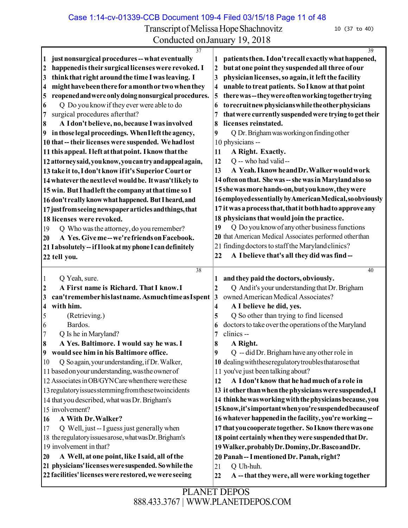Transcript of Melissa Hope Shachnovitz 10 (37 to 40)

| 37                                                                                                            | 39                                                                      |
|---------------------------------------------------------------------------------------------------------------|-------------------------------------------------------------------------|
| just nonsurgical procedures -- what eventually<br>1                                                           | patients then. I don't recall exactly what happened,                    |
| happened is their surgical licenses were revoked. I<br>$\boldsymbol{2}$                                       | but at one point they suspended all three of our<br>2                   |
| think that right around the time I was leaving. I<br>$\overline{\mathbf{3}}$                                  | physician licenses, so again, it left the facility<br>3                 |
| might have been there for a month or two when they<br>4                                                       | unable to treat patients. So I know at that point<br>4                  |
| reopened and were only doing nonsurgical procedures.<br>5                                                     | there was--they were often working together trying<br>5                 |
| Q Do you know if they ever were able to do<br>6                                                               | to recruit new physicians while the other physicians<br>6               |
| surgical procedures after that?<br>7                                                                          | that were currently suspended were trying to get their<br>7             |
| A Idon't believe, no, because I was involved<br>8                                                             | licenses reinstated.<br>8                                               |
| in those legal proceedings. When I left the agency,<br>$\overline{\mathbf{9}}$                                | Q Dr. Brigham was working on finding other<br>9                         |
| 10 that -- their licenses were suspended. We had lost                                                         | 10 physicians --                                                        |
| 11 this appeal. Heft at that point. I know that the                                                           | A Right. Exactly.<br>11                                                 |
| 12 attorney said, you know, you can try and appeal again,                                                     | Q -- who had valid--<br>12                                              |
| 13 take it to, I don't know if it's Superior Court or                                                         | A Yeah. I know he and Dr. Walker would work<br>13                       |
| 14 whatever the next level would be. It wasn't likely to                                                      | 14 often on that. She was -- she was in Maryland also so                |
| 15 win. But I had left the company at that time so I                                                          | 15 she was more hands-on, but you know, they were                       |
| 16 don't really know what happened. But I heard, and                                                          | 16employedessentially by American Medical, so obviously                 |
| 17 just from seeing newspaper articles and things, that                                                       | 17 it was a process that, that it both had to approve any               |
| 18 licenses were revoked.                                                                                     | 18 physicians that would join the practice.                             |
| Q Who was the attorney, do you remember?<br>19                                                                | Q Do you know of any other business functions<br>19                     |
| A Yes. Give me--we're friends on Facebook.<br>20                                                              | 20 that American Medical Associates performed other than                |
| 21 I absolutely -- if I look at my phone I can definitely                                                     | 21 finding doctors to staff the Maryland clinics?                       |
| 22 tell you.                                                                                                  | A I believe that's all they did was find--<br>22                        |
|                                                                                                               |                                                                         |
|                                                                                                               |                                                                         |
| 38                                                                                                            | 40                                                                      |
| Q Yeah, sure.<br>  1                                                                                          | and they paid the doctors, obviously.<br>1                              |
| A First name is Richard. That I know. I<br>$\overline{2}$                                                     | Q Andit's your understanding that Dr. Brigham<br>$\boldsymbol{2}$       |
| can'trememberhislastname. Asmuchtime as I spent<br>3                                                          | owned American Medical Associates?<br> 3                                |
| with him.<br>4                                                                                                | A I believe he did, yes.<br>4                                           |
| 5<br>(Retrieving.)                                                                                            | Q So other than trying to find licensed<br>5                            |
| Bardos.<br>6                                                                                                  | doctors to take over the operations of the Maryland<br>6                |
| Q Is he in Maryland?<br>7                                                                                     | clinics--<br>7                                                          |
| 8<br>A Yes. Baltimore. I would say he was. I                                                                  | 8<br>A Right.                                                           |
| 9 would see him in his Baltimore office.                                                                      | Q -- did Dr. Brigham have any other role in<br>9                        |
| Q So again, your understanding, if Dr. Walker,<br>10                                                          | 10 dealing with these regulatory troubles that arose that               |
| 11 based on your understanding, was the owner of                                                              | 11 you've just been talking about?                                      |
| 12 Associates in OB/GYN Care when there were these                                                            | A I don't know that he had much of a role in<br>12                      |
| 13 regulatory issues stemming from these two incidents                                                        | 13 it other than when the physicians were suspended, I                  |
| 14 that you described, what was Dr. Brigham's                                                                 | 14 think he was working with the physicians because, you                |
| 15 involvement?                                                                                               | 15 know, it's important when you're suspended because of                |
| A With Dr. Walker?<br>16                                                                                      | 16 whatever happened in the facility, you're working--                  |
| Q Well, just -- I guess just generally when<br>17                                                             | 17 that you cooperate together. So I know there was one                 |
| 18 the regulatory issues arose, what was Dr. Brigham's                                                        | 18 point certainly when they were suspended that Dr.                    |
| 19 involvement in that?                                                                                       | 19 Walker, probably Dr. Dominy, Dr. Basco and Dr.                       |
| A Well, at one point, like I said, all of the<br>20                                                           | 20 Panah -- I mentioned Dr. Panah, right?                               |
| 21 physicians' licenses were suspended. So while the<br>22 facilities' licenses were restored, we were seeing | Q Uh-huh.<br>21<br>A -- that they were, all were working together<br>22 |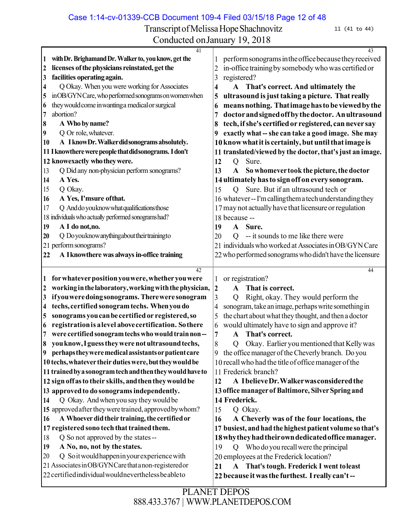Case 1:14-cv-01339-CCB Document 109-4 Filed 03/15/18 Page 12 of 48

Transcript of Melissa Hope Shachnovitz 11 (41 to 44)

| 41                                                                                  | $\overline{43}$                                                 |
|-------------------------------------------------------------------------------------|-----------------------------------------------------------------|
| with Dr. Brighamand Dr. Walker to, you know, get the<br>1                           | perform sonograms in the office because they received           |
| licenses of the physicians reinstated, get the<br>$\boldsymbol{\mathsf{2}}$         | in-office training by somebody who was certified or<br>2        |
| facilities operating again.<br>3                                                    | registered?<br>3                                                |
| Q Okay. When you were working for Associates<br>$\overline{\mathbf{4}}$             | ${\bf A}$<br>That's correct. And ultimately the<br>4            |
| inOB/GYN Care, who performed sonograms on women when<br>5                           | ultrasound is just taking a picture. That really<br>5           |
| they would come in wanting a medical or surgical<br>6                               | means nothing. That image has to be viewed by the<br>6          |
| abortion?<br>7                                                                      | doctor and signed off by the doctor. An ultrasound<br>7         |
| A Who by name?<br>8                                                                 | tech, if she's certified or registered, can never say<br>8      |
| Q Or role, whatever.<br>9                                                           | exactly what -- she can take a good image. She may<br>9         |
| A I know Dr. Walker did sonograms absolutely.<br>10                                 | 10 know what it is certainly, but until that image is           |
| 11 I knowthere were people that did sonograms. I don't                              | 11 translated/viewed by the doctor, that's just an image.       |
| 12 knowexactly who they were.                                                       | Sure.<br>12<br>Q                                                |
| Q Did any non-physician perform sonograms?<br>13                                    | 13<br>$\mathbf{A}$<br>So whomever took the picture, the doctor  |
| A Yes.<br>14                                                                        | 14 ultimately has to sign off on every sonogram.                |
| Q Okay.<br>15                                                                       | Sure. But if an ultrasound tech or<br>15<br>O.                  |
| A Yes, I'msure of that.<br>16                                                       | 16 whatever -- I'm calling them a tech understanding they       |
| Q And do you know what qualifications those<br>17                                   | 17 may not actually have that licensure or regulation           |
| 18 individuals who actualy performed sonograms had?                                 | 18 because --                                                   |
| A I do not, no.<br>19                                                               | Sure.<br>19<br>$\mathbf{A}$                                     |
| Q Do you know anything about their training to<br>20                                | -- it sounds to me like there were<br>20<br>Q                   |
| 21 perform sonograms?                                                               | 21 individuals who worked at Associates in OB/GYN Care          |
| A I knowthere was always in-office training<br>22                                   | 22 who performed sonograms who didn't have the licensure        |
|                                                                                     |                                                                 |
| 42                                                                                  | 44                                                              |
| for whatever position you were, whether you were<br>1                               | or registration?                                                |
| working in the laboratory, working with the physician,<br>$\boldsymbol{\mathsf{2}}$ | That is correct.<br>$\boldsymbol{2}$<br>A                       |
| if you were doing sonograms. There were sonogram<br>3                               | 3<br>Right, okay. They would perform the<br>Q                   |
| techs, certified sonogram techs. When you do<br>4                                   | sonogram, take an image, perhaps write something in<br>4        |
| sonograms you can be certified or registered, so<br>$\overline{\mathbf{5}}$         | the chart about what they thought, and then a doctor<br>5       |
| registration is a level above certification. So there<br>6                          | would ultimately have to sign and approve it?<br>6              |
|                                                                                     |                                                                 |
| were certified sonogram techs who would train non--<br>7                            | That's correct.<br>7<br>$\mathbf{A}$                            |
| you know, I guess they were not ultrasound techs,<br>8                              | Okay. Earlier you mentioned that Kelly was<br>8<br>$\mathbf{Q}$ |
| 9 perhaps they were medical assistants or patient care                              | 9 the office manager of the Cheverly branch. Do you             |
| 10 techs, whatever their duties were, but they would be                             | 10 recall who had the title of office manager of the            |
| 11 trained by a sonogram tech and then they would have to                           | 11 Frederick branch?                                            |
| 12 sign off as to their skills, and then they would be                              | A Ibelieve Dr. Walker was considered the<br>12                  |
| 13 approved to do sonograms independently.                                          | 13 office manager of Baltimore, Silver Spring and               |
| Q Okay. And when you say they would be<br>14                                        | 14 Frederick.                                                   |
| 15 approved after they were trained, approved by whom?                              | Q Okay.<br>15                                                   |
| A Whoever did their training, the certified or<br>16                                | 16<br>A Cheverly was of the four locations, the                 |
| 17 registered sono tech that trained them.                                          | 17 busiest, and had the highest patient volume so that's        |
| Q So not approved by the states --<br>18                                            | 18 why they had their own dedicated office manager.             |
| A No, no, not by the states.<br>19                                                  | Who do you recall were the principal<br>19<br>$\circ$           |
| Q Soit would happen in your experience with<br>20                                   | 20 employees at the Frederick location?                         |
| 21 Associates in OB/GYN Care that a non-registered or                               | That's tough. Frederick I went to least<br>21<br>${\bf A}$      |
| 22 certified individual would nevertheless be able to                               | 22 because it was the furthest. I really can't--                |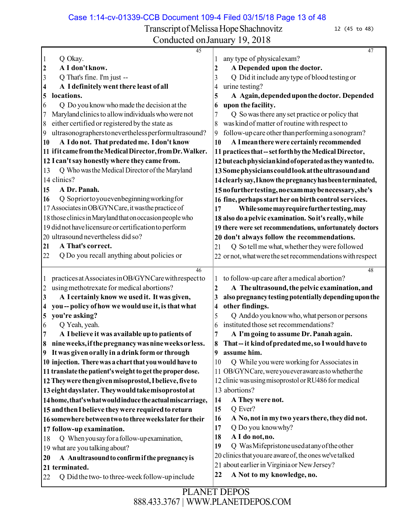Case 1:14-cv-01339-CCB Document 109-4 Filed 03/15/18 Page 13 of 48

Transcript of Melissa Hope Shachnovitz 12 (45 to 48)

Conducted onJanuary 19, 2018

 Q Okay. **A I don'tknow.** Q That's fine. I'm just -- **A I definitely went there least of all locations.** Q Do you knowwhomade the decision at the Marylandclinicsto allowindividualswhowere not either certified or registered bythe state as ultrasonographerstoneverthelessperformultrasound? **A Ido not. Thatpredatedme. Idon't know ifit camefromtheMedicalDirector,fromDr.Walker. I can'tsayhonestlywhere they came from.** 13 Q Who was the Medical Director of the Maryland clinics? **A Dr. Panah.** Q Sopriortoyouevenbeginningworkingfor 17 Associates in OB/GYNCare, it was the practice of those clinicsinMarylandthatonoccasionpeoplewho 19 didnot have licensure or certification to perform ultrasound nevertheless did so? **A That's correct.** Q Do you recall anything about policies or any type of physicalexam? **A Depended upon the doctor.** Q Did it include anytype of blood testing or urine testing? **A Again,dependeduponthedoctor. Depended upon the facility.** Q So wasthere anyset practice or policy that was kind of matter of routine with respect to 9 follow-up care other than performing a sonogram? **A Imeantherewere certainlyrecommended practicesthat--setforthbytheMedical Director, buteachphysiciankindofoperatedastheywantedto. 13Somephysicianscouldlookattheultrasoundand 14clearlysay,Iknowthepregnancyhasbeenterminated, 15nofurthertesting,noexammaybenecessary,she's fine, perhaps start her on birth control services. Whilesomemayrequirefurthertesting,may also do apelvic examination. Soit's really,while 19 there were set recommendations, unfortunately doctors 20 don't always follow the recommendations.** 21 Q So tell me what, whether they were followed ornot,whatwerethesetrecommendationswithrespect practicesatAssociatesinOB/GYNCarewithrespectto usingmethotrexate for medical abortions? **A I certainly know we used it. It was given, you-- policy ofhow we woulduse it, isthatwhat you're asking?** Q Yeah, yeah. **A Ibelieve it was available upto patients of nineweeks,ifthepregnancywasnineweeksorless. It was givenorally in adrinkform or through injection. Therewas achartthat youwouldhave to translate thepatient'sweighttogettheproperdose. Theywere thengivenmisoprostol,Ibelieve,five to eightdayslater. Theywouldtakemisoprostol at 14home,that'swhatwouldinducetheactualmiscarriage, andthenIbelieve theywere requiredto return somewherebetweentwo to threeweekslater for their 17 follow-up examination.** Q Whenyousayfor afollow-upexamination, what are you talking about? **A Anultrasoundto confirmifthepregnancyis terminated.** 22 Q Did the two-to three-week follow-up include to follow-up care after amedical abortion? **A Theultrasound,the pelvic examination,and also pregnancytesting potentiallydependinguponthe other findings.** 5 Q And do you know who, what person or persons instituted those set recommendations? **A I'm going to assume Dr.Panahagain. That--it kindofpredatedme,so Iwouldhave to assume him.** 10 Q While you were working for Associates in OB/GYNCare,wereyoueverawareastowhetherthe clinicwasusingmisoprostol orRU486 formedical abortions? **A They were not.** Q Ever? **A No,notin mytwo yearsthere,theydidnot.** Q Do you knowwhy? **A I do not,no.** Q WasMifepristoneusedatanyoftheother 20 clinics that you are aware of, the ones we've talked 21 about earlier in Virginia or New Jersey? **A Not to my knowledge, no.**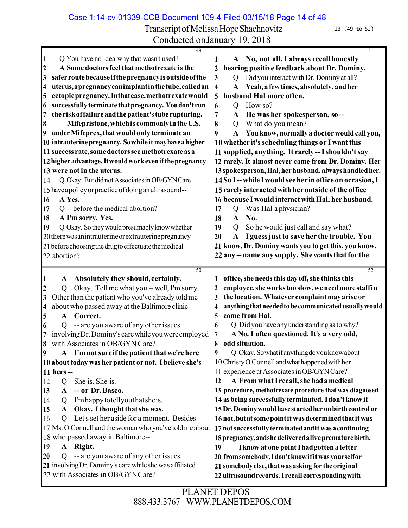Case 1:14-cv-01339-CCB Document 109-4 Filed 03/15/18 Page 14 of 48

Transcript of Melissa Hope Shachnovitz 13 (49 to 52)

| 49                                                                                           | $\overline{51}$                                                              |
|----------------------------------------------------------------------------------------------|------------------------------------------------------------------------------|
| $\vert$ 1<br>Q You have no idea why that wasn't used?                                        | No, not all. I always recall honestly<br>A                                   |
| A Some doctors feel that methotrexate is the<br>$\overline{2}$                               | hearing positive feedback about Dr. Dominy.<br>$\boldsymbol{2}$              |
| safer route because if the pregnancy is outside of the<br>$\overline{\mathbf{3}}$            | Did you interact with Dr. Dominy at all?<br>3<br>$\overline{Q}$              |
| uterus, a pregnancy can implant in the tube, called an<br>$\overline{\mathbf{4}}$            | Yeah, a few times, absolutely, and her<br>4<br>$\mathbf A$                   |
| ectopic pregnancy. Inthat case, methotrexate would<br>5                                      | 5<br>husband Hal more often.                                                 |
| successfully terminate that pregnancy. You don't run<br>16                                   | 6<br>How so?<br>Q                                                            |
| the risk of failure and the patient's tube rupturing.<br>$\overline{7}$                      | 7<br>He was her spokesperson, so--<br>A                                      |
| Mifepristone, which is commonly in the U.S.<br>8                                             | What do you mean?<br>8<br>Q                                                  |
| under Mifeprex, that would only terminate an<br>$\overline{\mathbf{9}}$                      | You know, normally a doctor would call you,<br>9<br>A                        |
| 10 intrauterine pregnancy. So while it may have a higher                                     | 10 whether it's scheduling things or I want this                             |
| 11 success rate, some doctors see methotrexate as a                                          | 11 supplied, anything. It rarely -- I shouldn't say                          |
| 12 higher advantage. It would work even if the pregnancy                                     | 12 rarely. It almost never came from Dr. Dominy. Her                         |
| 13 were not in the uterus.                                                                   | 13 spokesperson, Hal, her husband, always handled her.                       |
| Q Okay. But did not Associates in OB/GYN Care<br>14                                          | 14 So I-- while I would see her in office on occasion, I                     |
| 15 have a policy or practice of doing anultrasound--                                         | 15 rarely interacted with her outside of the office                          |
| A Yes.<br><b>16</b>                                                                          | 16 because I would interact with Hal, her husband.                           |
| Q -- before the medical abortion?<br>17                                                      | Was Hal a physician?<br>17<br>Q                                              |
| A I'm sorry. Yes.<br>18                                                                      | No.<br>18<br>$\mathbf{A}$                                                    |
| Q Okay. So they would presumably know whether<br>19                                          | 19<br>So he would just call and say what?<br>Q                               |
| 20 there was an intrauterine or extrauterine pregnancy                                       | I guess just to save her the trouble. You<br>20<br>$\mathbf{A}$              |
| 21 before choosing the drug to effectuate the medical                                        | 21 know, Dr. Dominy wants you to get this, you know,                         |
| 22 abortion?                                                                                 | 22 any -- name any supply. She wants that for the                            |
|                                                                                              |                                                                              |
|                                                                                              |                                                                              |
| 50                                                                                           | 52                                                                           |
| Absolutely they should, certainly.<br>$\mathbf{1}$<br>$\mathbf{A}$                           | office, she needs this day off, she thinks this                              |
| Okay. Tell me what you -- well, I'm sorry.<br>$\overline{2}$<br>Q                            | employee, she works too slow, we need more staff in<br>2                     |
| Other than the patient who you've already told me<br>$\overline{\mathbf{3}}$                 | the location. Whatever complaint may arise or<br>3                           |
| about who passed away at the Baltimore clinic --<br>$\overline{\mathbf{4}}$<br>Correct.<br>A | anything that needed to be communicated usually would<br>4<br>come from Hal. |
| 5                                                                                            | 5<br>6                                                                       |
| -- are you aware of any other issues<br>6<br>Q                                               | Q Did you have any understanding as to why?<br>7                             |
| involving Dr. Dominy's care while you were employed<br>8 with Associates in OB/GYN Care?     | A No. I often questioned. It's a very odd,<br>odd situation.<br>8            |
| $\overline{9}$<br>A I'm not sure if the patient that we're here                              | Q Okay. So what if anything do you know about<br>9                           |
| 10 about today was her patient or not. I believe she's                                       | 10 Christy O'Connell and what happened with her                              |
| 11 hers --                                                                                   | 11 experience at Associates in OB/GYN Care?                                  |
| She is. She is.<br>12<br>Q                                                                   | A From what I recall, she had a medical<br>12                                |
| -- or Dr. Basco.<br>13<br>$\mathbf{A}$                                                       | 13 procedure, methotrexate procedure that was diagnosed                      |
| I'm happy to tell you that she is.<br>14<br>Q                                                | 14 as being successfully terminated. I don't know if                         |
| A Okay. I thought that she was.<br>15                                                        | 15 Dr. Dominy would have started her on birth control or                     |
| Q Let's set her aside for a moment. Besides<br><sup>16</sup>                                 | 16 not, but at some point it was determined that it was                      |
| 17 Ms. O'Connell and the woman who you've told me about                                      | 17 not successfully terminated and it was a continuing                       |
| 18 who passed away in Baltimore--                                                            | 18 pregnancy, and she delivered a live premature birth.                      |
| A Right.<br>19                                                                               | I know at one point I had gotten a letter<br>19                              |
| -- are you aware of any other issues<br>20<br>Q                                              | 20 from somebody, I don't know if it was yourselfor                          |
| 21 involving Dr. Dominy's care while she was affiliated                                      | 21 somebody else, that was asking for the original                           |
| 22 with Associates in OB/GYNCare?                                                            | 22 ultrasound records. I recall corresponding with                           |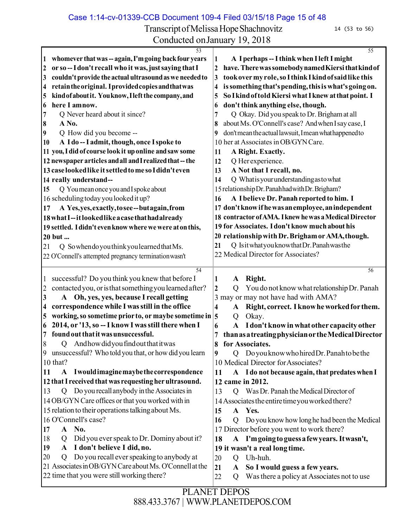Transcript of Melissa Hope Shachnovitz 14 (53 to 56)

Conducted onJanuary 19, 2018

| 53                                                                                                        | $\overline{55}$                                                                                               |
|-----------------------------------------------------------------------------------------------------------|---------------------------------------------------------------------------------------------------------------|
| whomever that was -- again, I'm going back four years<br>1                                                | A I perhaps -- I think when I left I might<br>1                                                               |
| or so-I don't recall who it was, just saying that I<br>2                                                  | have. There was somebody named Kiersi that kind of<br>$\overline{2}$                                          |
| couldn't provide the actual ultrasound as we needed to<br>3                                               | took over my role, so I think I kind of said like this<br>3                                                   |
| retain the original. I provided copies and that was<br>4                                                  | is something that's pending, this is what's going on.<br>4                                                    |
| kind of about it. You know, I left the company, and<br>5                                                  | So I kind of told Kiersi what I knew at that point. I<br>5                                                    |
| here I amnow.<br>6                                                                                        | don't think anything else, though.<br>6                                                                       |
| Q Never heard about it since?<br>7                                                                        | Q Okay. Did you speak to Dr. Brigham at all<br>7                                                              |
| A No.<br>8                                                                                                | about Ms. O'Connell's case? And when I say case, I<br>8                                                       |
| 9<br>Q How did you become --                                                                              | don't mean the actual lawsuit, I mean what happened to<br>9                                                   |
| A I do -- I admit, though, once I spoke to<br>10                                                          | 10 her at Associates in OB/GYN Care.                                                                          |
| 11 you, I did of course look it up online and saw some                                                    | A Right. Exactly.<br>11                                                                                       |
| 12 newspaper articles and all and I realized that -- the                                                  | Q Her experience.<br>12                                                                                       |
| 13 case looked like it settled to me so I didn't even                                                     | A Not that I recall, no.<br>13                                                                                |
| 14 really understand--                                                                                    | Q What is your understanding as to what<br>14                                                                 |
| Q You mean once you and I spoke about<br>15                                                               | 15 relationship Dr. Panahhad with Dr. Brigham?                                                                |
| 16 scheduling today you looked it up?                                                                     | A Ibelieve Dr. Panah reported to him. I<br>16                                                                 |
| A Yes, yes, exactly, to see--but again, from<br>17                                                        | 17 don't know if he was an employee, an independent                                                           |
| 18 what I--it looked like a case that had already                                                         | 18 contractor of AMA. I knew he was a Medical Director                                                        |
|                                                                                                           | 19 for Associates. I don't know much about his                                                                |
| 19 settled. I didn't even know where we were at on this,                                                  | 20 relationship with Dr. Brigham or AMA, though.                                                              |
| 20 but                                                                                                    | Q Isit what you know that Dr. Panah was the<br>21                                                             |
| 21<br>Q Sowhendo you think you learned that Ms.                                                           | 22 Medical Director for Associates?                                                                           |
| 22 O'Connell's attempted pregnancy termination wasn't                                                     |                                                                                                               |
| 54                                                                                                        | 56                                                                                                            |
| successful? Do you think you knew that before I<br>1                                                      | Right.<br>1<br>$\mathbf{A}$                                                                                   |
| contacted you, or is that something you learned after?<br>$\overline{c}$                                  | You do not know what relationship Dr. Panah<br>$\overline{2}$<br>Q                                            |
| 3<br>Oh, yes, yes, because I recall getting<br>${\bf A}$                                                  | 3 may or may not have had with AMA?                                                                           |
| correspondence while I was still in the office<br>4                                                       | Right, correct. I know he worked for them.<br>4<br>A                                                          |
| working, so sometime prior to, or maybe sometime in 5<br>5                                                | Okay.<br>Q                                                                                                    |
| 2014, or '13, so -- I know I was still there when I<br>6                                                  | I don't know in what other capacity other<br>$\mathbf{A}$<br>6                                                |
| found out that it was unsuccessful.<br>7                                                                  | than as a treating physician or the Medical Director<br>7                                                     |
| And how did you find out that it was<br>8<br>Q                                                            | 8<br>for Associates.                                                                                          |
| 9 unsuccessful? Who told you that, or how did you learn                                                   | Do you know who hired Dr. Panah to be the<br>9<br>$\circ$                                                     |
| 10 that?                                                                                                  | 10 Medical Director for Associates?                                                                           |
| A Iwould imagine may be the correspondence<br>11                                                          | A I do not because again, that predates when I<br>11                                                          |
| 12 that I received that was requesting her ultrasound.                                                    | 12 came in 2012.                                                                                              |
| Q Do you recall anybody in the Associates in<br>13                                                        | Q Was Dr. Panah the Medical Director of<br>13                                                                 |
| 14 OB/GYN Care offices or that you worked with in                                                         | 14 Associates the entire time you worked there?                                                               |
| 15 relation to their operations talking about Ms.                                                         | A Yes.<br>15                                                                                                  |
| 16 O'Connell's case?                                                                                      | Do you know how long he had been the Medical<br>16<br>$\overline{Q}$                                          |
| A No.<br>17                                                                                               | 17 Director before you went to work there?                                                                    |
|                                                                                                           |                                                                                                               |
| Did you ever speak to Dr. Dominy about it?<br>18<br>Q<br>I don't believe I did, no.<br>19<br>$\mathbf{A}$ | A I'm going to guess a few years. It wasn't,<br>18                                                            |
| Do you recall ever speaking to anybody at                                                                 | 19 it wasn't a real long time.                                                                                |
| 20<br>Q<br>21 Associates in OB/GYN Care about Ms. O'Connell at the                                        | Uh-huh.<br>20<br>Q                                                                                            |
| 22 time that you were still working there?                                                                | So I would guess a few years.<br>21<br>$\mathbf{A}$<br>Was there a policy at Associates not to use<br>22<br>Q |
|                                                                                                           |                                                                                                               |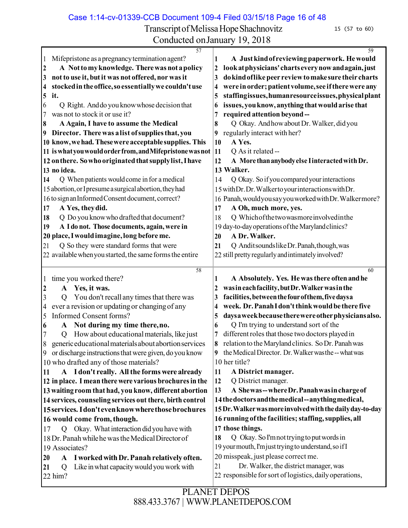Case 1:14-cv-01339-CCB Document 109-4 Filed 03/15/18 Page 16 of 48

Transcript of Melissa Hope Shachnovitz 15 (57 to 60)

| $\overline{57}$                                                   | 59                                                                                                     |
|-------------------------------------------------------------------|--------------------------------------------------------------------------------------------------------|
| Mifepristone as a pregnancy termination agent?<br>$\mathbf{1}$    | A Just kind of reviewing paperwork. He would<br>1                                                      |
| A Not to my knowledge. There was not a policy<br>$\boldsymbol{2}$ | look at physicians' charts every now and again, just<br>2                                              |
| not to use it, but it was not offered, nor was it<br>3            | do kind of like peer review to make sure their charts<br>3                                             |
| stocked in the office, so essentially we couldn't use<br>4        | were in order; patient volume, see if there were any<br>4                                              |
| it.<br>$\overline{\mathbf{5}}$                                    | staffingissues, humanresourceissues, physical plant<br>5                                               |
| Q Right. And do you know whose decision that<br>6                 | issues, you know, anything that would arise that<br>6                                                  |
| was not to stock it or use it?<br>7                               | required attention beyond--<br>7                                                                       |
| A Again, I have to assume the Medical<br>8                        | Q Okay. And how about Dr. Walker, did you<br>8                                                         |
| Director. There was a list of supplies that, you<br>9             | regularly interact with her?<br>9                                                                      |
| 10 know, we had. These were acceptable supplies. This             | A Yes.<br>10                                                                                           |
| 11 is what you would order from, and Mifepristone was not         | 11<br>Q As it related --                                                                               |
| 12 on there. So who originated that supply list, I have           | A More than anybody else I interacted with Dr.<br>12                                                   |
| 13 no idea.                                                       | 13 Walker.                                                                                             |
| Q When patients would come in for a medical<br>14                 | Q Okay. So if you compared your interactions<br>14                                                     |
| 15 abortion, or I presume a surgical abortion, they had           | 15 with Dr. Dr. Walkerto your interactions with Dr.                                                    |
| 16 to sign an Informed Consent document, correct?                 | 16 Panah, would you say you worked with Dr. Walkermore?                                                |
| A Yes, they did.<br>17                                            | A Oh, much more, yes.<br>17                                                                            |
| Q Do you know who drafted that document?<br>18                    | Q Which of the two was more involved in the<br>18                                                      |
| A I do not. Those documents, again, were in<br>19                 | 19 day-to-day operations of the Maryland clinics?                                                      |
| 20 place, I would imagine, long before me.                        | A Dr. Walker.<br>20                                                                                    |
| Q So they were standard forms that were<br>21                     | Q Anditsounds like Dr. Panah, though, was<br>21                                                        |
| 22 available when you started, the same forms the entire          | 22 still pretty regularly and intimately involved?                                                     |
|                                                                   |                                                                                                        |
|                                                                   |                                                                                                        |
| 58                                                                | 60                                                                                                     |
| time you worked there?<br>$\perp$                                 | A Absolutely. Yes. He was there often and he<br>1                                                      |
| Yes, it was.<br>$\boldsymbol{2}$<br>${\bf A}$                     | was in each facility, but Dr. Walker was in the<br>2                                                   |
| You don't recall any times that there was<br>3<br>Q               | facilities, between the four of them, five days a<br>3                                                 |
| ever a revision or updating or changing of any<br>4               | week. Dr. Panah I don't think would be there five<br>4                                                 |
| <b>Informed Consent forms?</b><br>5                               | daysa week because there were other physicians also.<br>5                                              |
| Not during my time there, no.<br>A<br>6                           | Q I'm trying to understand sort of the<br>6                                                            |
| How about educational materials, like just<br>Q                   | different roles that those two doctors played in<br>7                                                  |
| 8<br>generic educational materials about abortion services        | 8<br>relation to the Maryland clinics. So Dr. Panah was                                                |
| 9 or discharge instructions that were given, do you know          | 9 the Medical Director. Dr. Walker was the -- what was                                                 |
| 10 who drafted any of those materials?                            | 10 her title?                                                                                          |
| A I don't really. All the forms were already<br>11                | 11<br>A District manager.                                                                              |
| 12 in place. I mean there were various brochures in the           | Q District manager.<br>12                                                                              |
| 13 waiting room that had, you know, different abortion            | A Shewas--where Dr. Panah was in charge of<br>13                                                       |
| 14 services, counseling services out there, birth control         | 14 the doctors and the medical--anything medical,                                                      |
| 15 services. I don't even know where those brochures              | 15 Dr. Walker was more involved with the daily day-to-day                                              |
| 16 would come from, though.                                       | 16 running of the facilities; staffing, supplies, all                                                  |
| Okay. What interaction did you have with<br>17<br>Q               | 17 those things.                                                                                       |
| 18 Dr. Panah while he was the Medical Director of                 | Q Okay. So I'm not trying to put words in<br>18                                                        |
| 19 Associates?                                                    | 19 your mouth, I'm just trying to understand, so if I                                                  |
| A I worked with Dr. Panah relatively often.<br>20                 | 20 misspeak, just please correct me.                                                                   |
| Like in what capacity would you work with<br>Q<br>21<br>22 him?   | Dr. Walker, the district manager, was<br>21<br>22 responsible for sort of logistics, daily operations, |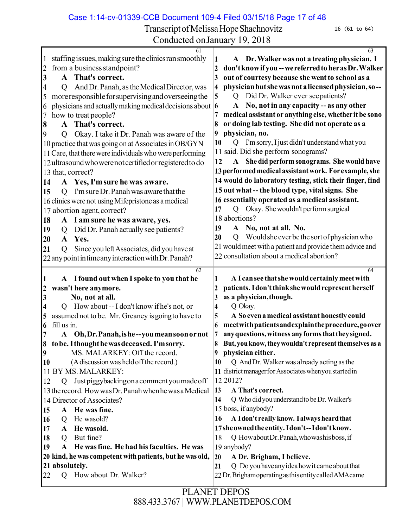Case 1:14-cv-01339-CCB Document 109-4 Filed 03/15/18 Page 17 of 48

Transcript of Melissa Hope Shachnovitz 16 (61 to 64)

| Conducted on January 19, 2018                                                                                                                                                                                                                                                                                                                                                                                                                                                                                                                                                                                                                                                                                                                                                                                                                                                                                                                                                                       |                                                                                                                                                                                                                                                                                                                                                                                                                                                                                                                                                                                                                                                                                                                                                                                                                                                                                                                                                                                                                                                            |  |  |
|-----------------------------------------------------------------------------------------------------------------------------------------------------------------------------------------------------------------------------------------------------------------------------------------------------------------------------------------------------------------------------------------------------------------------------------------------------------------------------------------------------------------------------------------------------------------------------------------------------------------------------------------------------------------------------------------------------------------------------------------------------------------------------------------------------------------------------------------------------------------------------------------------------------------------------------------------------------------------------------------------------|------------------------------------------------------------------------------------------------------------------------------------------------------------------------------------------------------------------------------------------------------------------------------------------------------------------------------------------------------------------------------------------------------------------------------------------------------------------------------------------------------------------------------------------------------------------------------------------------------------------------------------------------------------------------------------------------------------------------------------------------------------------------------------------------------------------------------------------------------------------------------------------------------------------------------------------------------------------------------------------------------------------------------------------------------------|--|--|
| 61<br>staffing issues, making sure the clinics ran smoothly<br>$\mathbf{1}$<br>from a business standpoint?<br>$\overline{c}$<br>3<br>A That's correct.<br>And Dr. Panah, as the Medical Director, was<br>4<br>$\mathcal{O}$<br>more responsible for supervising and overseeing the<br>5<br>physicians and actually making medical decisions about $\vert 6 \rangle$<br>6<br>how to treat people?<br>7<br>A That's correct.<br>8<br>Okay. I take it Dr. Panah was aware of the<br>9<br>$\overline{Q}$<br>10 practice that was going on at Associates in OB/GYN<br>11 Care, that there were individuals who were performing<br>12 ultrasound who were not certified or registered to do<br>13 that, correct?<br>A Yes, I'm sure he was aware.<br>14<br>Q I'm sure Dr. Panah was aware that the<br>15<br>16 clinics were not using Mifepristone as a medical<br>17 abortion agent, correct?<br>A I am sure he was aware, yes.<br>18<br>Did Dr. Panah actually see patients?<br>19<br>Q<br>A Yes.<br>20 | 63<br>A Dr. Walker was not a treating physician. I<br>1<br>don't know if you -- we referred to her as Dr. Walker<br>2<br>out of courtesy because she went to school as a<br>3<br>physician but she was not a licensed physician, so--<br>4<br>Did Dr. Walker ever see patients?<br>5<br>Q<br>No, not in any capacity -- as any other<br>$\mathbf{A}$<br>medical assistant or anything else, whether it be sono<br>7<br>or doing lab testing. She did not operate as a<br>8<br>physician, no.<br>9<br>10<br>Q I'm sorry, I just didn't understand what you<br>11 said. Did she perform sonograms?<br>A She did perform sonograms. She would have<br>12<br>13 performed medical assistant work. For example, she<br>14 would do laboratory testing, stick their finger, find<br>15 out what -- the blood type, vital signs. She<br>16 essentially operated as a medical assistant.<br>Okay. She wouldn't perform surgical<br>17<br>Q<br>18 abortions?<br>No, not at all. No.<br>19<br>$\mathbf{A}$<br>Would she ever be the sort of physician who<br>20<br>Q |  |  |
| Since you left Associates, did you have at<br>21<br>$\overline{Q}$<br>22 any point in time any interaction with Dr. Panah?<br>62<br>A I found out when I spoke to you that he<br>1<br>wasn't here anymore.<br>$\boldsymbol{\mathsf{2}}$                                                                                                                                                                                                                                                                                                                                                                                                                                                                                                                                                                                                                                                                                                                                                             | 21 would meet with a patient and provide them advice and<br>22 consultation about a medical abortion?<br>64<br>A I can see that she would certainly meet with<br>1<br>patients. I don't think she would represent herself<br>2                                                                                                                                                                                                                                                                                                                                                                                                                                                                                                                                                                                                                                                                                                                                                                                                                             |  |  |
| No, not at all.<br>3<br>How about -- I don't know if he's not, or<br>4<br>assumed not to be. Mr. Greaney is going to have to<br>5<br>fill us in.<br>6<br>A Oh, Dr. Panah, is he-you mean soon or not<br>to be. I thought he was deceased. I'm sorry.<br>8<br>MS. MALARKEY: Off the record.<br>9<br>(A discussion was held off the record.)<br>10                                                                                                                                                                                                                                                                                                                                                                                                                                                                                                                                                                                                                                                    | as a physician, though.<br>3<br>Q Okay.<br>4<br>A So even a medical assistant honestly could<br>5<br>meet with patients and explain the procedure, go over<br>6<br>7 any questions, witness any forms that they signed.<br>But, you know, they wouldn't represent themselves as a<br>8<br>physician either.<br>9<br>Q And Dr. Walker was already acting as the<br>10                                                                                                                                                                                                                                                                                                                                                                                                                                                                                                                                                                                                                                                                                       |  |  |
| 11 BY MS. MALARKEY:<br>Just piggybacking on a comment you made off<br>12<br>Q<br>13 the record. How was Dr. Panah when he was a Medical<br>14 Director of Associates?<br>A He was fine.<br>15<br>He wasold?<br>16<br>Q<br>He wasold.<br>17<br>$\mathbf{A}$<br>But fine?<br>18<br>$\overline{Q}$<br>He was fine. He had his faculties. He was<br>19<br>$\mathbf{A}$                                                                                                                                                                                                                                                                                                                                                                                                                                                                                                                                                                                                                                  | 11 district manager for Associates when you started in<br>12 2012?<br>13<br>A That's correct.<br>Q Who did you understand to be Dr. Walker's<br>14<br>15 boss, if anybody?<br>A I don't really know. I always heard that<br>16<br>17 she owned the entity. I don't--I don't know.<br>Q Howabout Dr. Panah, who washisboss, if<br>18<br>19 anybody?                                                                                                                                                                                                                                                                                                                                                                                                                                                                                                                                                                                                                                                                                                         |  |  |
| 20 kind, he was competent with patients, but he was old,<br>21 absolutely.                                                                                                                                                                                                                                                                                                                                                                                                                                                                                                                                                                                                                                                                                                                                                                                                                                                                                                                          | 20<br>A Dr. Brigham, I believe.<br>Q Do you have any idea how it came about that<br>21                                                                                                                                                                                                                                                                                                                                                                                                                                                                                                                                                                                                                                                                                                                                                                                                                                                                                                                                                                     |  |  |
| How about Dr. Walker?<br>22<br>Q                                                                                                                                                                                                                                                                                                                                                                                                                                                                                                                                                                                                                                                                                                                                                                                                                                                                                                                                                                    | 22 Dr. Brighamoperating as this entity called AMA came                                                                                                                                                                                                                                                                                                                                                                                                                                                                                                                                                                                                                                                                                                                                                                                                                                                                                                                                                                                                     |  |  |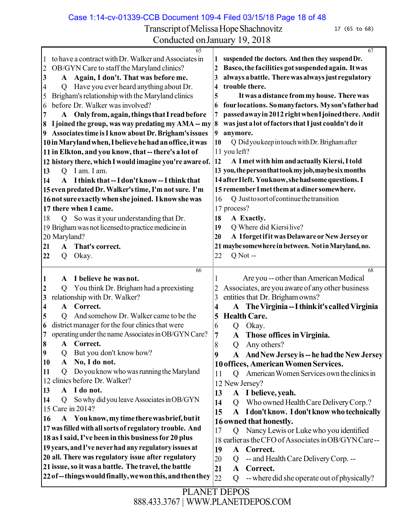Case 1:14-cv-01339-CCB Document 109-4 Filed 03/15/18 Page 18 of 48

Transcript of Melissa Hope Shachnovitz 17 (65 to 68) Conducted onJanuary 19, 2018

| 65                                                                       | 67                                                                |  |  |
|--------------------------------------------------------------------------|-------------------------------------------------------------------|--|--|
| to have a contract with Dr. Walker and Associates in                     | suspended the doctors. And then they suspend Dr.<br>1             |  |  |
| OB/GYN Care to staff the Maryland clinics?<br>2                          | Basco, the facilities got suspended again. It was<br>2            |  |  |
| A Again, I don't. That was before me.<br>3                               | always a battle. There was always just regulatory<br>3            |  |  |
| Have you ever heard anything about Dr.<br>4<br>Q                         | trouble there.<br>4                                               |  |  |
| Brigham's relationship with the Maryland clinics<br>5                    | It was a distance from my house. There was<br>5                   |  |  |
| before Dr. Walker was involved?<br>6                                     | four locations. So many factors. My son's father had<br>6         |  |  |
| A Only from, again, things that I read before<br>7                       | passed away in 2012 right when I joined there. And it<br>7        |  |  |
| I joined the group, was way predating my AMA -- my<br>8                  | was just a lot of factors that I just couldn't do it<br>$\vert 8$ |  |  |
| Associates time is I know about Dr. Brigham's issues<br>$\boldsymbol{9}$ | $\vert$ 9<br>anymore.                                             |  |  |
| 10 in Maryland when, I believe he had an office, it was                  | 10<br>Q Did you keep in touch with Dr. Brigham after              |  |  |
|                                                                          | 11 you left?                                                      |  |  |
| 11 in Elkton, and you know, that -- there's a lot of                     |                                                                   |  |  |
| 12 history there, which I would imagine you're aware of.                 | 12<br>A I met with him and actually Kiersi, I told                |  |  |
| I am. I am.<br>13<br>Q                                                   | 13 you, the person that took my job, may be six months            |  |  |
| A I think that -- I don't know -- I think that<br>14                     | 14 after Ileft. You know, she had some questions. I               |  |  |
| 15 even predated Dr. Walker's time, I'm not sure. I'm                    | 15 remember I met them at a diner somewhere.                      |  |  |
| 16 not sure exactly when she joined. I know she was                      | Q Just to sort of continue the transition<br>16                   |  |  |
| 17 there when I came.                                                    | 17 process?                                                       |  |  |
| So was it your understanding that Dr.<br>18<br>$\overline{Q}$            | 18<br>A Exactly.                                                  |  |  |
| 19 Brigham was not licensed to practice medicine in                      | Q Where did Kiersilive?<br>19                                     |  |  |
| 20 Maryland?                                                             | A Iforgetifit was Delaware or New Jersey or<br>20                 |  |  |
| That's correct.<br>$\mathbf{A}$                                          | 21 maybe somewhere in between. Not in Maryland, no.               |  |  |
| 21                                                                       |                                                                   |  |  |
| Okay.<br>22<br>Q                                                         | $Q$ Not $-$<br>22                                                 |  |  |
| 66                                                                       | 68                                                                |  |  |
| I believe he was not.<br>$\mathbf{1}$<br>A                               | Are you -- other than American Medical                            |  |  |
| You think Dr. Brigham had a preexisting<br>$\boldsymbol{2}$<br>O         | Associates, are you aware of any other business<br>2              |  |  |
| relationship with Dr. Walker?<br>3                                       | entities that Dr. Brigham owns?<br>3                              |  |  |
| Correct.<br>A<br>4                                                       | The Virginia -- I think it's called Virginia<br>4                 |  |  |
| And somehow Dr. Walker came to be the<br>5                               | <b>Health Care.</b><br>5                                          |  |  |
| district manager for the four clinics that were<br>6                     | 6<br>Okay.<br>Q                                                   |  |  |
| operating under the name Associates in OB/GYN Care?<br>7                 | 7<br>$\mathbf{A}$<br>Those offices in Virginia.                   |  |  |
|                                                                          |                                                                   |  |  |
| Correct.<br>18<br>A                                                      | Any others?<br>8<br>Q                                             |  |  |
| $\boldsymbol{9}$<br>But you don't know how?<br>Q                         | And New Jersey is -- he had the New Jersey<br>9<br>A              |  |  |
| No, I do not.<br>10<br>A                                                 | 10 offices, American Women Services.                              |  |  |
| Do you know who was running the Maryland<br>11<br>Q                      | American Women Services own the clinics in<br>11<br>Q             |  |  |
| clinics before Dr. Walker?<br>12                                         | 12 New Jersey?                                                    |  |  |
| I do not.<br>13<br>$\mathbf{A}$                                          | I believe, yeah.<br>13<br>${\bf A}$                               |  |  |
| So why did you leave Associates in OB/GYN<br>14<br>Q                     | Who owned Health Care Delivery Corp.?<br>14<br>$\overline{O}$     |  |  |
| 15 Care in 2014?                                                         | I don't know. I don't know who technically<br>15<br>$\mathbf{A}$  |  |  |
| A You know, my time there was brief, but it<br>16                        | 16 owned that honestly.                                           |  |  |
| 17 was filled with all sorts of regulatory trouble. And                  | Nancy Lewis or Luke who you identified<br>17                      |  |  |
| 18 as I said, I've been in this business for 20 plus                     | Q                                                                 |  |  |
| 19 years, and I've never had any regulatory issues at                    | 18 earlier as the CFO of Associates in OB/GYN Care--              |  |  |
|                                                                          | 19<br>Correct.<br>$\mathbf{A}$                                    |  |  |
| 20 all. There was regulatory issue after regulatory                      | -- and Health Care Delivery Corp. --<br>20<br>Q                   |  |  |
| 21 issue, so it was a battle. The travel, the battle                     | 21<br>Correct.<br>$\mathbf{A}$                                    |  |  |
| 22 of -- things would finally, we won this, and then they                | 22<br>-- where did she operate out of physically?<br>Q            |  |  |
|                                                                          |                                                                   |  |  |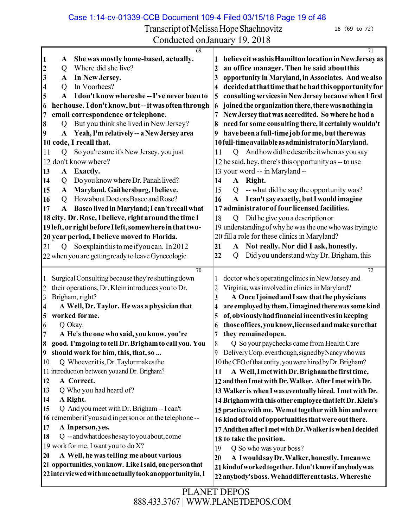Case 1:14-cv-01339-CCB Document 109-4 Filed 03/15/18 Page 19 of 48

Transcript of Melissa Hope Shachnovitz 18 (69 to 72)

| 69                                                                                                          | 71                                                                                                 |  |
|-------------------------------------------------------------------------------------------------------------|----------------------------------------------------------------------------------------------------|--|
| She was mostly home-based, actually.<br> 1<br>A                                                             | believe it was his Hamilton location in New Jersey as                                              |  |
| Where did she live?<br>$\boldsymbol{\mathsf{2}}$<br>Q                                                       | an office manager. Then he said about this<br>2                                                    |  |
| In New Jersey.<br>3<br>A                                                                                    | opportunity in Maryland, in Associates. And we also<br>3                                           |  |
| In Voorhees?<br>$\overline{\mathbf{4}}$<br>Q                                                                | decided at that time that he had this opportunity for<br>4                                         |  |
| I don't know where she--I've never been to<br>5<br>A                                                        | consulting services in New Jersey because when I first<br>5                                        |  |
| her house. I don't know, but--it was often through<br>6                                                     | joined the organization there, there was nothing in<br>6                                           |  |
| email correspondence or telephone.<br>$\overline{7}$                                                        | New Jersey that was accredited. So where he had a<br>7                                             |  |
| But you think she lived in New Jersey?<br>8<br>Q                                                            | need for some consulting there, it certainly wouldn't<br>8                                         |  |
| Yeah, I'm relatively -- a New Jersey area<br>9<br>${\bf A}$                                                 | have been a full-time job for me, but there was<br>9                                               |  |
| code, I recall that.<br><b>10</b>                                                                           | 10 full-time available as administrator in Maryland.                                               |  |
| So you're sure it's New Jersey, you just<br>$\mathbf{Q}$<br>11                                              | And how did he describe it when as you say<br>11<br>Q                                              |  |
| 12 don't know where?                                                                                        | 12 he said, hey, there's this opportunity as -- to use                                             |  |
| A Exactly.<br>13                                                                                            | 13 your word -- in Maryland --                                                                     |  |
| Do you know where Dr. Panah lived?<br>14<br>Q                                                               | 14<br>Right.<br>$\mathbf{A}$                                                                       |  |
| Maryland. Gaithersburg, I believe.<br>15<br>${\bf A}$                                                       | -- what did he say the opportunity was?<br>15<br>Q                                                 |  |
| How about Doctors Basco and Rose?<br>16<br>Q                                                                | I can't say exactly, but I would imagine<br>16<br>${\bf A}$                                        |  |
| Basco lived in Maryland; I can't recall what<br>17<br>A                                                     | 17 administrator of four licensed facilities.                                                      |  |
| 18 city. Dr. Rose, I believe, right around the time I                                                       | 18<br>Did he give you a description or<br>Q                                                        |  |
| 19 left, or right before I left, somewhere in that two-                                                     | 19 understanding of why he was the one who was trying to                                           |  |
| 20 year period, I believe moved to Florida.                                                                 | 20 fill a role for these clinics in Maryland?                                                      |  |
| So explain this to me if you can. In 2012<br>21<br>$\overline{Q}$                                           | Not really. Nor did I ask, honestly.<br>21<br>${\bf A}$                                            |  |
| 22 when you are getting ready to leave Gynecologic                                                          | Did you understand why Dr. Brigham, this<br>22<br>Q                                                |  |
|                                                                                                             |                                                                                                    |  |
| 70                                                                                                          | 72                                                                                                 |  |
| Surgical Consulting because they're shutting down<br>1<br>their operations, Dr. Klein introduces you to Dr. | doctor who's operating clinics in New Jersey and<br>Virginia, was involved in clinics in Maryland? |  |
| $\overline{c}$<br>Brigham, right?<br>$\overline{3}$                                                         | 2<br>A Once I joined and I saw that the physicians<br>3                                            |  |
| A Well, Dr. Taylor. He was a physician that<br>4                                                            | are employed by them, I imagined there was some kind<br>4                                          |  |
| worked for me.<br>5                                                                                         | of, obviously had financial incentives in keeping<br>5                                             |  |
| Q Okay.<br>6                                                                                                | those offices, you know, licensed and make sure that<br>6                                          |  |
| A He's the one who said, you know, you're<br>$\overline{7}$                                                 | they remained open.<br>7                                                                           |  |
| good. I'm going to tell Dr. Brigham to call you. You<br>8                                                   | 8<br>Q So your paychecks came from Health Care                                                     |  |
| should work for him, this, that, so<br>9                                                                    | Delivery Corp. even though, signed by Nancy who was<br>9                                           |  |
| Q Whoeveritis, Dr. Taylormakes the<br>10                                                                    | 10 the CFO of that entity, you were hired by Dr. Brigham?                                          |  |
| 11 introduction between you and Dr. Brigham?                                                                | A Well, I met with Dr. Brigham the first time,<br>11                                               |  |
| A Correct.<br>12                                                                                            | 12 and then I met with Dr. Walker. After I met with Dr.                                            |  |
| Q Who you had heard of?<br>13                                                                               | 13 Walker is when I was eventually hired. I met with Dr.                                           |  |
| A Right.<br>14                                                                                              | 14 Brigham with this other employee that left Dr. Klein's                                          |  |
| Q And you meet with Dr. Brigham -- I can't<br>15                                                            | 15 practice with me. We met together with him and were                                             |  |
| 16 remember if you said in person or on the telephone --                                                    | 16 kind of told of opportunities that were out there.                                              |  |
| A Inperson, yes.<br>17                                                                                      | 17 And then after I met with Dr. Walker is when I decided                                          |  |
| Q -- and what does he say to you about, come<br>18                                                          | 18 to take the position.                                                                           |  |
| 19 work for me, I want you to do X?                                                                         | Q So who was your boss?<br>19                                                                      |  |
| A Well, he was telling me about various<br>20                                                               | A Iwould say Dr. Walker, honestly. I mean we<br>20                                                 |  |
| 21 opportunities, you know. Like I said, one person that                                                    | 21 kind of worked together. I don't know if anybody was                                            |  |
| 22 interviewed with me actually took an opportunity in, I                                                   | 22 anybody's boss. Wehaddifferent tasks. Where she                                                 |  |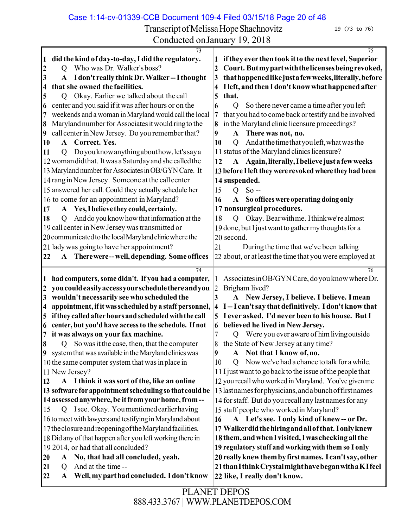Case 1:14-cv-01339-CCB Document 109-4 Filed 03/15/18 Page 20 of 48

Transcript of Melissa Hope Shachnovitz 19 (73 to 76) Conducted onJanuary 19, 2018

| 73                                                                           | 75                                                                            |  |  |
|------------------------------------------------------------------------------|-------------------------------------------------------------------------------|--|--|
| did the kind of day-to-day, I did the regulatory.<br>$\vert$ 1               | if they ever then took it to the next level, Superior                         |  |  |
| Who was Dr. Walker's boss?<br>$\overline{2}$<br>O                            | Court. But my part with the licenses being revoked,<br>2                      |  |  |
| A Idon't really think Dr. Walker--I thought<br>3                             | that happened like just a few weeks, literally, before<br>3                   |  |  |
| that she owned the facilities.<br>4                                          | I left, and then I don't know what happened after<br>4                        |  |  |
| Okay. Earlier we talked about the call<br>5<br>$\circ$                       | that.<br>5                                                                    |  |  |
| center and you said if it was after hours or on the<br>16                    | So there never came a time after you left<br>$\overline{O}$<br>6              |  |  |
| weekends and a woman in Maryland would call the local<br>17                  | that you had to come back or testify and be involved<br>7                     |  |  |
| Maryland number for Associates it would ring to the<br>18                    | in the Maryland clinic licensure proceedings?<br>8                            |  |  |
| call center in New Jersey. Do you remember that?<br>9                        | There was not, no.<br>9<br>A                                                  |  |  |
| A Correct. Yes.<br>10                                                        | And at the time that you left, what was the<br>10<br>Q                        |  |  |
|                                                                              |                                                                               |  |  |
| Doyou know anything about how, let's say a<br>11<br>Q                        | 11 status of the Maryland clinics licensure?                                  |  |  |
| 12 woman did that. It was a Saturday and she called the                      | Again, literally, I believe just a few weeks<br>12<br>${\bf A}$               |  |  |
| 13 Maryland number for Associates in OB/GYN Care. It                         | 13 before I left they were revoked where they had been                        |  |  |
| 14 rang in New Jersey. Someone at the call center                            | 14 suspended.                                                                 |  |  |
| 15 answered her call. Could they actually schedule her                       | $So -$<br>15<br>$\overline{Q}$                                                |  |  |
| 16 to come for an appointment in Maryland?                                   | 16<br>So offices were operating doing only<br>$\mathbf{A}$                    |  |  |
| A Yes, I believe they could, certainly.<br>17                                | 17 nonsurgical procedures.                                                    |  |  |
| And do you know how that information at the<br>18<br>Q                       | Okay. Bear with me. I think we're almost<br>18<br>Q                           |  |  |
| 19 call center in New Jersey was transmitted or                              | 19 done, but I just want to gather my thoughts for a                          |  |  |
| 20 communicated to the local Maryland clinic where the                       | 20 second.                                                                    |  |  |
|                                                                              |                                                                               |  |  |
| 21 lady was going to have her appointment?                                   | During the time that we've been talking<br>21                                 |  |  |
| A There were -- well, depending. Some offices<br>22                          | 22 about, or at least the time that you were employed at                      |  |  |
| 74                                                                           | 76                                                                            |  |  |
| had computers, some didn't. If you had a computer,<br>П                      | Associates in OB/GYN Care, do you know where Dr.                              |  |  |
| you could easily access your schedule there and you<br>12                    | $\overline{2}$<br>Brigham lived?                                              |  |  |
| wouldn't necessarily see who scheduled the<br>3                              | 3<br>A New Jersey, I believe. I believe. I mean                               |  |  |
| appointment, if it was scheduled by a staff personnel,<br>$\overline{\bf 4}$ | I-I can't say that definitively. I don't know that<br>$\overline{\mathbf{4}}$ |  |  |
| if they called after hours and scheduled with the call<br>15                 | 5 I ever asked. I'd never been to his house. But I                            |  |  |
| center, but you'd have access to the schedule. If not<br>16                  | believed he lived in New Jersey.<br>6                                         |  |  |
| it was always on your fax machine.<br>7                                      | Q Were you ever aware of him living outside<br>7                              |  |  |
| Q So was it the case, then, that the computer                                | the State of New Jersey at any time?                                          |  |  |
| Iŏ<br>system that was available in the Maryland clinics was                  | A Not that I know of, no.                                                     |  |  |
| 9                                                                            | 9                                                                             |  |  |
| 10 the same computer system that was in place in                             | Now we've had a chance to talk for a while.<br>10<br>$\overline{Q}$           |  |  |
| 11 New Jersey?                                                               | 11 I just want to go back to the issue of the people that                     |  |  |
| A I think it was sort of the, like an online<br><b>12</b>                    | 12 you recall who worked in Maryland. You've given me                         |  |  |
| 13 software for appointment scheduling so that could be                      | 13 lastnames for physicians, and a bunch of firstnames                        |  |  |
| 14 assessed anywhere, be it from your home, from--                           | 14 for staff. But do you recall any last names for any                        |  |  |
| I see. Okay. You mentioned earlier having<br>15<br>Q                         | 15 staff people who worked in Maryland?                                       |  |  |
| 16 to meet with lawyers and testifying in Maryland about                     | A Let's see. I only kind of knew-- or Dr.<br>16                               |  |  |
| 17 the closure and reopening of the Maryland facilities.                     | 17 Walker did the hiring and all of that. I only knew                         |  |  |
| 18 Did any of that happen after you left working there in                    | 18 them, and when I visited, I was checking all the                           |  |  |
| 19 2014, or had that all concluded?                                          | 19 regulatory stuff and working with them so I only                           |  |  |
| A No, that had all concluded, yeah.<br>20                                    | 20 really knew them by first names. I can't say, other                        |  |  |
| And at the time --<br>21<br>Q                                                | 21 than I think Crystal might have began with a KI feel                       |  |  |
| Well, my part had concluded. I don't know<br>22<br>A                         | 22 like, I really don't know.                                                 |  |  |
|                                                                              |                                                                               |  |  |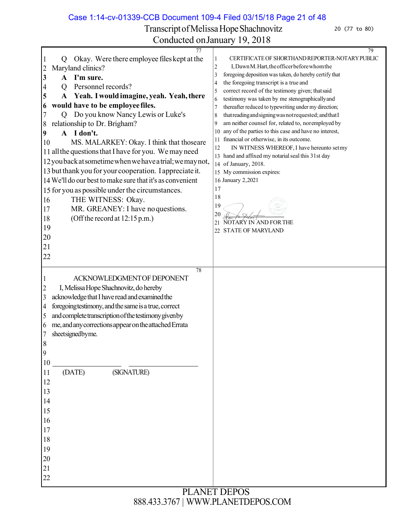Case 1:14-cv-01339-CCB Document 109-4 Filed 03/15/18 Page 21 of 48

Transcript of Melissa Hope Shachnovitz 20 (77 to 80)

| 77                                                               | 79                                                               |
|------------------------------------------------------------------|------------------------------------------------------------------|
| Okay. Were there employee files kept at the<br>$\mathbf{1}$<br>Q | CERTIFICATE OF SHORTHAND REPORTER-NOTARY PUBLIC<br>1             |
| Maryland clinics?<br>$\overline{c}$                              | I, Dawn M. Hart, the officer before whom the<br>$\boldsymbol{2}$ |
| $\mathbf{3}$<br>I'm sure.<br>A                                   | foregoing deposition was taken, do hereby certify that<br>3      |
| Personnel records?<br>$\overline{4}$<br>O                        | the foregoing transcript is a true and<br>4                      |
| Yeah. I would imagine, yeah. Yeah, there<br>5                    | correct record of the testimony given; that said<br>5            |
|                                                                  | testimony was taken by me stenographically and<br>6              |
| would have to be employee files.<br>6                            | thereafter reduced to typewriting under my direction;<br>7       |
| Do you know Nancy Lewis or Luke's<br>7<br>$\overline{Q}$         | that reading and signing was not requested; and that I<br>8      |
| relationship to Dr. Brigham?<br>8                                | am neither counsel for, related to, noremployed by<br>9          |
| A I don't.<br>9                                                  | any of the parties to this case and have no interest,<br>10      |
| MS. MALARKEY: Okay. I think that thoseare<br>10                  | financial or otherwise, in its outcome.<br>11                    |
| 11 all the questions that I have for you. We may need            | IN WITNESS WHEREOF, I have hereunto setmy<br>12                  |
|                                                                  | 13 hand and affixed my notarial seal this 31st day               |
| 12 you back at sometime when we have a trial; we may not,        | 14 of January, 2018.                                             |
| 13 but thank you for your cooperation. I appreciate it.          | 15 My commission expires:                                        |
| 14 We'll do our best to make sure that it's as convenient        | 16 January 2,2021                                                |
| 15 for you as possible under the circumstances.                  | 17                                                               |
| THE WITNESS: Okay.<br>16                                         | 18                                                               |
|                                                                  | 19                                                               |
| MR. GREANEY: I have no questions.<br>17                          | 20                                                               |
| (Off the record at 12:15 p.m.)<br>18                             | 21<br>NOTARY IN AND FOR THE                                      |
| 19                                                               | <b>STATE OF MARYLAND</b><br>22                                   |
| 20                                                               |                                                                  |
| 21                                                               |                                                                  |
| 22                                                               |                                                                  |
|                                                                  |                                                                  |
| 78                                                               |                                                                  |
| ACKNOWLEDGMENTOF DEPONENT<br>1                                   |                                                                  |
| I, Melissa Hope Shachnovitz, do hereby<br>$\overline{c}$         |                                                                  |
| acknowledge that I have read and examined the<br>3               |                                                                  |
| foregoing testimony, and the same is a true, correct<br>4        |                                                                  |
|                                                                  |                                                                  |
| and complete transcription of the testimony given by<br>5        |                                                                  |
| me, and any corrections appear on the attached Errata<br>6       |                                                                  |
| sheetsignedbyme.                                                 |                                                                  |
| ð                                                                |                                                                  |
| 9                                                                |                                                                  |
| 10                                                               |                                                                  |
|                                                                  |                                                                  |
| (DATE)<br>(SIGNATURE)<br>11                                      |                                                                  |
| 12                                                               |                                                                  |
| 13                                                               |                                                                  |
| 14                                                               |                                                                  |
| 15                                                               |                                                                  |
|                                                                  |                                                                  |
| 16                                                               |                                                                  |
| 17                                                               |                                                                  |
| 18                                                               |                                                                  |
| 19                                                               |                                                                  |
| 20                                                               |                                                                  |
|                                                                  |                                                                  |
| 21                                                               |                                                                  |
| 22                                                               |                                                                  |
|                                                                  |                                                                  |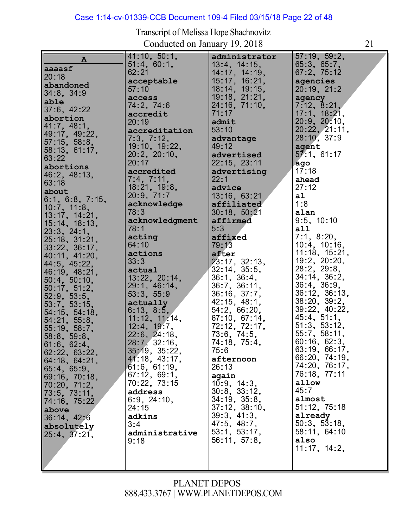# Case 1:14-cv-01339-CCB Document 109-4 Filed 03/15/18 Page 22 of 48

| $\, {\bf A}$    | 41:10, 50:1,       | administrator      | 57:19, 59:2,        |
|-----------------|--------------------|--------------------|---------------------|
| aaaasf          | 51:4, 60:1,        | $13:4$ , $14:15$ , | 65:3, 65:7,         |
| 20:18           | 62:21              | 14:17, 14:19,      | 67:2, 75:12         |
|                 | acceptable         | 15:17, 16:21,      | agencies            |
| abandoned       | 57:10              | 18:14, 19:15,      | 20:19, 21:2         |
| $34:8$ , $34:9$ | access             | 19:18, 21:21,      | agency              |
| able            | 74:2, 74:6         | 24:16, 71:10,      | 7:12, 8:21,         |
| 37:6, 42:22     |                    | 71:17              | 17:1, 18:21,        |
| abortion        | accredit<br>20:19  | admit              | 20:9, 20:10,        |
| 41:7, 48:1,     |                    |                    |                     |
| 49:17, 49:22,   | accreditation      | 53:10              | 20:22, 21:11,       |
| 57:15, 58:8,    | 7:3, 7:12,         | advantage          | 28:10, 37:9         |
| 58:13, 61:17,   | 19:10, 19:22,      | 49:12              | agent               |
| 63:22           | 20:2, 20:10,       | advertised         | 57:1, 61:17         |
| abortions       | 20:17              | 22:15, 23:11       | ago                 |
|                 | accredited         | advertising        | 17:18               |
| 46:2, 48:13,    | 7:4, 7:11,         | 22:1               | ahead               |
| 63:18           | 18:21, 19:8,       | advice             | 27:12               |
| about           | 20:9, 71:7         | 13:16, 63:21       | a1                  |
| 6:1, 6:8, 7:15, | acknowledge        | affiliated         | 1:8                 |
| 10:7, 11:8,     | 78:3               | 30:18, 50:21       | alan                |
| 13:17, 14:21,   |                    |                    |                     |
| 15:14, 18:13,   | acknowledgment     | affirmed           | 9:5, 10:10          |
| 23:3, 24:1,     | 78:1               | 5:3                | a11                 |
| 25:18, 31:21,   | acting             | affixed            | 7:1, 8:20,          |
| 33:22, 36:17,   | 64:10              | 79:13              | $10:4$ , $10:16$ ,  |
| 40:11, 41:20,   | actions            | after              | $11:18$ , $15:21$ , |
| 44:5, 45:22,    | 33:3               | 23:17, 32:13.      | 19:2, 20:20,        |
| 46:19, 48:21,   | actual             | $32:14$ , $35:5$ , | 28:2, 29:8,         |
| 50:4, 50:10,    | 13:22, 20:14,      | 36:1, 36:4,        | 34:14, 36:2,        |
|                 | 29:1, 46:14,       | 36:7, 36:11,       | $36:4$ , $36:9$ ,   |
| 50:17, 51:2,    | 53:3, 55:9         | 36:16, 37:7,       | 36:12, 36:13,       |
| 52:9, 53:5,     | actually           | 42:15, 48:1,       | 38:20, 39:2,        |
| 53:7, 53:15,    | 6:13, 8:5,         | 54:2, 66:20,       | 39:22, 40:22,       |
| 54:15, 54:18,   |                    | 67:10, 67:14,      | 45:4, 51:1,         |
| 54:21, 55:8,    | 11:12, 11:14,      |                    | 51:3, 53:12,        |
| 55:19, 58:7,    | 12:4, 19:7,        | 72:12, 72:17,      |                     |
| 58:8, 59:8,     | $22:6$ , $24:18$ , | 73:6, 74:5,        | 55:7, 58:11,        |
| 61:6, 62:4,     | 28:7, 32:16,       | 74:18, 75:4,       | 60:16, 62:3,        |
| 62:22, 63:22,   | 35:19, 35:22,      | 75:6               | 63:19, 66:17,       |
| 64:18, 64:21,   | 41:18, 43:17,      | afternoon          | 66:20, 74:19,       |
| 65:4, 65:9,     | 61:6, 61:19,       | 26:13              | 74:20, 76:17,       |
| 69:16, 70:18,   | 67:12, 69:1,       | again              | 76:18, 77:11        |
| 70:20, 71:2,    | 70:22, 73:15       | 10:9, 14:3,        | allow               |
| 73:5, 73:11,    | address            | 30:8, 33:12,       | 45:7                |
| 74:16, 75:22    | 6:9, 24:10,        | 34:19, 35:8,       | almost              |
|                 | 24:15              | 37:12, 38:10,      | 51:12, 75:18        |
| above           | adkins             | 39:3, 41:3,        | already             |
| 36:14, 42:6     | 3:4                | 47:5, 48:7,        | 50:3, 53:18,        |
| absolutely      |                    | 53:1, 53:17,       | 58:11, 64:10        |
| 25:4, 37:21,    | administrative     |                    |                     |
|                 | 9:18               | 56:11, 57:8,       | also                |
|                 |                    |                    | 11:17, 14:2,        |
|                 |                    |                    |                     |
|                 |                    |                    |                     |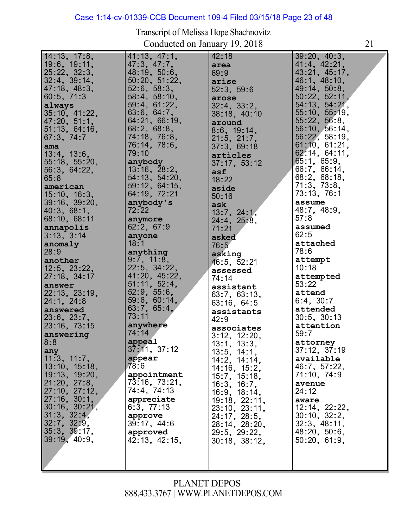# Case 1:14-cv-01339-CCB Document 109-4 Filed 03/15/18 Page 23 of 48

| 14:13, 17:8,       | 41:13, 47:1,       | 42:18               | 39:20, 40:3,      |
|--------------------|--------------------|---------------------|-------------------|
| 19:6, 19:11,       | 47:3, 47:7,        | area                | 41:4, 42:21,      |
| 25:22, 32:3,       | 48:19, 50:6,       | 69:9                | 43:21, 45:17,     |
| $32:4$ , $39:14$ , | 50:20, 51:22,      | arise               | 46.1, 48.10,      |
| 47:18, 48:3,       | 52:6, 58:3,        | 52:3, 59:6          | 49:14, 50:8,      |
| $60:5$ , $71:3$    | 58:4, 58:10,       | arose               | 50:22, 52:11,     |
| always             | 59:4, 61:22,       | 32:4, 33:2,         | 54:13, 54:21,     |
| 35:10, 41:22,      | 63:6, 64:7,        | 38:18, 40:10        | 55:10, 55:19,     |
| 47:20, 51:1,       | 64:21, 66:19,      | around              | 55:22, 56:8,      |
| 51:13, 64:16,      | 68:2, 68:8,        | 8:6, 19:14,         | 56:10, 56:14,     |
| 67:3, 74:7         | 74:18, 76:8,       | 21.5, 21.7,         | 56.22, 58.19,     |
| ama                | 76:14, 78:6,       | 37:3, 69:18         | 61:10, 61:21,     |
| 13:4, 13:6,        | 79:10              | articles            | 62:14, 64:11,     |
| 55:18, 55:20,      | anybody            |                     | 65:1, 65:9,       |
| 56:3, 64:22,       | $13:16$ , $28:2$ , | 37:17, 53:12        | 66:7, 66:14,      |
| 65:8               | 54:13, 54:20,      | asf                 | 68:2, 68:18,      |
|                    | 59:12, 64:15,      | 18:22               | 71:3, 73:8,       |
| american           |                    | aside               | 73:13, 76:1       |
| 15:10, 16:3,       | 64:19, 72:21       | 50:16               |                   |
| 39:16, 39:20,      | anybody's          | ask                 | assume            |
| 40:3, 68:1,        | 72:22              | 13:7, 24:1,         | 48.7, 48.9,       |
| 68:10, 68:11       | anymore            | 24:4, 25:8,         | 57:8              |
| annapolis          | 62:2, 67:9         | 71:21               | assumed           |
| 3:13, 3:14         | anyone             | asked               | 62:5              |
| anomaly            | 18:1               | 76:5                | attached          |
| 28:9               | anything           | asking              | 78:6              |
| another            | 9:7, 11:8,         | 46:5, 52:21         | attempt           |
| $12:5$ , $23:22$ , | 22:5, 34:22,       | assessed            | 10:18             |
| 27:18, 34:17       | 41:20, 45:22,      | 74:14               | attempted         |
| answer             | 51:11, 52:4,       | assistant           | 53:22             |
| 22:13, 23:19,      | 52:9, 55:6,        | 63:7, 63:13,        | attend            |
| 24:1, 24:8         | 59:6, 60:14,       | 63:16, 64:5         | 6:4, 30:7         |
| answered           | 63.7, 65.4,        | assistants          | attended          |
| 23:6, 23:7,        | 73:11              | 42:9                | $30:5$ , $30:13$  |
| 23:16, 73:15       | anywhere           | associates          | attention         |
| answering          | 74:14              | $3:12$ , $12:20$ ,  | 59:7              |
| 8:8                | appeal             | 13:1, 13:3,         | attorney          |
| any                | 37:11, 37:12       | 13:5, 14:1,         | $37:12$ , $37:19$ |
| 11:3, 11:7,        | appear             | 14:2, 14:14,        | available         |
| 13:10, 15:18,      | 78:6               | 14:16, 15:2,        | 46:7, 57:22,      |
| 19:13, 19:20,      | appointment        | 15.7, 15.18,        | 71:10, 74:9       |
| 21:20, 27:8,       | 73:16, 73:21,      | 16:3, 16:7,         | avenue            |
| 27:10, 27:12,      | 74:4, 74:13        | 16:9, 18:14,        | 24:12             |
| 27:16, 30:1,       | appreciate         | 19:18, 22:11,       | aware             |
| 30:16, 30:21,      | 6:3, 77:13         | 23:10, 23:11,       | 12:14, 22:22,     |
| 31:3, 32:4,        | approve            | 24:17, 28:5,        | 30:10, 32:2,      |
| $32:7$ , $32:9$ ,  | 39:17, 44:6        | 28:14, 28:20,       | 32:3, 48:11,      |
| 35:3, 39:17,       | approved           | 29:5, 29:22,        | 48:20, 50:6,      |
| 39:19, 40:9,       | 42:13, 42:15,      | $30:18$ , $38:12$ , | 50:20, 61:9,      |
|                    |                    |                     |                   |
|                    |                    |                     |                   |
|                    |                    |                     |                   |
|                    |                    |                     |                   |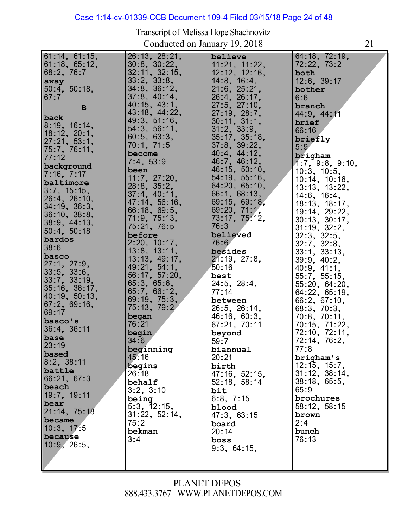#### Case 1:14-cv-01339-CCB Document 109-4 Filed 03/15/18 Page 24 of 48

| 61:14, 61:15,       | 26:13, 28:21,      | believe            | 64:18, 72:19,               |
|---------------------|--------------------|--------------------|-----------------------------|
|                     |                    |                    |                             |
| 61:18, 65:12,       | $30:8$ , $30:22$ , | 11:21, 11:22,      | 72:22, 73:2                 |
| 68:2, 76:7          | 32:11, 32:15,      | 12:12, 12:16,      | both                        |
|                     | 33:2, 33:8,        |                    |                             |
| away                |                    | 14:8, 16:4,        | 12:6, 39:17                 |
| $50:4$ , $50:18$ ,  | 34:8, 36:12,       | 21.6, 25.21,       | bother                      |
| 67:7                | 37:8, 40:14.       | 26:4, 26:17,       | 6:6                         |
|                     |                    |                    |                             |
| B                   | 40:15, 43:1,       | $27:5$ , $27:10$ , | branch                      |
|                     | 43:18, 44:22,      | 27:19, 28:7,       | 44:9, 44:11                 |
| back                |                    |                    |                             |
| 8:19, 16:14,        | 49:3, 51:16,       | 30:11, 31:1,       | brief                       |
|                     | 54:3, 56:11,       | 31:2, 33:9,        | 66:16                       |
| $18:12$ , $20:1$ ,  | 60:5, 63:3,        | 35:17, 35:18,      |                             |
| 27:21, 53:1,        |                    |                    | briefly                     |
|                     | 70:1, 71:5         | $37:8$ , $39:22$   | 5:9                         |
| 75:7, 76:11,        | become             | 40:4, 44:12,       |                             |
| 77:12               |                    |                    | brigham                     |
|                     | 7:4, 53:9          | 46:7, 46:12,       | 1:7, 9:8, 9:10,             |
| background          | been               | 46:15, 50:10,      | 10:3, 10:5,                 |
| 7:16, 7:17          |                    |                    |                             |
| baltimore           | 11:7, 27:20.       | 54:19, 55:16,      |                             |
|                     | 28:8, 35:2,        | 64:20, 65:10,      | 10:14, 10:16, 13:13, 13:22, |
| 3.7, 15.15,         | 37:4, 40:11,       | 66:1, 68:13,       |                             |
| 26:4, 26:10,        |                    |                    | 14:6, 16:4,                 |
|                     | 47:14, 56:16,      | 69:15, 69:18,      | 18:13, 18:17,               |
| 34:19, 36:3,        | 66:18, 69:5,       | 69.20, 71:1,       |                             |
| 36:10, 38:8,        |                    |                    | 19:14, 29:22,               |
|                     | 71:9, 75:13,       | 73:17, 75:12,      | 30:13, 30:17,               |
| 38:9, 44:13,        | 75:21, 76:5        | 76:3               | 31:19, 32:2,                |
| 50:4, 50:18         | before             | believed           |                             |
| bardos              |                    |                    | 32:3, 32:5,                 |
|                     | 2:20, 10:17,       | 76:6               | 32:7, 32:8,                 |
| 38:6                | 13:8, 13:11,       | besides            |                             |
| basco               |                    |                    | 33:1, 33:13,                |
|                     | 13:13, 49:17,      | 21:19, 27:8,       | 39.9, 40.2,                 |
| 27:1, 27:9,         | 49:21, 54:1,       | 50:16              | 40.9, 41.1,                 |
| 33:5, 33:6,         |                    |                    |                             |
| 33:7, 33:19,        | 56:17, 57:20,      | best               | 55:7, 55:15,                |
|                     | 65:3, 65:6,        | 24:5, 28:4,        | 55:20, 64:20,               |
| $35:16$ , $36:17$ , | 65:7, 66:12,       | 77:14              |                             |
| 40:19, 50:13,       |                    |                    | 64.22, 65.19,               |
|                     | 69:19, 75:3,       | between            | 66:2, 67:10,                |
| 67:2, 69:16,        | 75:13, 79:2        | 26:5, 26:14,       | 68:3, 70:3,                 |
| 69:17               |                    |                    |                             |
|                     | began              | 46:16, 60:3,       | $70:8$ , $70:11$ ,          |
| basco's             | 76:21              | 67:21, 70:11       | 70:15, 71:22,               |
| 36:4, 36:11         |                    |                    |                             |
| base                | begin              | beyond             | 72:10, 72:11,               |
|                     | 34:6               | 59:7               | 72:14, 76:2,                |
| 23:19               | beginning          | biannual           | 77:8                        |
| based               |                    |                    |                             |
|                     | 45:16              | 20:21              | brigham's                   |
| 8:2, 38:11          | begins             | birth              | $12:15$ , $15:7$ ,          |
| battle              |                    |                    |                             |
| 66:21, 67:3         | 26:18              | 47:16, 52:15,      | 31:12, 38:14,               |
|                     | behalf             | 52:18, 58:14       | 38:18, 65:5,                |
| beach               | 3:2, 3:10          |                    | 65:9                        |
| 19:7, 19:11         |                    | bit                |                             |
|                     | being              | 6:8, 7:15          | brochures                   |
| bear                | 5:3, 12:15,        | blood              | 58:12, 58:15                |
| 21:14, 75:18        |                    |                    |                             |
|                     | 31:22, 52:14,      | 47:3, 63:15        | brown                       |
| became              | 75:2               | board              | 2:4                         |
| 10:3, 17:5          |                    |                    |                             |
| because             | bekman             | 20:14              | bunch                       |
|                     | 3:4                | boss               | 76:13                       |
| 10:9,26:5,          |                    |                    |                             |
|                     |                    | 9:3, 64:15,        |                             |
|                     |                    |                    |                             |
|                     |                    |                    |                             |
|                     |                    |                    |                             |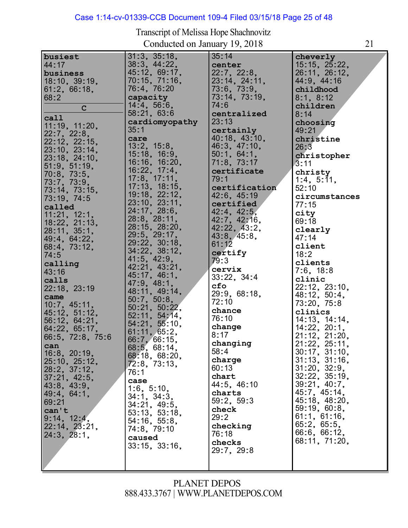# Case 1:14-cv-01339-CCB Document 109-4 Filed 03/15/18 Page 25 of 48

Transcript of Melissa Hope Shachnovitz Conducted on January 19, 2018 21

| busiest          | 31:3, 35:18,        | 35:14         | cheverly      |
|------------------|---------------------|---------------|---------------|
|                  |                     |               |               |
| 44:17            | 38:3, 44:22,        | center        | 15:15, 25:22, |
| business         | 45:12, 69:17,       | 22:7, 22:8,   | 26:11, 26:12, |
|                  |                     |               |               |
| 18:10, 39:19,    | 70:15, 71:16,       | 23:14, 24:11, | 44:9, 44:16   |
| 61:2, 66:18,     | 76:4, 76:20         | 73.6, 73.9,   | childhood     |
|                  |                     |               |               |
| 68:2             | capacity            | 73:14, 73:19, | 8:1, 8:12     |
|                  | 14:4, 56:6,         | 74:6          | children      |
| $\mathbf C$      |                     |               |               |
|                  | 58:21, 63:6         | centralized   | 8:14          |
| call             | cardiomyopathy      | 23:13         |               |
| 11:19, 11:20,    |                     |               | choosing      |
|                  | 35:1                | certainly     | 49:21         |
| 22:7, 22:8,      |                     | 40:18, 43:10, |               |
| 22:12, 22:15,    | care                |               | christine     |
|                  | 13:2, 15:8,         | 46:3, 47:10,  | 26:3          |
| 23:10, 23:14,    | 15:18, 16:9,        | 50:1, 64:1,   |               |
| 23:18, 24:10,    |                     |               | christopher   |
|                  | 16:16, 16:20,       | 71:8, 73:17   | 3:11          |
| 51:9, 51:19,     | 16:22, 17:4,        |               |               |
| 70:8, 73:5,      |                     | certificate   | christy       |
|                  | 17.8, 17.11,        | 79:1          | 1:4, 5:11,    |
| 73:7, 73:9,      | 17:13, 18:15,       |               |               |
| 73:14, 73:15,    |                     | certification | 52:10         |
|                  | 19:18, 22:12,       | 42:6, 45:19   | circumstances |
| 73:19, 74:5      | 23:10, 23:11,       |               |               |
| called           |                     | certified     | 77:15         |
|                  | 24:17, 28:6,        | 42:4, 42:5,   | city          |
| 11:21, 12:1,     | 28:8, 28:11,        |               |               |
| 18:22, 21:13,    |                     | 42:7, 42:16,  | 69:18         |
|                  | 28:15, 28:20,       | 42:22, 43:2,  | clearly       |
| 28:11, 35:1,     | 29:5, 29:17,        | 43:8, 45:8,   |               |
| 49:4, 64:22,     |                     |               | 47:14         |
| 68:4, 73:12,     | 29:22, 30:18,       | 61:12         | client        |
|                  | 34:22, 38:12,       |               |               |
| 74:5             |                     | certify       | 18:2          |
| calling          | 41:5, 42:9,         | 79:3          | clients       |
|                  | 42:21, 43:21,       | cervix        |               |
| 43:16            |                     |               | 7:6, 18:8     |
| calls            | 45:17, 46:1,        | 33:22, 34:4   | clinic        |
|                  | 47:9, 48:1,         |               |               |
| 22:18, 23:19     |                     | cfo           | 22:12, 23:10, |
| came             | 48:11, 49:14,       | 29:9, 68:18,  | 48:12, 50:4,  |
|                  | 50:7, 50:8,         | 72:10         |               |
| 10:7, 45:11,     | 50:21, 50:22,       |               | 73:20, 75:8   |
| 45:12, 51:12,    |                     | chance        | clinics       |
|                  | 52:11, 54:14,       | 76:10         |               |
| 56:12, 64:21,    | 54:21, 55:10,       |               | 14:13, 14:14, |
| 64:22, 65:17,    |                     | change        | 14:22, 20:1,  |
|                  | 61:11, 65:2,        | 8:17          |               |
| 66:5, 72:8, 75:6 | 66:7, 66:15,        |               | 21:12, 21:20, |
| can              |                     | changing      | 21:22, 25:11, |
|                  | 68:5, 68:14,        | 58:4          | 30:17, 31:10, |
| 16:8, 20:19,     | 68:18, 68:20,       |               |               |
| 25:10, 25:12,    |                     | charge        | 31:13, 31:16, |
|                  | 72:8, 73:13,        | 60:13         | 31:20, 32:9,  |
| 28:2, 37:12,     | 76:1                |               |               |
| 37:21, 42:5,     |                     | chart         | 32:22, 35:19, |
|                  | case                | 44:5, 46:10   | 39:21, 40:7,  |
| 43:8, 43:9,      | 1:6, 5:10,          |               |               |
| 49:4, 64:1,      | 34:1, 34:3,         | charts        | 45:7, 45:14,  |
| 69:21            |                     | 59:2, 59:3    | 45:18, 48:20, |
|                  | 34:21, 49:5,        |               |               |
| can't            | 53:13, 53:18,       | check         | 59:19, 60:8,  |
| 9:14, 12:4,      |                     | 29:2          | 61.1, 61.16,  |
|                  | 54:16, 55:8,        |               |               |
| 22:14, 23:21,    | 74:8, 79:10         | checking      | 65:2, 65:5,   |
| 24:3, 28:1,      |                     | 76:18         | 66:6, 66:12,  |
|                  | caused              |               | 68:11, 71:20, |
|                  | $33:15$ , $33:16$ , | checks        |               |
|                  |                     | 29:7, 29:8    |               |
|                  |                     |               |               |
|                  |                     |               |               |
|                  |                     |               |               |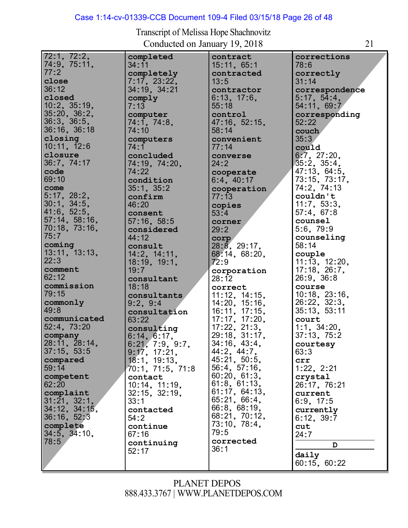# Case 1:14-cv-01339-CCB Document 109-4 Filed 03/15/18 Page 26 of 48

| 72:1, 72:2,         | completed                | contract                       | corrections                         |
|---------------------|--------------------------|--------------------------------|-------------------------------------|
| 74:9, 75:11,        | 34:11                    | 15:11, 65:1                    | 78:6                                |
| 77:2                | completely               | contracted                     | correctly                           |
| close               | 7:17, 23:22,             | 13:5                           | 31:14                               |
| 36:12               | 34:19, 34:21             | contractor                     | correspondence                      |
| closed              | comply                   | 6:13, 17:6,                    | 5:17, 54:4,                         |
| $10:2$ , $35:19$ ,  | 7:13                     | 55:18                          | 54:11, 69:7                         |
| 35:20, 36:2,        | computer                 | control                        | corresponding                       |
| 36:3, 36:5,         | 74:1, 74:8,              | 47:16, 52:15,                  | 52:22                               |
| 36:16, 36:18        | 74:10                    | 58:14                          |                                     |
| closing             | computers                | convenient                     | couch                               |
| 10:11, 12:6         | 74:1                     |                                | 35:3                                |
| closure             | concluded                | 77:14<br>converse              | could<br>6:7, 27:20,                |
| 36:7, 74:17         | 74:19, 74:20,            | 24:2                           | $35:2$ , $35:4$ ,                   |
| code                | 74:22                    | cooperate                      | 47:13, 64:5,                        |
| 69:10               | condition                | 6:4, 40:17                     | 73:15, 73:17,                       |
| come                | 35:1, 35:2               | cooperation                    | 74:2, 74:13                         |
| 5.17, 28.2,         | confirm                  | 77:13                          | couldn't                            |
| 30:1, 34:5,         | 46:20                    | copies                         | 11:7, 53:3,                         |
| 41:6, 52:5,         | consent                  | 53:4                           | 57:4, 67:8                          |
| 57:14, 58:16,       | 57:16, 58:5              | corner                         | counsel                             |
| 70:18, 73:16,       | considered               | 29:2                           | 5:6, 79:9                           |
| 75:7                | 44:12                    | corp                           | counseling                          |
| coming              | consult                  | 28:8, 29:17,                   | 58:14                               |
| 13:11, 13:13,       | 14:2, 14:11,             | 68:14, 68:20,                  | couple                              |
| 22:3                | 18:19, 19:1,             | 72:9                           | 11:13, 12:20,                       |
| comment             | 19:7                     | corporation                    | 17:18, 26:7,                        |
| 62:12               | consultant               | 28:12                          | 26:9, 36:8                          |
| commission          | 18:18                    | correct                        | course                              |
| 79:15<br>commonly   | consultants              | 11:12, 14:15,                  | $10:18$ , $23:16$ ,<br>26:22, 32:3, |
| 49:8                | 9:2, 9:4<br>consultation | 14:20, 15:16,<br>16:11, 17:15, | 35:13, 53:11                        |
| communicated        | 63:22                    | 17:17, 17:20,                  | court                               |
| 52:4, 73:20         | consulting               | $17:22$ , $21:3$ ,             | 1:1, 34:20,                         |
| company             | 6:14, 6:17,              | 29:18, 31:17,                  | 37:13, 75:2                         |
| 28:11, 28:14,       | 6:21, 7:9, 9:7,          | 34:16, 43:4,                   | courtesy                            |
| 37:15, 53:5         | 9:17, 17:21,             | 44:2, 44:7,                    | 63:3                                |
| compared            | 18:1, 19:13,             | 45:21, 50:5,                   | crr                                 |
| 59:14               | 70:1, 71:5, 71:8         | 56:4, 57:16,                   | 1:22, 2:21                          |
| competent           | contact                  | 60:20, 61:3,                   | crystal                             |
| 62:20               | 10:14, 11:19,            | 61:8, 61:13,                   | 26:17, 76:21                        |
| complaint           | $32:15$ , $32:19$ ,      | 61:17, 64:13,                  | current                             |
| 31:21, 32:1,        | 33:1                     | 65.21, 66:4,                   | 6:9, 17:5                           |
| $34:12$ , $34:15$ , | contacted                | 66:8, 68:19,                   | currently                           |
| 36:16, 52:3         | 54:2                     | 68:21, 70:12,                  | 6:12, 39:7                          |
| complete            | continue                 | 73:10, 78:4,                   | cut                                 |
| $34:5$ , $34:10$ ,  | 67:16                    | 79:5                           | 24 : 7                              |
| 78:5                | continuing               | corrected                      |                                     |
|                     | 52:17                    | 36:1                           | D<br>daily                          |
|                     |                          |                                | 60:15, 60:22                        |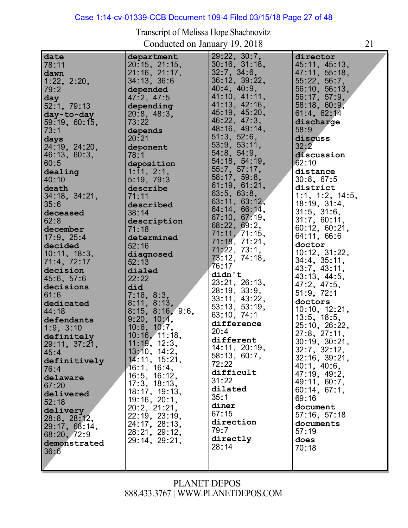#### Case 1:14-cv-01339-CCB Document 109-4 Filed 03/15/18 Page 27 of 48

**date** 78:11 **dawn**

79:2 **day**

73:1 **days**

60:5

40:10 **death**

35:6

62:8

61:6

44:18

45:4

76:4

52:18 **delivery** 28:8, 28:12, 29:17, 68:14, 68:20, 72:9 **demonstrated**

36:6

29:11, 37:21,

**definitively**

**delaware** 67:20

**delivered**

Transcript of Melissa Hope Shachnovitz Conducted on January 19, 2018 21 1:22, 2:20, 52:1, 79:13 **day-to-day** 59:19, 60:15, **days**<br>24:19, 24:20, z4:19, z4:zu<br>46:13, 60:3, **dealing** 34:18, 34:21, **deceased december** 17:9, 25:4 **decided** 10:11, 18:3, 71:4, 72:17 **decision** 45:6, 57:6 **decisions dedicated defendants** 1:9, 3:10 **definitely department** 20:15, 21:15, 21:16, 21:17, 34:13, 36:6 **depended** 47:2, 47:5 **depending** 20:8, 48:3, 73:22 **depends** 20:21 **deponent** 78:1 **deposition** 1:11, 2:1, 5:19, 79:3 **describe** 71:11 **described** 38:14 **description** 71:18 **determined** 52:16 **diagnosed** 52:13 **dialed** 22:22 **did** 7:16, 8:3, 8:11, 8:13, 8:15, 8:16, 9:6, 8:15, 8:16,<br>9:20, 10:4,<br>40:0, 10:7 9:20, 10:4,<br>10:6, 10:7,<br>40:40 10:0, 10:7,<br>10:16, 11:18,  $\frac{29:22}{29:22}$ , 30:7, z9:zz, 30:7,<br>30:16, 31:18, 30:16, 31:1<br>32:7, 34:6,<br>22:42: 22:2 32:7,34:6,<br>36:12,39:22, 30:12, 39:2<br>40:4, 40:9,<br>44:40 41:10, 41:11, 41:13, 42:16, 41:13, 42:10,<br>45:19, 45:20,<br>43.33, 47.3 46:22, 47:3, 48:16, 49:14, 48:10, 49:1<br>51:3, 52:6,<br>F3:3, F3:41 51:3, 52:0,<br>53:9, 53:11,<br>51.3 54:8, 54:9, 54:8, 54:9,<br>54:18, 54:19,<br>== 55:7, 57:17, 58:17, 59:8, 61:19, 61:21, 61:19, 61:2<br>63:5, 63:8, 63:5, 63:6,<br>63:11, 63:12,<br>01:11, 00 64:14, 66:14, 67:10, 67:19, 68:22, 69:2, 71:11, 71:15, 71:18, 71:21, 71:18, 71:21<br>71:22, 73:1,<br>73.18, 71.18 71;22, 73:1,<br>73:12, 74:18,<br>73:17 76:17 **didn't** 23:21, 26:13, 28:19, 33:9, 28:19, 33:9,<br>33:11, 43:22, 33:11, 43:22,<br>53:13, 53:19,<br>23, 13, 71 63:10, 74:1 **difference** 20:4 **different director** 45:11, 45:13, 45:11, 45:13,<br>47:11, 55:18,<br>55.30, 58.7 47:11, 55:18<br>55:22, 56:7,<br>53:18: 53:18 56:10, 56:13, 56:17, 57:9, 58:18, 60:9, 61:4, 62:14 **discharge** 58:9 **discuss** 32:2 **discussion** 62:10 **distance** 30:8, 67:5 **district** 1:1, 1:2, 14:5, 1:1, 1:2, 14<br>18:19, 31:4,<br>21:5 18:19, 31:4<br>31:5, 31:6,<br>31:3 31:7, 60:11, 60:12, 60:21, 64:11, 66:6 **doctor** doctor<br>10:12, 31:22, 10:12, 31:22<br>34:4, 35:11,<br>10:7, 10:11, 43:7, 43:11, 43:13, 44:5, 47:2, 47:5, 51:9, 72:1 **doctors** 10:10, 12:21, 10:10, 12:2<br>13:5, 18:5,<br>25:40 13:5, 18:5,<br>25:10, 26:22,<br>27.2 27:8, 27:11, 30:19, 30:21,

# PLANET DEPOS 888.433.3767 | [WWW.PLANETDEPOS.COM](http://www.planetdepos.com/)

**different<br>14:11, 20:19,<br>53, 13, 23, 7** 14:11, 20:19<br>58:13, 60:7,<br>-- --

32:7, 32:12, 32:1, 32:12,<br>32:16, 39:21,<br>18:1 40:1, 40:6, 47:19, 49:2, 49:11, 60:7, 60:14, 67:1,

69:16 **document** 57:16, 57:18 **documents**

57:19 **does** 70:18

**difficult**

**direction**

**directly** 28:14

72:22

31:22 **dilated** 35:1 **diner** 67:15

79:7

11:19, 12:3, 11:19, 12:3,<br>13:10, 14:2,<br>14:11, 15:31 14:11, 15:21, 14:11, 15:2<br>16:1, 16:4,<br>19:5, 19:19 16:1, 16:4,<br>16:5, 16:12,<br>17 °, 18 18 16:5, 16:12,<br>17:3, 18:13,<br>18:17 18:17, 19:13, 19:16, 20:1, 20:2, 21:21, 22:19, 23:19, 24:17, 28:13, 28:21, 29:12, 29:14, 29:21,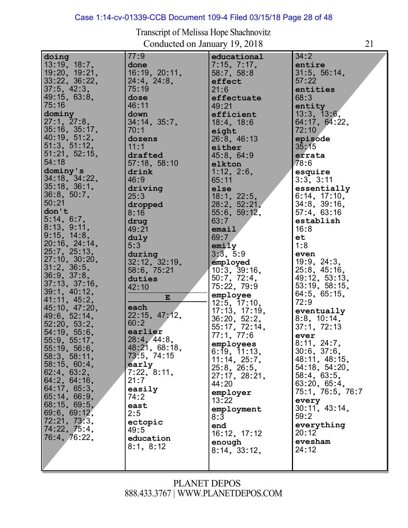# Case 1:14-cv-01339-CCB Document 109-4 Filed 03/15/18 Page 28 of 48

| Transcript of Melissa Hope Shachnovitz |  |
|----------------------------------------|--|
| Conducted on January 19, 2018          |  |

| doing               | 77:9          | educational        | 34:2              |
|---------------------|---------------|--------------------|-------------------|
| 13:19, 18:7,        | done          | 7:15, 7:17,        | entire            |
| 19:20, 19:21,       | 16:19, 20:11, | 58:7, 58:8         | 31:5, 56:14,      |
| 33:22, 36:22,       | 24:4, 24:8,   | effect             | 57:22             |
| $37:5$ , $42:3$ ,   | 75:19         | 21:6               | entities          |
| 49:15, 63:8,        | dose          | effectuate         | 68:3              |
| 75:16               | 46:11         | 49:21              | entity            |
| dominy              | down          | efficient          | 13:3, 13:6,       |
| 27:1, 27:8,         | 34:14, 35:7,  | 18:4, 18:6         | 64:17, 64:22,     |
| $35:16$ , $35:17$ , | 70:1          |                    | 72:10             |
| 40:19, 51:2,        |               | eight              |                   |
|                     | dozens        | 26:8, 46:13        | episode           |
| 51:3, 51:12,        | 11:1          | either             | 35:15             |
| 51:21, 52:15,       | drafted       | 45:8, 64:9         | errata            |
| 54:18               | 57:18, 58:10  | elkton             | 78:6              |
| dominy's            | drink         | 1:12, 2:6,         | esquire           |
| 34:18, 34:22,       | 46:9          | 65:11              | 3:3, 3:11         |
| 35:18, 36:1,        | driving       | else               | essentially       |
| 36:8, 50:7,         | 25:3          | 18:1, 22:5,        | 6:14, 17:10,      |
| 50:21               | dropped       | 28:2, 52:21,       | 34:8, 39:16,      |
| don't               | 8:16          | 55:6, 59:12,       | 57.4, 63.16       |
| 5:14, 6:7,          | drug          | 63:7               | establish         |
| 8:13, 9:11,         | 49:21         | email              | 16:8              |
| 9:15, 14:8,         | duly          | 69:7               | et                |
| 20:16, 24:14,       | 5:3           |                    | 1:8               |
| 25:7, 25:13,        |               | emily              |                   |
| 27:10, 30:20,       | during        | 3:3, 5:9           | even              |
| 31:2, 36:5,         | 32:12, 32:19, | employed           | 19:9, 24:3,       |
| 36:9, 37:8,         | 58:6, 75:21   | 10:3, 39:16,       | 25:8, 45:16,      |
| 37:13, 37:16,       | duties        | 50:7, 72:4,        | 49:12, 53:13,     |
| 39:1, 40:12,        | 42:10         | 75:22, 79:9        | 53:19, 58:15,     |
|                     | ${\bf E}$     | employee           | 64:5, 65:15,      |
| 41:11, 45:2,        | each          | $12:5$ , $17:10$ , | 72:9              |
| 45:10, 47:20,       |               | 17:13, 17:19,      | eventually        |
| 49:6, 52:14,        | 22:15, 47:12, | 36:20, 52:2,       | 8:8, 10:14.       |
| 52:20, 53:2,        | 60:2          | 55:17, 72:14,      | 37:1, 72:13       |
| 54:19, 55:6,        | earlier       | 77:1, 77:6         | ever              |
| 55:9, 55:17,        | 28:4, 44:8,   | employees          | 8:11, 24:7,       |
| 55:19, 56:6,        | 48:21, 68:18, | 6:19, 11:13,       | $30:6$ , $37:6$ , |
| 58:3, 58:11,        | 73-5, 74:15   | 11:14, 25:7,       | 48:11, 48:15,     |
| 58:15, 60:4,        | early         | 25:8, 26:5,        | 54:18, 54:20,     |
| 62:4, 63:2,         | 7:22, 8:11,   | 27:17, 28:21,      | 58:4, 63:5,       |
| 64:2, 64:16,        | 21:7          | 44:20              | 63:20, 65:4,      |
| 64:17, 65:3,        | easily        | employer           | 75:1, 76:5, 76:7  |
| 65:14, 66:9,        | 74:2          | 13:22              | every             |
| 68:15, 69:5,        | east          |                    | 30:11, 43:14,     |
| 69:6, 69:12,        | 2:5           | employment         | 59:2              |
| 72:21, 73:3,        | ectopic       | 8:3                |                   |
| 74:22, 75:4,        | 49:5          | end                | everything        |
| 76:4, 76:22,        | education     | 16:12, 17:12       | 20:12             |
|                     | 8:1, 8:12     | enough             | evesham           |
|                     |               | 8:14, 33:12,       | 24:12             |
|                     |               |                    |                   |
|                     |               |                    |                   |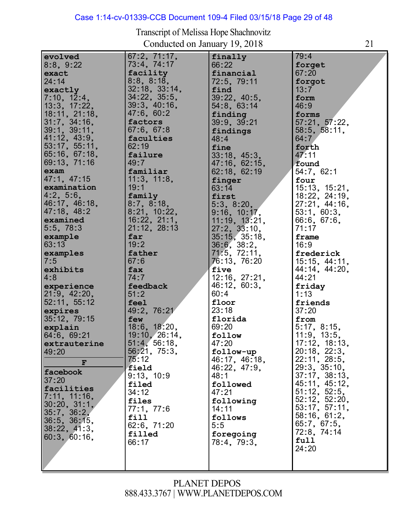# Case 1:14-cv-01339-CCB Document 109-4 Filed 03/15/18 Page 29 of 48

| evolved                       | $67:2$ , $71:17$ ,           | finally                             | 79:4                          |
|-------------------------------|------------------------------|-------------------------------------|-------------------------------|
| 8:8, 9:22                     | 73:4, 74:17<br>facility      | 66:22                               | forget                        |
| exact<br>24:14                | 8:8, 8:18,                   | financial<br>72:5, 79:11            | 67:20<br>forgot               |
| exactly                       | 32:18, 33:14,                | find                                | 13:7                          |
| 7:10, 12:4,                   | 34:22, 35:5,                 | 39:22, 40:5,                        | form                          |
| 13:3, 17:22,                  | 39:3, 40:16,                 | 54:8, 63:14                         | 46:9                          |
| 18:11, 21:18,                 | 47:6, 60:2                   | finding                             | forms                         |
| 31:7, 34:16,                  | factors                      | 39:9, 39:21                         | 57:21, 57:22,                 |
| 39:1, 39:11,                  | 67:6, 67:8                   | findings                            | 58:5, 58:11,                  |
| 41:12, 43:9,<br>53:17, 55:11, | faculties<br>62:19           | 48:4                                | 64:7                          |
| 65:16, 67:18,                 | failure                      | fine<br>33:18, 45:3,                | forth<br>47:11                |
| 69:13, 71:16                  | 49:7                         | 47:16, 62:15,                       | found                         |
| exam                          | familiar                     | 62:18, 62:19                        | 54:7, 62:1                    |
| 47:1, 47:15                   | 11:3, 11:8,                  | finger                              | four                          |
| examination                   | 19:1                         | 63:14                               | 15:13, 15:21,                 |
| 4:2, 5:6,                     | family                       | first                               | 18:22, 24:19,                 |
| 46:17, 46:18,                 | 8:7, 8:18,                   | 5:3, 8:20,                          | 27:21, 44:16,                 |
| 47:18, 48:2                   | 8:21, 10:22,                 | 9:16, 10:17,                        | 53:1, 60:3,                   |
| examined                      | 16:22, 21:1,<br>21:12, 28:13 | 11:19, 13:21,                       | 66.6, 67.6,<br>71:17          |
| 5.5, 78.3<br>example          | far                          | $27:2$ , $33:10$ ,<br>35:15, 35:18, | frame                         |
| 63:13                         | 19:2                         | 36:6, 38:2,                         | 16:9                          |
| examples                      | father                       | 71.5, 72.11,                        | frederick                     |
| 7:5                           | 67:6                         | 76:13, 76:20                        | 15:15, 44:11,                 |
| exhibits                      | fax                          | five                                | 44:14, 44:20,                 |
| 4:8                           | 74:7                         | 12:16, 27:21,                       | 44:21                         |
| experience                    | feedback                     | 46:12, 60:3,                        | friday                        |
| 21:9, 42:20,                  | 51:2                         | 60:4                                | 1:13                          |
| 52:11, 55:12                  | feel                         | floor                               | friends                       |
| expires<br>35:12, 79:15       | 49:2, 76:21<br>few           | 23:18<br>florida                    | 37:20<br>from                 |
| explain                       | 18:6, 18:20,                 | 69:20                               | 5:17, 8:15,                   |
| 64:6, 69:21                   | 19:10, 26:14,                | follow                              | 11:9, 13:5,                   |
| extrauterine                  | 51.4, 56.18,                 | 47:20                               | 17:12, 18:13,                 |
| 49:20                         | 56:21, 75:3,                 | follow-up                           | 20:18, 22:3,                  |
| $\mathbf F$                   | 75:12                        | 46:17, 46:18,                       | 22:11, 28:5,<br>29:3, 35:10,  |
| facebook                      | field                        | 46:22, 47:9,                        |                               |
| 37:20                         | 9:13, 10:9                   | 48:1                                | 37:17, 38:13,                 |
| facilities                    | filed<br>34:12               | followed                            | 45:11, 45:12,<br>51:12, 52:5, |
| 7:11, 11:16,                  | files                        | 47:21<br>following                  | $52:12$ , $52:20$ ,           |
| 30:20, 31:1,                  | 77:1, 77:6                   | 14:11                               | 53:17, 57:11,                 |
| 35:7, 36:2,                   | fill                         | follows                             | 58:16, 61:2,                  |
| 36:5, 36:15,                  | 62:6, 71:20                  | 5:5                                 | 65:7, 67:5,                   |
| 38:22, 41:3,                  | filled                       | foregoing                           | 72:8, 74:14                   |
| 60:3, 60:16,                  | 66:17                        | 78:4, 79:3,                         | full                          |
|                               |                              |                                     | 24:20                         |
|                               |                              |                                     |                               |
|                               |                              |                                     |                               |

#### Transcript of Melissa Hope Shachnovitz Conducted on January 19, 2018 21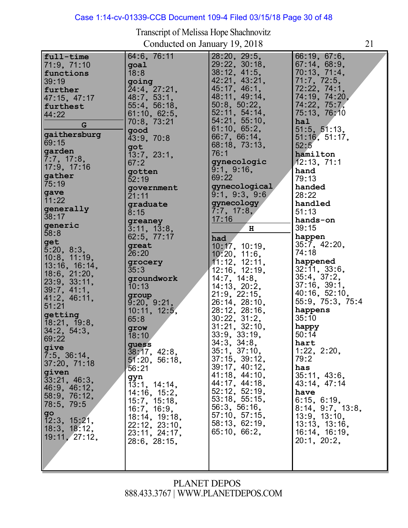# Case 1:14-cv-01339-CCB Document 109-4 Filed 03/15/18 Page 30 of 48

| full-time<br>71:9, 71:10<br>functions<br>39:19<br>further<br>47:15, 47:17<br>furthest<br>44:22<br>G<br>gaithersburg<br>69:15<br>garden<br>7:7, 17:8,<br>17:9, 17:16<br>gather<br>75:19<br>gave<br>11:22<br>generally<br>38:17<br>generic<br>58:8<br>get<br>5:20, 8:3,<br>$10:8$ , $11:19$ ,<br>13:16, 16:14,<br>$18:6$ , $21:20$ ,<br>23:9, 33:11,<br>39:7, 41:1,<br>41:2, 46:11,<br>51:21<br>getting<br>18:21, 19:8,<br>34:2, 54:3,<br>69:22<br>give<br>7:5, 36:14,<br>37:20, 71:18<br>given<br>33:21, 46:3,<br> 46:9, 46:12,<br>58:9, 76:12,<br>78:5, 79:5 | 64:6, 76:11<br>goal<br>18:8<br>going<br>24:4, 27:21.<br>48:7, 53:1,<br>$55:4$ , $56:18$ ,<br>61:10, 62:5,<br>70:8, 73:21<br>good<br>43:9, 70:8<br>got<br>$\overline{1}3.7, 23.1,$<br>67:2<br>gotten<br>52:19<br>government<br>21:11<br>graduate<br>8:15<br>greaney<br>3:11, 13:8,<br>62:5, 77:17<br>great<br>26:20<br>grocery<br>35:3<br>groundwork<br>10:13<br>group<br>9:20, 9:21,<br>10:11, 12:5,<br>65:8<br>grow<br>18:10<br>guess<br>38:17, 42:8,<br>51:20, 56:18,<br>56:21<br>gyn<br>$1\overline{3}$ : 1, 14: 14,<br>14:16, 15:2,<br>15:7, 15:18,<br>16:7, 16:9, | 28:20, 29:5,<br>29:22, 30:18,<br>38:12, 41:5,<br>42:21, 43:21,<br>45:17, 46:1,<br>48:11, 49:14,<br>50:8, 50:22,<br>52:11, 54:14,<br>54:21, 55:10,<br>61:10, 65:2,<br>66.7, 66.14,<br>68:18, 73:13,<br>76:1<br>gynecologic<br>9:1, 9:16,<br>69:22<br>gynecological<br>9:1, 9:3, 9:6<br>gynecology<br>7:7, 17:8,<br>17:16<br>H<br>had<br>10:17, 10:19,<br>10:20, 11:6,<br>11:12, 12:11,<br>12:16, 12:19,<br>14:7, 14:8,<br>14:13, 20:2,<br>21:9, 22:15,<br>26:14, 28:10,<br>28:12, 28:16,<br>$30:22$ , $31:2$ ,<br>31:21, 32:10,<br>33:9, 33:19,<br>34:3, 34:8,<br>35:1, 37:10,<br>$37:15$ , $39:12$ ,<br>39:17, 40:12,<br>41:18, 44:10,<br>44:17, 44:18,<br>52:12, 52:19,<br>53:18, 55:15,<br>56:3, 56:16, | 66:19, 67:6,<br>67:14, 68:9,<br>70:13, 71:4,<br>71.7, 72.5,<br>72:22, 74:1,<br>74:19, 74:20,<br>74.22, 75.7,<br>75:13, 76:10<br>hal<br>51:5, 51:13,<br>51:16, 51:17,<br>52:5<br>hamilton<br>12:13, 71:1<br>hand<br>79:13<br>handed<br>28:22<br>handled<br>51:13<br>hands-on<br>39:15<br>happen<br>35:7, 42:20,<br>74:18<br>happened<br>32:11, 33:6,<br>35:4, 37:2,<br>$37:16$ , $39:1$ ,<br>40:16, 52:10,<br>55:9, 75:3, 75:4<br>happens<br>35:10<br>happy<br>50:14<br>hart<br>1:22, 2:20,<br>79:2<br>has<br>35:11, 43:6,<br>43:14, 47:14<br>have<br>6:15, 6:19,<br>$8:14$ , $9:7$ , $13:8$ , |
|--------------------------------------------------------------------------------------------------------------------------------------------------------------------------------------------------------------------------------------------------------------------------------------------------------------------------------------------------------------------------------------------------------------------------------------------------------------------------------------------------------------------------------------------------------------|------------------------------------------------------------------------------------------------------------------------------------------------------------------------------------------------------------------------------------------------------------------------------------------------------------------------------------------------------------------------------------------------------------------------------------------------------------------------------------------------------------------------------------------------------------------------|-----------------------------------------------------------------------------------------------------------------------------------------------------------------------------------------------------------------------------------------------------------------------------------------------------------------------------------------------------------------------------------------------------------------------------------------------------------------------------------------------------------------------------------------------------------------------------------------------------------------------------------------------------------------------------------------------------------|-----------------------------------------------------------------------------------------------------------------------------------------------------------------------------------------------------------------------------------------------------------------------------------------------------------------------------------------------------------------------------------------------------------------------------------------------------------------------------------------------------------------------------------------------------------------------------------------------|
| $g$ o<br>$\overline{12:3, 15:21}$ ,<br>18:3, 18:12,<br>  19:11, 27:12,                                                                                                                                                                                                                                                                                                                                                                                                                                                                                       | 18:14, 19:18,<br>22:12, 23:10,<br>23:11, 24:17,<br>28:6, 28:15,                                                                                                                                                                                                                                                                                                                                                                                                                                                                                                        | 57:10, 57:15,<br>58:13, 62:19,<br>65.10, 66.2,                                                                                                                                                                                                                                                                                                                                                                                                                                                                                                                                                                                                                                                            | 13.9, 13.10,<br>13.13, 13.16,<br>16:14, 16:19,<br>20:1, 20:2,                                                                                                                                                                                                                                                                                                                                                                                                                                                                                                                                 |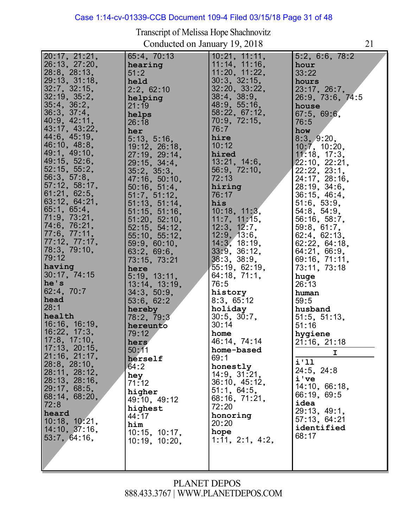#### Case 1:14-cv-01339-CCB Document 109-4 Filed 03/15/18 Page 31 of 48

20:17, 21:21, 20:17, 21:21,<br>26:13, 27:20, 26:13, 27:20<br>28:8, 28:13,<br>28:48: 24:48 28:8, 28:13,<br>29:13, 31:18,<br>22.7 32:7, 32:15, 32:19, 35:2, 32:19, 35:2<br>35:4, 36:2, 35:4, 36:2,<br>36:3, 37:4,<br>48:0, 49 36:3, 37:4,<br>40:9, 42:11,<br>48, 47, 48, 88 43:17, 43:22, 44:6, 45:19, 46:10, 48:8, 49:1, 49:10, 49:1, 49:10,<br>49:15, 52:6,<br>53,15, 55.0, 49:15, 52:0,<br>52:15, 55:2,<br>53.3 52:15,55:2<br>56:3,57:8, 57:12, 58:17, 57:12, 58:17<br>61:21, 62:5, 61:21, 62:5,<br>63:12, 64:21, 65:1, 65:4, 00:1, 00:4,<br>71:9, 73:21,<br>71.3. 73.21, 71:9, 73:21,<br>74:6, 76:21,<br>-- - -- --77:6, 77:11, 77:0, 77:11,<br>77:12, 77:17,<br>78.3 77:12, 77:17<br>78:3, 79:10,<br>73.13 79:12 **having** 30:17, 74:15 **he's** 62:4, 70:7 **head** 28:1 **health nealth<br>16:16, 16:19,<br>18.28, 17.2** 16:22, 17:3, 16:22, 17:3,<br>17:8, 17:10,<br>17:48 17:3, 17:10,<br>17:13, 20:15,<br>21:16, 21:17, 28:8, 28:10, 28:8, 28:10,<br>28:11, 28:12, 28:11, 28:12,<br>28:13, 28:16,<br>28.17, 28.5 29:17, 68:5, 68:14, 68:20, 72:8 **heard** neard<br>10:18, 10:21,<br>11:18, 27:18 10:18, 10:21,<br>14:10, 37:16, 53:7, 64:16, 65:4, 70:13 **hearing** 51:2 **held** 2:2, 62:10 **helping** 21:19 **helps** 26:18 **her** 5:13, 5:16, 5:13, 5:16,<br>19:12, 26:18,<br>37:12, 38:11, 19:12, 26:18,<br>27:19, 29:14, 27:19, 29:14<br>29:15, 34:4, 29:15, 34:4<br>35:2, 35:3,<br>47.48 35:2, 35:3,<br>47:16, 50:10,<br>== 47:16, 50:10<br>50:16, 51:4,<br>51:3 50:16, 51:4,<br>51:7, 51:12,<br>51:10 51:7, 51:12,<br>51:13, 51:14,<br>51-15, 51-10, 51:13, 51:14,<br>51:15, 51:16,<br>-4, 22, 52, 42, 51:15, 51:16,<br>51:20, 52:10,<br>53, 15, 51, 10, 51:20, 52:10,<br>52:15, 54:12,<br>55.18, 55.18 52:15,54:12,<br>55:10,55:12, 55:10, 55:12<br>59:9, 60:10,<br>33:33 63:2, 69:6, 73:15, 73:21 **here** 5:19, 13:11, 5:19, 13:11,<br>13:14, 13:19,<br>21.2. 52.2. 13:14, 13:1<br>34:3, 50:9, 53:6, 62:2 **hereby** 78:2, 79:3 **hereunto** 79:12 **hers** 50:11 **herself** 64:2 **hey** 71:12 **higher** 49:10, 49:12 **highest** 44:17 **him** 10:15, 10:17, 10:19, 10:20,  $\frac{1}{10:21, 11:11,}$ 10:21, 11:11,<br>11:14, 11:16,<br>*11*:22, *11*:22, 11:14, 11:16,<br>11:20, 11:22,<br>22.32.45 30:3, 32:15, 32:20, 33:22, 38:4, 38:9, 38:4, 38:9,<br>48:9, 55:16,<br>= 58:22, 67:12, 70:9, 72:15, 76:7 **hire** 10:12 **hired** 13:21, 14:6, 56:9, 72:10, 72:13 **hiring** 76:17 **his** 10:18, 11:3, 11:7, 11:15, 11:7,11:15<br>12:3,12:7, 12:3, 12:7,<br>12:9, 13:6,<br>41:3, 13:43 12:9, 13:0,<br>14:3, 18:19, 33:9, 36:12, 38:3, 38:9, 55:19, 62:19, 64:18, 71:1, 76:5 **history** 8:3, 65:12 **holiday** 30:5, 30:7, 30:14 **home** 46:14, 74:14 **home-based** 69:1 **honestly** 14:9, 31:21, 36:10, 45:12, 51:1, 64:5, 68:16, 71:21, 72:20 **honoring** 20:20 **hope** 1:11, 2:1, 4:2, 5:2, 6:6, 78:2 **hour** 33:22 **hours** 23:17, 26:7, 26:9, 73:6, 74:5 **house** 67:5, 69:6, 76:5 **how** 8:3, 9:20, 8:3, 9:20,<br>10:7, 10:20,<br>11:12 10:7,10:20,<br>11:18,17:3, 17:18, 17:3,<br>22:10, 22:21, 22:22, 23:1, 22:22, 23:1,<br>24:17, 28:16,<br>22:42, 24:2 24:17, 28:16<br>28:19, 34:6, 36:15, 46:4, 51:6, 53:9, 54:8, 54:9, 56:16, 58:7, 59:8, 61:7, 62:4, 62:13, 62:22, 64:18, 64:21, 66:9, 69:16, 71:11, 73:11, 73:18 **huge** 26:13 **human** 59:5 **husband** 51:5, 51:13, 51:16 **hygiene** 21:16, 21:18 **I i'll** 24:5, 24:8 **i've** 14:10, 66:18, 66:19, 69:5 **idea** 29:13, 49:1, 57:13, 64:21 **identified** 68:17

#### Transcript of Melissa Hope Shachnovitz Conducted on January 19, 2018 21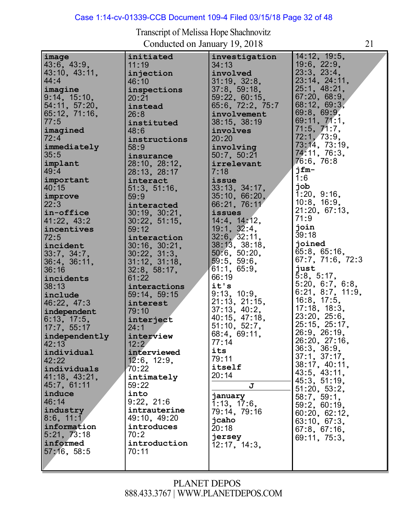#### Case 1:14-cv-01339-CCB Document 109-4 Filed 03/15/18 Page 32 of 48

| image               | initiated           | investigation            | 14:12, 19:5,      |
|---------------------|---------------------|--------------------------|-------------------|
| 43:6, 43:9,         | 11:19               | 34:13                    | $19:6$ , $22:9$ , |
| 43:10, 43:11,       | injection           | involved                 | 23.3, 23.4,       |
| 44:4                | 46:10               | 31:19, 32:8,             | 23:14, 24:11,     |
|                     |                     |                          | 25:1, 48:21,      |
| imagine             | inspections         | 37:8, 59:18,             |                   |
| 9:14, 15:10,        | 20:21               | 59:22, 60:15             | 67:20, 68:9,      |
| 54:11, 57:20,       | instead             | 65:6, 72:2, 75:7         | 68:12, 69:3,      |
| $65:12$ , $71:16$ , | 26:8                | involvement              | 69:8, 69:9,       |
| 77:5                | instituted          | 38:15, 38:19             | 69:11, 71:1,      |
| imagined            | 48:6                | involves                 | 71:5, 71:7,       |
| 72:4                |                     | 20:20                    | 72.1,73.9,        |
|                     | instructions        |                          | 73:14, 73:19,     |
| immediately         | 58:9                | involving                | 74.11, 76:3,      |
| 35:5                | insurance           | 50:7, 50:21              |                   |
| implant             | 28:10, 28:12,       | irrelevant               | 76:6, 76:8        |
| 49:4                | 28:13, 28:17        | 7:18                     | jfm-              |
| important           | interact            | issue                    | 1:6               |
| 40:15               | 51:3, 51:16,        | 33:13, 34:17,            | job               |
| improve             | 59:9                | 35:10, 66:20,            | 1:20, 9:16,       |
| 22:3                |                     | 66:21, 76:11             | 10.8, 16.9,       |
|                     | interacted          |                          | 21:20, 67:13,     |
| in-office           | 30:19, 30:21,       | issues                   | 71:9              |
| 41:22, 43:2         | 30:22, 51:15,       | 14.4, 14.12,             |                   |
| incentives          | 59:12               | 19:1, 32:4,              | join              |
| 72:5                | interaction         | 32:6, 32:11,             | 39:18             |
| incident            | $30:16$ , $30:21$ , | 38:13, 38:18,            | joined            |
| 33:7, 34:7,         | 30:22, 31:3,        | 50.6, 50.20,             | 65:8, 65:16,      |
| $36:4$ , $36:11$ ,  | 31:12, 31:18,       | 59:5, 59:6,              | 67.7, 71.6, 72.3  |
|                     |                     | 61:1, 65:9,              | just              |
| 36:16               | 32:8, 58:17,        |                          | 5:8, 5:17,        |
| incidents           | 61:22               | 66:19                    |                   |
| 38:13               | interactions        | it's                     | 5:20, 6:7, 6:8,   |
| include             | 59:14, 59:15        | 9:13, 10:9,              | 6:21, 8:7, 11:9,  |
| 46:22, 47:3         | interest            | 21:13, 21:15,            | 16:8, 17:5,       |
| independent         | 79:10               | 37:13, 40:2,             | 17:18, 18:3,      |
| 6:13, 17:5,         | interject           | 40:15, 47:18,            | 23:20, 25:6,      |
| 17:7, 55:17         | 24:1                | 51:10, 52:7,             | 25:15, 25:17,     |
|                     |                     | 68.4, 69.11,             | 26.9, 26.19,      |
| independently       | interview           | 77:14                    | 26:20, 27:16,     |
| 42:13               | 12:2                |                          | 36:3, 36:9,       |
| individual          | interviewed         | its                      | 37.1, 37.17,      |
| 42:22               | $12:6$ , $12:9$ ,   | 79:11                    |                   |
| individuals         | 70:22               | itself                   | 38:17, 40:11,     |
| 41:18, 43:21,       | intimately          | 20:14                    | 43:5, 43:11,      |
| 45:7, 61:11         | 59:22               | J                        | 45:3, 51:19,      |
| induce              | into                |                          | 51:20, 53:2,      |
|                     |                     | january                  | 58:7, 59:1,       |
| 46:14               | 9:22, 21:6          | $\overline{1:}13, 17:6,$ | 59:2, 60:19,      |
| industry            | intrauterine        | 79:14, 79:16             | 60:20, 62:12,     |
| 8:6, 11:1           | 49:10, 49:20        | jcaho                    | 63:10, 67:3,      |
| information         | introduces          | 20:18                    | 67:8, 67:16,      |
| 5:21, 73:18         | 70:2                | jersey                   | 69:11, 75:3,      |
| informed            | introduction        | 12:17, 14:3,             |                   |
| 57:16, 58:5         | 70:11               |                          |                   |
|                     |                     |                          |                   |
|                     |                     |                          |                   |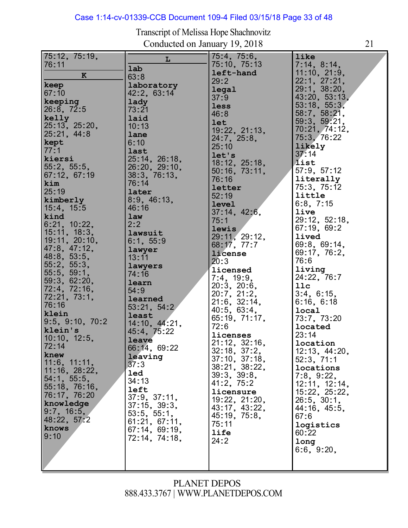# Case 1:14-cv-01339-CCB Document 109-4 Filed 03/15/18 Page 33 of 48

| 75:12, 75:19,   |               | 75:4, 75:6,                   | like          |
|-----------------|---------------|-------------------------------|---------------|
| 76:11           | L             | 75:10, 75:13                  |               |
|                 | lab           |                               | 7:14, 8:14,   |
| ${\bf K}$       | 63:8          | left-hand                     | 11:10, 21:9,  |
|                 |               | 29:2                          | 22:1, 27:21,  |
| keep            | laboratory    |                               | 29:1, 38:20,  |
| 67:10           | 42:2, 63:14   | legal                         |               |
| keeping         | lady          | 37:9                          | 43:20, 53:13, |
|                 |               | less                          | 53:18, 55:3,  |
| 26:8, 72:5      | 73:21         | 46:8                          | 58:7, 58:21,  |
| kelly           | laid          |                               | 59:3, 59:21,  |
| 25:13, 25:20,   | 10:13         | <b>let</b>                    |               |
| 25:21, 44:8     |               | 19:22, 21:13,                 | 70:21, 74:12, |
|                 | lane          | 24.7, 25.8,                   | 75:3, 76:22   |
| kept            | 6:10          | 25:10                         | likely        |
| 77:1            | last          |                               | 37.14         |
| kiersi          | 25:14, 26:18, | let's                         |               |
|                 |               | 18:12, 25:18,                 | list          |
| 55:2, 55:5,     | 26:20, 29:10, | 50:16, 73:11,                 | 57:9, 57:12   |
| 67:12, 67:19    | 38:3, 76:13,  | 76:16                         | literally     |
| kim             | 76:14         |                               |               |
| 25:19           | later         | letter                        | 75.3, 75.12   |
|                 |               | 52:19                         | little        |
| kimberly        | 8:9, 46:13,   | <b>level</b>                  | 6:8, 7:15     |
| 15:4, 15:5      | 46:16         | 37:14, 42:6,                  | live          |
| kind            | law           |                               |               |
| 6:21, 10:22,    | 2:2           | 75:1                          | 29:12, 52:18, |
|                 |               | lewis                         | 67:19, 69:2   |
| 15:11, 18:3,    | lawsuit       | 29:11, 29:12,                 | lived         |
| 19:11, 20:10,   | 6:1, 55:9     | 68:17, 77:7                   | 69:8, 69:14,  |
| 47:8, 47:12,    | lawyer        |                               |               |
| 48:8, 53:5,     | 13:11         | license                       | 69:17, 76:2,  |
| 55:2, 55:3,     |               | 20:3                          | 76:6          |
|                 | lawyers       | licensed                      | living        |
| 55:5, 59:1,     | 74:16         | 7:4, 19:9,                    | 24:22, 76:7   |
| 59:3, 62:20,    | learn         |                               |               |
| 72:4, 72:16,    | 54:9          | 20:3, 20:6,                   | 11c           |
| 72:21, 73:1,    |               | 20:7, 21:2,                   | 3:4, 6:15,    |
|                 | learned       | $21:6$ , $32:14$ ,            | 6:16, 6:18    |
| 76:16           | 53:21, 54:2   | 40:5, 63:4,                   | local         |
| klein           | least         |                               |               |
| 9:5, 9:10, 70:2 | 14:10, 44:21, | 65.19, 71.17,                 | 73:7, 73:20   |
| klein's         |               | 72:6                          | located       |
|                 | 45:4, 75:22   | licenses                      | 23:14         |
| 10:10, 12:5,    | leave         |                               | location      |
| 72:14           | 66:14, 69:22  | 21:12, 32:16,<br>32:18, 37:2, |               |
| knew            | leaving       |                               | 12:13, 44:20, |
| 11:6, 11:11,    |               | 37:10, 37:18,                 | 52:3, 71:1    |
|                 | 37:3          | 38:21, 38:22,                 | locations     |
| 11:16, 28:22,   | led           | 39:3, 39:8,                   | 7:8, 9:22,    |
| 54:1, 55:5,     | 34:13         |                               |               |
| 55:18, 76:16,   | left          | 41:2, 75:2                    | 12:11, 12:14, |
| 76:17, 76:20    |               | licensure                     | 15:22, 25:22, |
|                 | 37:9, 37:11.  | 19:22, 21:20,                 | 26:5, 30:1,   |
| knowledge       | 37:15, 39:3,  | 43:17, 43:22,                 | 44:16, 45:5,  |
| 9:7, 16:5,      | 53:5, 55:1,   | 45:19, 75:8,                  | 67:6          |
| 48:22, 57:2     | 61:21, 67:11, |                               |               |
| knows           | 67:14, 69:19, | 75:11                         | logistics     |
| 9:10            |               | <b>life</b>                   | 60:22         |
|                 | 72:14, 74:18, | 24:2                          | long          |
|                 |               |                               | 6:6, 9:20,    |
|                 |               |                               |               |
|                 |               |                               |               |
|                 |               |                               |               |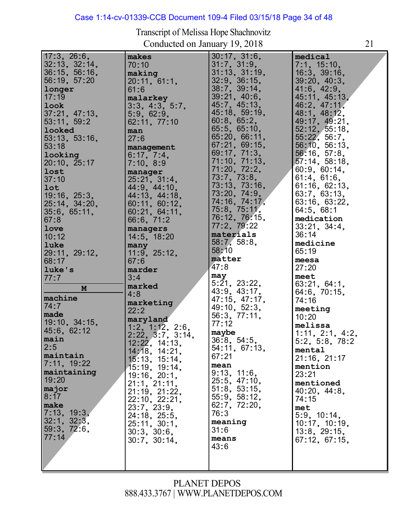# Case 1:14-cv-01339-CCB Document 109-4 Filed 03/15/18 Page 34 of 48

| 17:3, 26:6,<br>32:13, 32:14,<br>36:15, 56:16,<br>56:19, 57:20<br>longer<br>17:19<br>look<br>37:21, 47:13,<br>53:11, 59:2<br>looked<br>53:13, 53:16,<br>53:18<br>looking<br>20:10, 25:17<br>lost<br>37:10<br>lot<br>19:16, 25:3,<br>25:14, 34:20,<br>35:6, 65:11,<br>67:8<br>love<br>10:12<br>luke<br>29:11, 29:12,<br>68:17<br>luke's<br>77:7<br>M<br>machine<br>74:7<br>made<br>19:10, 34:15,<br>45:6, 62:12<br>main<br>2:5<br>maintain<br>7:11, 19:22<br>maintaining<br>19:20<br>major<br>8:17<br>make<br>7:13, 19:3,<br>32:1, 32:3,<br>59:3, 72:6,<br>77:14 | makes<br>70:10<br>making<br>20:11, 61:1,<br>61:6<br>malarkey<br>3:3, 4:3, 5:7,<br>5:9, 62:9,<br>62:11, 77:10<br>man<br>27:6<br>management<br>6:17, 7:4,<br>7:10, 8:9<br>manager<br>25:21, 31:4,<br>44:9, 44:10,<br>44:13, 44:18,<br>60:11, 60:12,<br>60:21, 64:11,<br>66:6, 71:2<br>managers<br>14:5, 18:20<br>many<br>11:9, 25:12,<br>67:6<br>marder<br>3:4<br>marked<br>4:8<br>marketing<br>22:2<br>maryland<br>1:2, 1:12, 2:6,<br>2:22, 3:7, 3:14,<br>12:22, 14:13,<br>14:18, 14:21,<br>15:13, 15:14,<br>15:19, 19:14,<br>19:16, 20:1,<br>21:1, 21:11,<br>21:19, 21:22,<br>22:10, 22:21,<br>23:7, 23:9,<br>24:18, 25:5,<br>25:11, 30:1,<br>30:3, 30:6,<br>30:7, 30:14, | $30:17$ , $31:6$ ,<br>31:7, 31:9,<br>31:13, 31:19,<br>32:9, 36:15,<br>38:7, 39:14,<br>39:21, 40:6,<br>45.7, 45.13,<br>45:18, 59:19,<br>60:8, 65:2,<br>65:5, 65:10,<br>65:20, 66:11,<br>67:21, 69:15,<br>69:17, 71:3,<br>71:10, 71:13,<br>71:20, 72:2,<br>73:7, 73:8,<br>73:13, 73:16,<br>73:20, 74:9.<br>74:16, 74:17,<br>75:8, 75:11,<br>76:12, 76:15,<br>77:2, 79:22<br>materials<br>58:7, 58:8,<br>58:10<br>matter<br>47:8<br>may<br>5:21, 23:22,<br>43:9, 43:17,<br>47:15, 47:17,<br>49:10, 52:3,<br>56:3, 77:11,<br>77:12<br>maybe<br>36:8, 54:5,<br>54:11, 67:13,<br>67:21<br>mean<br>9:13, 11:6,<br>25:5, 47:10,<br>51:8, 53:15,<br>55:9, 58:12,<br>62:7, 72:20,<br>76:3<br>meaning<br>31:6<br>means<br>43:6 | medical<br>7:1, 15:10,<br>$16:3$ , $39:16$ ,<br>39:20, 40:3,<br>41.6, 42.9,<br>45:11, 45:13,<br>46:2, 47:11,<br>48:1, 48:12,<br>49:17, 49:21,<br>52:12, 55:18,<br>55:22, 56:7,<br>56:10, 56:13,<br>56.16, 57.8,<br>57:14, 58:18,<br>60:9, 60:14,<br>61:4, 61:6,<br>61:16, 62:13,<br>63:7, 63:13,<br>63:16, 63:22,<br>64:5, 68:1<br>medication<br>33:21, 34:4,<br>36:14<br>medicine<br>65:19<br>meesa<br>27:20<br>meet<br>63:21, 64:1,<br>64:6, 70:15,<br>74:16<br>meeting<br>10:20<br>melissa<br>1:11, 2:1, 4:2,<br>5:2, 5:8, 78:2<br>mental<br>$21:16$ , $21:17$<br>mention<br>23:21<br>mentioned<br>40.20, 44.8<br>74:15<br>met<br>5:9, 10:14,<br>10:17, 10:19,<br>$13:8$ , $29:15$ ,<br>67:12, 67:15, |
|----------------------------------------------------------------------------------------------------------------------------------------------------------------------------------------------------------------------------------------------------------------------------------------------------------------------------------------------------------------------------------------------------------------------------------------------------------------------------------------------------------------------------------------------------------------|---------------------------------------------------------------------------------------------------------------------------------------------------------------------------------------------------------------------------------------------------------------------------------------------------------------------------------------------------------------------------------------------------------------------------------------------------------------------------------------------------------------------------------------------------------------------------------------------------------------------------------------------------------------------------|---------------------------------------------------------------------------------------------------------------------------------------------------------------------------------------------------------------------------------------------------------------------------------------------------------------------------------------------------------------------------------------------------------------------------------------------------------------------------------------------------------------------------------------------------------------------------------------------------------------------------------------------------------------------------------------------------------------------|----------------------------------------------------------------------------------------------------------------------------------------------------------------------------------------------------------------------------------------------------------------------------------------------------------------------------------------------------------------------------------------------------------------------------------------------------------------------------------------------------------------------------------------------------------------------------------------------------------------------------------------------------------------------------------------------------------|
|                                                                                                                                                                                                                                                                                                                                                                                                                                                                                                                                                                |                                                                                                                                                                                                                                                                                                                                                                                                                                                                                                                                                                                                                                                                           |                                                                                                                                                                                                                                                                                                                                                                                                                                                                                                                                                                                                                                                                                                                     |                                                                                                                                                                                                                                                                                                                                                                                                                                                                                                                                                                                                                                                                                                          |
|                                                                                                                                                                                                                                                                                                                                                                                                                                                                                                                                                                |                                                                                                                                                                                                                                                                                                                                                                                                                                                                                                                                                                                                                                                                           |                                                                                                                                                                                                                                                                                                                                                                                                                                                                                                                                                                                                                                                                                                                     |                                                                                                                                                                                                                                                                                                                                                                                                                                                                                                                                                                                                                                                                                                          |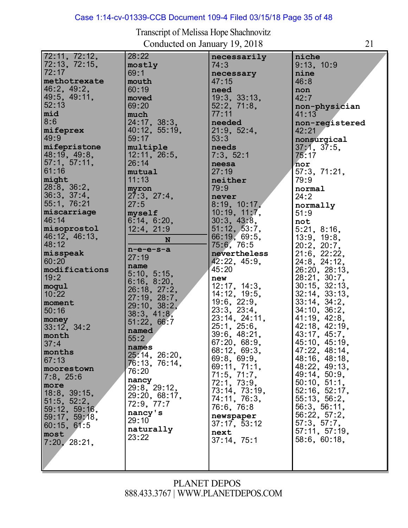# Case 1:14-cv-01339-CCB Document 109-4 Filed 03/15/18 Page 35 of 48

| 72:11, 72:12,  | 28:22         | necessarily       | niche               |
|----------------|---------------|-------------------|---------------------|
| 72:13, 72:15,  | mostly        | 74:3              | 9:13, 10:9          |
| 72:17          | 69:1          | necessary         | nine                |
| methotrexate   | mouth         | 47:15             | 46:8                |
| 46:2, 49:2,    | 60:19         | need              |                     |
| 49:5, 49:11,   |               | 19:3, 33:13,      | non<br>42:7         |
| 52:13          | moved         |                   |                     |
|                | 69:20         | 52:2, 71:8,       | non-physician       |
| mid            | much          | 77:11             | 41:13               |
| 8:6            | 24:17, 38:3,  | needed            | non-registered      |
| mifeprex       | 40:12, 55:19, | 21:9, 52:4,       | 42:21               |
| 49:9           | 59:17         | 53:3              | nonsurgical         |
| mifepristone   | multiple      | needs             | 37:1, 37:5,         |
| 48:19, 49:8,   | 12:11, 26:5,  | 7:3, 52:1         | 75:17               |
| 57:1, 57:11,   | 26:14         | neesa             | nor                 |
| 61:16          | mutual        | 27:19             | 57:3, 71:21,        |
| might          | 11:13         | neither           | 79:9                |
| 28:8, 36:2,    | myron         | 79:9              | normal              |
| 36:3, 37:4,    | 27:3, 27:4,   | never             | 24:2                |
| 55:1, 76:21    | 27:5          | 8:19, 10:17,      | normally            |
| miscarriage    | myself        | 10:19, 11:7,      | 51:9                |
| 46:14          | 6:14, 6:20,   | 30:3, 43:8,       | not                 |
| misoprostol    | 12:4, 21:9    | 51:12, 53:7,      | 5:21, 8:16,         |
| 46:12, 46:13,  |               | 66:19, 69:5,      | 13:9, 19:8,         |
| 48:12          | N             | 75:6, 76:5        | $20:2$ , $20:7$ ,   |
| misspeak       | $n-e-e-s-a$   | nevertheless      | $21:6$ , $22:22$ ,  |
| 60:20          | 27:19         | 42:22, 45:9,      | 24:8, 24:12,        |
| modifications  | name          | 45:20             | 26:20, 28:13,       |
| 19:2           | 5:10, 5:15,   |                   |                     |
|                | 6:16, 8:20,   | new               | 28:21, 30:7,        |
| mogul          | 26:18, 27:2,  | 12:17, 14:3,      | $30:15$ , $32:13$ , |
| 10:22          | 27:19, 28:7,  | 14:12, 19:5,      | 32:14, 33:13,       |
| moment         | 29:10, 38:2,  | $19:6$ , $22:9$ , | 33:14, 34:2,        |
| 50:16          | 38:3, 41:8,   | 23:3, 23:4,       | 34:10, 36:2,        |
| money          | 51:22, 66:7   | 23:14, 24:11,     | 41:19, 42:8,        |
| 33:12, 34:2    | named         | 25:1, 25:6,       | 42:18, 42:19,       |
| month          | 55:2          | 39:6, 48:21,      | 43:17, 45:7,        |
| 37:4           | names         | 67.20, 68.9,      | 45:10, 45:19,       |
| months         | 25:14, 26:20, | 68:12, 69:3,      | 47:22, 48:14,       |
| 67:13          | 76:13, 76:14, | 69:8, 69:9,       | 48:16, 48:18,       |
| moorestown     | 76:20         | 69:11, 71:1,      | 48:22, 49:13,       |
| $7:8$ , $25:6$ | nancy         | 71:5, 71:7,       | 49:14, 50:9,        |
| more           | 29:8, 29:12,  | 72:1, 73:9,       | 50:10, 51:1,        |
| 18:8, 39:15,   | 29.20, 68.17, | 73:14, 73:19,     | 52:16, 52:17,       |
| 51:5, 52:2,    | 72:9, 77:7    | 74:11, 76:3,      | 55:13, 56:2,        |
| 59:12, 59:16,  | nancy's       | 76.6, 76.8        | 56.3, 56.11,        |
| 59:17, 59:18,  | 29:10         | newspaper         | 56:22, 57:2,        |
| 60:15, 61:5    |               | 37:17, 53:12      | 57:3, 57:7,         |
| most           | naturally     | next              | 57:11, 57:19,       |
| 7:20, 28:21,   | 23:22         | 37:14, 75:1       | 58:6, 60:18,        |
|                |               |                   |                     |
|                |               |                   |                     |
|                |               |                   |                     |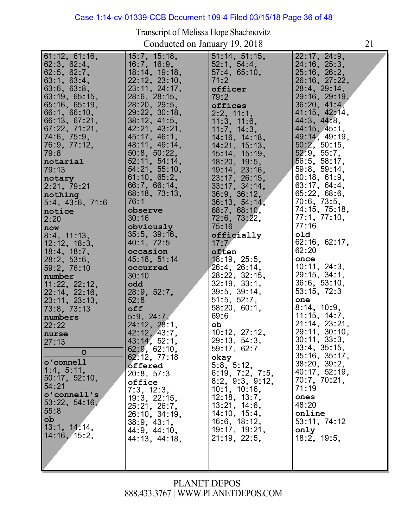# Case 1:14-cv-01339-CCB Document 109-4 Filed 03/15/18 Page 36 of 48

Transcript of Melissa Hope Shachnovitz Conducted on January 19, 2018 21

| 61:12, 61:16,<br>62:3, 62:4,<br>62:5, 62:7,<br>63:1, 63:4,<br>63:6, 63:8,<br>63:19, 65:15,<br>65:16, 65:19,<br>66:1, 66:10,<br>66:13, 67:21,<br>67:22, 71:21,<br>74:6, 75:9,<br>76:9, 77:12,<br>79:8<br>notarial<br>79:13<br>notary<br>2:21, 79:21<br>nothing<br>5:4, 43:6, 71:6<br>notice<br>2:20<br>now<br>8:4, 11:13,<br>12:12, 18:3,<br>18:4, 18:7,<br>28:2, 53:6,<br>59:2, 76:10<br>number<br>11:22, 22:12,<br>22:14, 22:16,<br>23:11, 23:13,<br>73:8, 73:13<br>numbers<br>22:22<br>nurse<br>27:13<br>$\mathbf O$<br>o'connell | 15:7, 15:18,<br>16:7, 16:9,<br>18:14, 19:18,<br>22:12, 23:10,<br>23:11, 24:17,<br>$28:6$ , $28:15$<br>28:20, 29:5,<br>29:22, 30:18,<br>38:12, 41:5,<br>42:21, 43:21,<br>45:17, 46:1,<br>48:11, 49:14,<br>50:8, 50:22,<br>52:11, 54:14,<br>54:21, 55:10,<br>61:10, 65:2,<br>66:7, 66:14,<br>68:18, 73:13,<br>76:1<br>observe<br>30:16<br>obviously<br>35:5, 39:16,<br>40:1, 72:5<br>occasion<br>45:18, 51:14<br>occurred<br>30:10<br>odd<br>28:9, 52:7,<br>52:8<br>off<br>5:9, 24:7,<br>24:12, 28:1,<br>42:12, 43:7,<br>43:14, 52:1,<br>62:9, 62:10,<br>62:12, 77:18 | 51:14, 51:15,<br>52:1, 54:4,<br>57.4, 65.10,<br>71:2<br>officer<br>79:2<br>offices<br>2:2, 11:1,<br>11:3, 11:6,<br>11:7, 14:3,<br>14:16, 14:18,<br>14:21, 15:13,<br>15:14, 15:19,<br>18:20, 19:5,<br>19:14, 23:16,<br>23:17, 26:15,<br>33:17, 34:14,<br>36.9, 36.12,<br>36.13, 54.14,<br>68:7, 68:10,<br>72:6, 73:22,<br>75:16<br>officially<br>17:7<br>often<br>18:19, 25:5,<br>26:4, 26:14,<br>28:22, 32:15,<br>32:19, 33:1,<br>39:5, 39:14,<br>51:5, 52:7,<br>58:20, 60:1,<br>69:6<br>oh<br>10:12, 27:12,<br>29:13, 54:3,<br>59:17, 62:7<br>okay | 22:17, 24:9,<br>24:16, 25:3,<br>25.16, 26.2,<br>26:16, 27:22,<br>28:4, 29:14,<br>29:16, 29:19,<br>36:20, 41:4,<br>41:15, 42:14,<br>44:3, 44:8,<br>44:15, 45:1,<br>49:14, 49:19,<br>50:2, 50:15,<br>52:9, 55:7,<br>56.5, 58.17,<br>59:8, 59:14,<br>60:18, 61:9,<br>63:17, 64:4,<br>65:22, 68:6,<br>70.6, 73.5,<br>74:15, 75:18,<br>77.1, 77.10,<br>77:16<br>old<br>62:16, 62:17,<br>62:20<br>once<br>10:11, 24:3,<br>29:15, 34:1,<br>36:6, 53:10,<br>53:15, 72:3<br>one<br>8:14, 10:9,<br>11:15, 14:7,<br>21:14, 23:21,<br>29:11, 30:10,<br>30:11, 33:3,<br>33:4, 35:15,<br>$35:16$ , $35:17$ , |
|-------------------------------------------------------------------------------------------------------------------------------------------------------------------------------------------------------------------------------------------------------------------------------------------------------------------------------------------------------------------------------------------------------------------------------------------------------------------------------------------------------------------------------------|---------------------------------------------------------------------------------------------------------------------------------------------------------------------------------------------------------------------------------------------------------------------------------------------------------------------------------------------------------------------------------------------------------------------------------------------------------------------------------------------------------------------------------------------------------------------|-----------------------------------------------------------------------------------------------------------------------------------------------------------------------------------------------------------------------------------------------------------------------------------------------------------------------------------------------------------------------------------------------------------------------------------------------------------------------------------------------------------------------------------------------------|------------------------------------------------------------------------------------------------------------------------------------------------------------------------------------------------------------------------------------------------------------------------------------------------------------------------------------------------------------------------------------------------------------------------------------------------------------------------------------------------------------------------------------------------------------------------------------------------|
|                                                                                                                                                                                                                                                                                                                                                                                                                                                                                                                                     |                                                                                                                                                                                                                                                                                                                                                                                                                                                                                                                                                                     |                                                                                                                                                                                                                                                                                                                                                                                                                                                                                                                                                     |                                                                                                                                                                                                                                                                                                                                                                                                                                                                                                                                                                                                |
| 1:4, 5:11,<br>50:17, 52:10,<br>54:21<br>o'connell's<br>53:22, 54:16,<br>55:8<br>ob<br>13:1, 14:14,<br>14:16, 15:2,                                                                                                                                                                                                                                                                                                                                                                                                                  | offered<br>20:8, 57:3<br>office<br>7:3, 12:3.<br>19:3, 22:15,<br>25:21, 26:7,<br>26:10, 34:19,<br>38:9, 43:1,<br>44.9, 44.10,<br>44:13, 44:18,                                                                                                                                                                                                                                                                                                                                                                                                                      | 5:8, 5:12,<br>6:19, 7:2, 7:5,<br>8:2, 9:3, 9:12,<br>10:1, 10:16,<br>$12:18$ , $13:7$ ,<br>13:21, 14:6,<br>14:10, 15:4,<br>16:6, 18:12,<br>19:17, 19:21,<br>21:19, 22:5,                                                                                                                                                                                                                                                                                                                                                                             | 38:20, 39:2,<br>40:17, 52:19,<br>70:7, 70:21,<br>71:19<br>ones<br>48:20<br>online<br>53:11, 74:12<br>only<br>18:2, 19:5,                                                                                                                                                                                                                                                                                                                                                                                                                                                                       |
|                                                                                                                                                                                                                                                                                                                                                                                                                                                                                                                                     |                                                                                                                                                                                                                                                                                                                                                                                                                                                                                                                                                                     |                                                                                                                                                                                                                                                                                                                                                                                                                                                                                                                                                     |                                                                                                                                                                                                                                                                                                                                                                                                                                                                                                                                                                                                |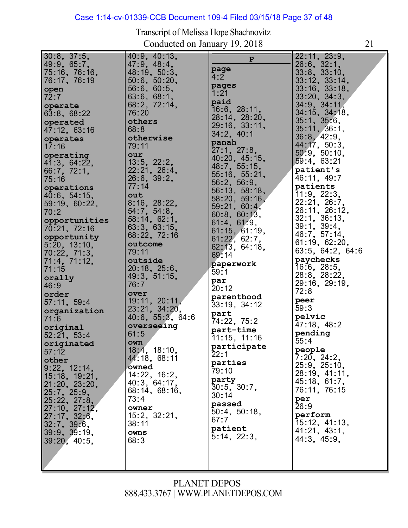# Case 1:14-cv-01339-CCB Document 109-4 Filed 03/15/18 Page 37 of 48

| $30:8$ , $37:5$ ,             | 40:9, 40:13,                | $\mathbf{P}$         | 22:11, 23:9,                 |
|-------------------------------|-----------------------------|----------------------|------------------------------|
| 49:9, 65:7,                   | 47:9, 48:4,                 | page                 | $26:6$ , $32:1$ ,            |
| 75:16, 76:16,                 | 48:19, 50:3,                | 4:2                  | 33.8, 33.10,                 |
| 76:17, 76:19                  | 50:6, 50:20,                | pages                | 33:12, 33:14,                |
| open<br>72:7                  | 56:6, 60:5,                 | 1:21                 | 33:16, 33:18,                |
|                               | 63:6, 68:1,<br>68.2, 72.14, | paid                 | 33:20, 34:3,<br>34.9, 34.11, |
| operate<br>63:8, 68:22        | 76:20                       | 16:6, 28:11,         | 34:15, 34:18,                |
| operated                      | others                      | 28:14, 28:20,        | 35:1, 35:6,                  |
| 47:12, 63:16                  | 68:8                        | 29:16, 33:11,        | 35:11, 36:1,                 |
| operates                      | otherwise                   | 34:2, 40:1           | 36.8, 42.9,                  |
| 17:16                         | 79:11                       | panah<br>27:1, 27:8, | 44:17, 50:3,                 |
| operating                     | our                         | 40:20, 45:15,        | 50:9, 50:10,                 |
| 41:3, 64:22,                  | 13:5, 22:2,                 | 48:7, 55:15,         | 59:4, 63:21                  |
| 66:7, 72:1,                   | 22:21, 26:4,                | 55:16, 55:21,        | patient's<br>46.11, 49.7     |
| 75:16                         | 26.6, 39.2,<br>77:14        | 56:2, 56:9,          | patients                     |
| operations                    |                             | 56:13, 58:18,        | 11.9, 22.3,                  |
| 40:6, 54:15,                  | out<br>8:16, 28:22,         | 58:20, 59:16,        | 22:21, 26:7,                 |
| 59:19, 60:22,<br>70:2         | 54:7, 54:8,                 | 59:21, 60:4,         | 26:11, 26:12,                |
|                               | 58:14, 62:1,                | 60:8, 60:13,         | 32:1, 36:13,                 |
| opportunities<br>70:21, 72:16 | 63:3, 63:15,                | 61:4, 61:9,          | 39:1, 39:4,                  |
| opportunity                   | 68:22, 72:16                | 61:15, 61:19,        | 46:7, 57:14,                 |
| 5:20, 13:10,                  | outcome                     | 61:22, 62:7,         | 61:19, 62:20,                |
| 70:22, 71:3,                  | 79:11                       | 62:13, 64:18,        | 63:5, 64:2, 64:6             |
| 71:4, 71:12,                  | outside                     | 69:14                | paychecks                    |
| 71:15                         | 20:18, 25:6,                | paperwork<br>59:1    | 16.6, 28.5,                  |
| orally                        | 49:3, 51:15,                | par                  | 28:8, 28:22,                 |
| 46:9                          | 76:7                        | 20:12                | 29:16, 29:19,                |
| order                         | over                        | parenthood           | 72:8                         |
| 57:11, 59:4                   | 19:11, 20:11,               | 33:19, 34:12         | peer                         |
| organization                  | 23:21, 34:20,               | part                 | 59:3                         |
| 71:6                          | $40:6$ , $55:3$ , $64:6$    | 74:22, 75:2          | pelvic<br>47:18, 48:2        |
| original                      | overseeing<br>61:5          | part-time            | pending                      |
| 52:21, 53:4                   | own                         | 11:15, 11:16         | 55:4                         |
| originated<br>57:12           | 18:4, 18:10,                | participate          | people                       |
| other                         | 44.18, 68.11                | 22:1                 | 7:20, 24:2,                  |
| 9:22, 12:14,                  | owned                       | parties<br>79:10     | 25:9, 25:10,                 |
| 15:18, 19:21,                 | 14:22, 16:2,                | party                | 28:19, 41:11,                |
| 21:20, 23:20,                 | 40:3, 64:17,                | 30:5, 30:7,          | 45:18, 61:7,                 |
| 25:7, 25:9,                   | 68:14, 68:16,               | 30:14                | 76:11, 76:15                 |
| 25:22, 27:8,                  | 73:4                        | passed               | per                          |
| 27:10, 27:12,                 | owner                       | 50:4, 50:18,         | 26:9                         |
| 27:17, 32:6,                  | 15:2, 32:21,                | 67:7                 | perform<br>15:12, 41:13,     |
| 32:7, 39:6,                   | 38:11                       | patient              | 41:21, 43:1,                 |
| 39:9, 39:19,                  | owns                        | 5:14, 22:3,          | 44:3, 45:9,                  |
| 39:20, 40:5,                  | 68:3                        |                      |                              |
|                               |                             |                      |                              |
|                               |                             |                      |                              |
|                               |                             |                      |                              |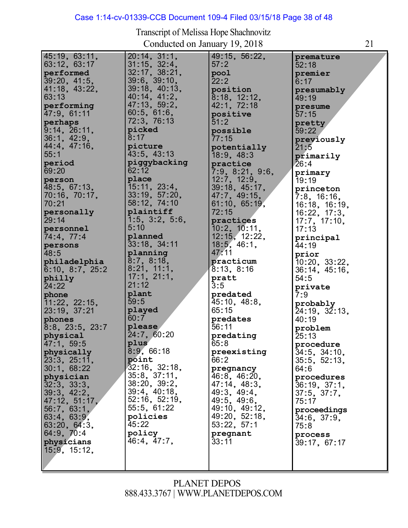# Case 1:14-cv-01339-CCB Document 109-4 Filed 03/15/18 Page 38 of 48

| 45:19, 63:11,<br>63:12, 63:17<br>performed<br>39:20, 41:5,<br>41:18, 43:22,<br>63:13<br>performing<br>47:9, 61:11<br>perhaps<br>9:14, 26:11,<br>36:1, 42:9,<br>44:4, 47:16,<br>55:1<br>period<br>69:20<br>person<br>48:5, 67:13,<br>70:16, 70:17,<br>70:21<br>personally<br>29:14<br>personnel<br>74:4, 77:4<br>persons<br>48:5<br>philadelphia<br>6:10, 8:7, 25:2<br>philly<br>24:22<br>phone<br>11:22, 22:15,<br>23:19, 37:21<br>phones<br>$8:8$ , $23:5$ , $23:7$ | 20:14, 31:1,<br>31:15, 32:4,<br>32:17, 38:21,<br>$39:6$ , $39:10$ ,<br>39:18, 40:13,<br>40:14, 41:2,<br>47:13, 59:2,<br>60:5, 61:6,<br>72:3, 76:13<br>picked<br>8:17<br>picture<br>43:5, 43:13<br>piggybacking<br>62:12<br>place<br>15:11, 23:4,<br>33:19, 57:20,<br>58:12, 74:10<br>plaintiff<br>1:5, 3:2, 5:6,<br>5:10<br>planned<br>33:18, 34:11<br>planning<br>8:7, 8:18,<br>8:21, 11:1,<br>17:1, 21:1,<br>21:12<br>plant<br>59:5<br>played<br>60:7<br>please | 49:15, 56:22,<br>57:2<br>pool<br>22:2<br>position<br>8:18, 12:12,<br>42:1, 72:18<br>positive<br>51:2<br>possible<br>77:15<br>potentially<br>18:9, 48:3<br>practice<br>7:9, 8:21, 9:6,<br>12:7, 12:9,<br>39:18, 45:17,<br>47:7, 49:15,<br>61:10, 65:19,<br>72:15<br>practices<br>$10:2$ , $10:11$ ,<br>12:15, 12:22,<br>18:5, 46:1,<br>47:11<br>practicum<br>8:13, 8:16<br>pratt<br>3:5<br>predated<br>45:10, 48:8,<br>65:15<br>predates<br>56:11 | premature<br>52:18<br>premier<br>6:17<br>presumably<br>49:19<br>presume<br>57:15<br>pretty<br>59:22<br>previously<br>21:5<br>primarily<br>26:4<br>primary<br>19:19<br>princeton<br>7:8, 16:16,<br>16:18, 16:19,<br>16:22, 17:3,<br>17:7, 17:10,<br>17:13<br>principal<br>44:19<br>prior<br>10:20, 33:22,<br>36:14, 45:16,<br>54:5<br>private<br>7:9<br>probably<br>24:19, 32:13,<br>40:19<br>problem |
|----------------------------------------------------------------------------------------------------------------------------------------------------------------------------------------------------------------------------------------------------------------------------------------------------------------------------------------------------------------------------------------------------------------------------------------------------------------------|-------------------------------------------------------------------------------------------------------------------------------------------------------------------------------------------------------------------------------------------------------------------------------------------------------------------------------------------------------------------------------------------------------------------------------------------------------------------|--------------------------------------------------------------------------------------------------------------------------------------------------------------------------------------------------------------------------------------------------------------------------------------------------------------------------------------------------------------------------------------------------------------------------------------------------|------------------------------------------------------------------------------------------------------------------------------------------------------------------------------------------------------------------------------------------------------------------------------------------------------------------------------------------------------------------------------------------------------|
| physical<br>47:1, 59:5<br>physically<br>23:3, 25:11,<br>30:1, 68:22<br>physician<br>32:3, 33:3,<br>39:3, 42:2,<br>47:12, 51:17,<br>56:7, 63:1,<br>63:4, 63:9,<br>63:20, 64:3,<br>64:9, 70:4<br>physicians<br>15:9, 15:12,                                                                                                                                                                                                                                            | 24:7, 60:20<br>plus<br>8:9,66:18<br>point<br>32:16, 32:18,<br>35:8, 37:11,<br>38:20, 39:2,<br>39:4, 40:18,<br>52:16, 52:19,<br>55:5, 61:22<br>policies<br>45:22<br>policy<br>46:4, 47:7,                                                                                                                                                                                                                                                                          | predating<br>65:8<br>preexisting<br>66:2<br>pregnancy<br>46:8, 46:20,<br>47:14, 48:3,<br>49:3, 49:4,<br>49:5, 49:6,<br>49:10, 49:12,<br>49:20, 52:18,<br>53:22, 57:1<br>pregnant<br>33:11                                                                                                                                                                                                                                                        | 25:13<br>procedure<br>34:5, 34:10,<br>35:5, 52:13,<br>64:6<br>procedures<br>36:19, 37:1,<br>37:5, 37:7,<br>75:17<br>proceedings<br>34:6, 37:9,<br>75:8<br>process<br>39:17, 67:17                                                                                                                                                                                                                    |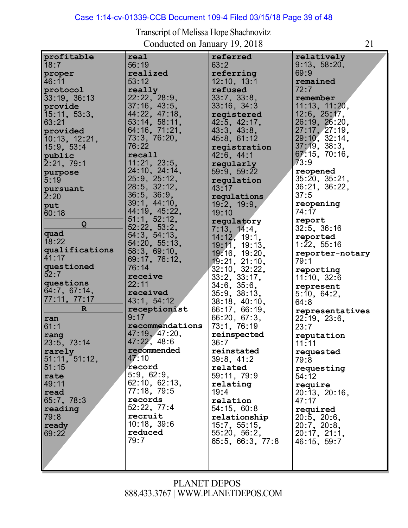# Case 1:14-cv-01339-CCB Document 109-4 Filed 03/15/18 Page 39 of 48

| profitable     | real              | referred         | relatively                    |
|----------------|-------------------|------------------|-------------------------------|
| 18:7           | 56:19             | 63:2             | 9:13, 58:20,                  |
| proper         | realized          | referring        | 69:9                          |
| 46:11          | 53:12             | 12:10, 13:1      | remained                      |
|                |                   |                  |                               |
| protocol       | really            | refused          | 72:7                          |
| 33:19, 36:13   | 22:22, 28:9,      | 33:7, 33:8,      | remember                      |
| provide        | 37:16, 43:5,      | 33:16, 34:3      |                               |
|                | 44:22, 47:18,     |                  | 11:13, 11:20,<br>12:6, 25:17, |
| 15:11, 53:3,   |                   | registered       |                               |
| 63:21          | 53:14, 58:11,     | 42:5, 42:17,     | 26:19, 26:20,                 |
| provided       | 64:16, 71:21,     | 43:3, 43:8,      | 27:17, 27:19,                 |
| 10:13, 12:21,  | 73:3, 76:20,      | 45:8, 61:12      | 29:10, 32:14,                 |
|                | 76:22             |                  | 37:19, 38:3,                  |
| 15:9, 53:4     |                   | registration     |                               |
| public         | recall            | 42:6, 44:1       | 67.15, 70.16,                 |
| 2:21, 79:1     | 11:21, 23:5,      | regularly        | 73:9                          |
|                | 24:10, 24:14,     | 59:9, 59:22      | reopened                      |
| purpose        | 25:9, 25:12,      |                  | 35:20, 35:21,                 |
| 5:19           |                   | regulation       |                               |
| pursuant       | 28:5, 32:12,      | 43:17            | 36:21, 36:22,                 |
| 2:20           | $36:5$ , $36:9$ , | regulations      | 37:5                          |
| put            | 39:1, 44:10,      | 19:2, 19:9,      | reopening                     |
|                | 44:19, 45:22,     |                  | 74:17                         |
| 60:18          |                   | 19:10            |                               |
| Q              | 51:1, 52:12,      | regulatory       | report                        |
|                | 52:22, 53:2,      | 7:13, 14.4       | $32:5$ , $36:16$              |
| quad           | 54:3, 54:13,      | 14:12, 19:1.     | reported                      |
| 18:22          | 54:20, 55:13,     |                  | 1:22, 55:16                   |
| qualifications |                   | 19:11, 19:13,    |                               |
| 41:17          | 58:3, 69:10,      | 19:16, 19:20,    | reporter-notary               |
|                | 69:17, 76:12,     | 19:21, 21:10,    | 79:1                          |
| questioned     | 76:14             | 32:10, 32:22,    | reporting                     |
| 52:7           | receive           | 33:2, 33:17,     |                               |
| questions      | 22:11             |                  | 11:10, 32:6                   |
|                |                   | 34:6, 35:6,      | represent                     |
| 64:7, 67:14,   | received          | 35:9, 38:13,     | 5:10, 64:2,                   |
| 77:11, 77:17   | 43:1, 54:12       | 38:18, 40:10,    | 64:8                          |
| $\mathbb{R}$   | receptionist      | 66:17, 66:19,    |                               |
|                | 9:17              |                  | representatives               |
| ran            |                   | 66:20, 67:3,     | 22:19, 23:6,                  |
| 61:1           | recommendations   | 73:1, 76:19      | 23:7                          |
| rang           | 47:19, 47:20,     | reinspected      | reputation                    |
| 23:5, 73:14    | 47:22, 48:6       | 36:7             | 11:11                         |
|                | recommended       |                  |                               |
| rarely         |                   | reinstated       | requested                     |
| 51:11, 51:12,  | 47:10             | 39:8, 41:2       | 79.8                          |
| 51:15          | record            | related          | requesting                    |
| rate           | 5:9, 62:9,        | 59:11, 79:9      | 54:12                         |
|                | 62:10, 62:13,     |                  |                               |
| 49:11          |                   | relating         | require                       |
| read           | 77:18, 79:5       | 19:4             | 20:13, 20:16,                 |
| 65:7, 78:3     | records           | relation         | 47:17                         |
| reading        | 52:22, 77:4       | 54:15, 60:8      | required                      |
|                | recruit           |                  |                               |
| 79:8           |                   | relationship     | $20:5$ , $20:6$ ,             |
| ready          | $10:18$ , $39:6$  | 15:7, 55:15,     | 20:7, 20:8,                   |
| 69:22          | reduced           | 55:20, 56:2,     | 20:17, 21:1,                  |
|                | 79:7              | 65:5, 66:3, 77:8 | 46:15, 59:7                   |
|                |                   |                  |                               |
|                |                   |                  |                               |
|                |                   |                  |                               |
|                |                   |                  |                               |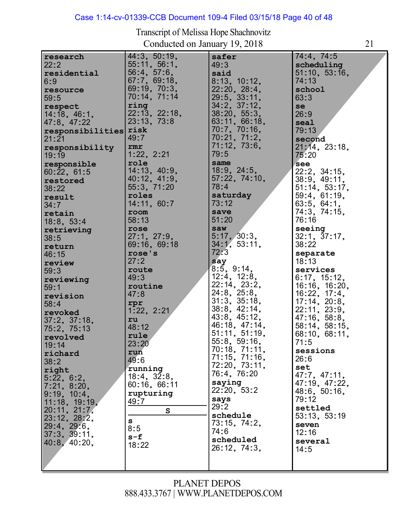#### Case 1:14-cv-01339-CCB Document 109-4 Filed 03/15/18 Page 40 of 48

Transcript of Melissa Hope Shachnovitz Conducted on January 19, 2018 21

| research           | 44:3, 50:19,  | safer              | 74:4, 74:5    |
|--------------------|---------------|--------------------|---------------|
| 22:2               | 55:11, 56:1,  | 49:3               | scheduling    |
| residential        | 56.4, 57.6,   | said               | 51:10, 53:16, |
| 6:9                | 67.7, 69.18,  | 8:13, 10:12,       | 74:13         |
|                    | 69:19, 70:3,  | 22:20, 28:4,       | school        |
| resource<br>59:5   | 70:14, 71:14  | 29:5, 33:11,       | 63:3          |
|                    | ring          |                    |               |
| respect            | 22:13, 22:18, | $34:2$ , $37:12$ , | se            |
| 14:18, 46:1,       |               | 38:20, 55:3,       | 26:9          |
| 47:8, 47:22        | 23:13, 73:8   | 63:11, 66:18,      | seal          |
| responsibilities   | risk          | 70:7, 70:16,       | 79:13         |
| 21:21              | 49:7          | 70:21, 71:2,       | second        |
| responsibility     | rmr           | 71:12, 73:6,       | 21.14, 23.18, |
| 19:19              | 1:22, 2:21    | 79:5               | 75:20         |
| responsible        | role          | same               | see           |
| 60:22, 61:5        | 14:13, 40:9,  | 18.9, 24.5,        | 22:2, 34:15,  |
| restored           | 40:12, 41:9,  | 57:22, 74:10,      | 38:9, 49:11,  |
| 38:22              | 55:3, 71:20   | 78:4               | 51:14, 53:17, |
| result             | roles         | saturday           | 59:4, 61:19,  |
| 34:7               | 14:11, 60:7   | 73:12              | 63:5, 64:1,   |
| retain             | room          | save               | 74:3, 74:15,  |
|                    | 58:13         | 51:20              | 76:16         |
| 18:8, 53:4         | rose          | saw                | seeing        |
| retrieving         | 27:1, 27:9,   | 5:17, 30:3,        | 32:1, 37:17,  |
| 38:5               |               |                    |               |
| return             | 69:16, 69:18  | 34:1, 53:11,       | 38:22         |
| 46:15              | rose's        | 72:3               | separate      |
| review             | 27:2          | say                | 18:13         |
| 59:3               | route         | 8:5, 9:14,         | services      |
| reviewing          | 49:3          | $12:4$ , $12:8$ ,  | 6:17, 15:12,  |
| 59:1               | routine       | 22:14, 23:2,       | 16:16, 16:20, |
| revision           | 47:8          | 24:8, 25:8,        | 16:22, 17:4,  |
| 58:4               | rpr           | 31:3, 35:18,       | 17:14, 20:8,  |
| revoked            | 1:22, 2:21    | 38:8, 42:14,       | 22:11, 23:9,  |
| $37:2$ , $37:18$ , | ru            | 43:8, 45:12,       | 47:16, 58:8,  |
| 75:2, 75:13        | 48:12         | 46:18, 47:14,      | 58:14, 58:15, |
| revolved           | rule          | 51:11, 51:19,      | 68:10, 68:11, |
|                    | 23:20         | 55:8, 59:16,       | 71:5          |
| 19:14              | run           | 70:18, 71:11,      | sessions      |
| richard            | 49:6          | 71:15, 71:16,      | 26:6          |
| 38:2               |               | 72:20, 73:11,      | set           |
| right              | running       | 76:4, 76:20        | 47:7, 47:11,  |
| 5.22, 6.2,         | 18:4, 32:8,   | saying             | 47:19, 47:22, |
| 7:21, 8:20,        | 60:16, 66:11  | 22:20, 53:2        | 48:6, 50:16,  |
| 9:19, 10:4,        | rupturing     | says               | 79:12         |
| 11:18, 19:19,      | 49:7          | 29:2               |               |
| 20:11, 21:7,       | $\mathbf{s}$  | schedule           | settled       |
| 23:12, 28:2,       | s             |                    | 53:13, 53:19  |
| 29:4, 29:6         | 8:5           | 73:15, 74:2,       | seven         |
| 37:3, 39:11,       | s-f           | 74:6               | 12:16         |
| 40:8, 40:20,       | 18:22         | scheduled          | several       |
|                    |               | 26:12, 74:3,       | 14:5          |
|                    |               |                    |               |
|                    |               |                    |               |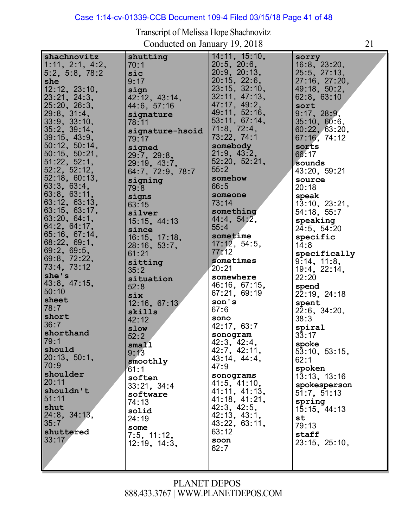#### Case 1:14-cv-01339-CCB Document 109-4 Filed 03/15/18 Page 41 of 48

**she**

24:8, 34:13,

24:19 **some**

7:5, 11:12, 12:19, 14:3,

**shuttered**

35:7

33:17

Transcript of Melissa Hope Shachnovitz Conducted on January 19, 2018 21 **shachnovitz** 1:11, 2:1, 4:2, 5:2, 5:8, 78:2 12:12, 23:10, 12:12, 23:10<br>23:21, 24:3,<br>25.22, 23.3 23:21, 24:3,<br>25:20, 26:3, 25:20, 26:3<br>29:8, 31:4,<br>22.2.22.42 33:9, 33:10, 35:2, 39:14, 39:15, 43:9, 50:12, 50:14, 50:12, 50:14,<br>50:15, 50:21, 51:22, 52:1, 51:22, 52:1,<br>52:2, 52:12,<br>53, 12, 33, 13 52:18, 60:13, 63:3, 63:4, 63:8, 63:11, 63:12, 63:13, 63:12, 63:13,<br>63:15, 63:17, 63:15, 63:17<br>63:20, 64:1,<br>24:2 63:20, 64:1,<br>64:2, 64:17,<br>e= 10, e= 11 65:16, 67:14, 68:22, 69:1, 69:2, 69:5, 69:8, 72:22, 73:4, 73:12 **she's** 43:8, 47:15, 50:10 **sheet** 78:7 **short** 36:7 **shorthand** 79:1 **should** 20:13, 50:1, 70:9 **shoulder** 20:11 **shouldn't** 51:11 **shut shutting** 70:1 **sic** 9:17 **sign sıgn**<br>42:12, 43:14,<br>*11* 2, 57, 12 42:12, 43:1<br>44:6, 57:16 **signature** 78:11 **signature-hsoid** 79:17 **signed** 29:7, 29:8, 29:19, 43:7, 64:7, 72:9, 78:7 **signing** 79:8 **signs** 63:15 **silver** 15:15, 44:13 **since** 16:15, 17:18, 28:16, 53:7, 61:21 **sitting** 35:2 **situation** 52:8 **six** 12:16, 67:13 **skills** 42:12 **slow** 52:2 **small** 9:13 **smoothly** 61:1 **soften** 33:21, 34:4 **software** 74:13 **solid**  $\frac{1}{14:11}$ , 15:10, 14:11, 15:1<br>20:5, 20:6,<br>20:00:40 20:9, 20:13, 20:9, 20:13,<br>20:15, 22:6,<br>22:45, 22:42 20:15, 22:0,<br>23:15, 32:10,<br>23:11, 17:12 32:11, 47:13, 32:11, 47:13<br>47:17, 49:2, 47:17, 49:2,<br>49:11, 52:16,<br>53.11, 37.11 49:11, 52:16,<br>53:11, 67:14,<br>71.2. 72 53:11, 67:1<br>71:8, 72:4,<br>73. 33. 71.1 71:0, 72:4,<br>73:22, 74:1 **somebody** 21:9, 43:2, 52:20, 52:21, 55:2 **somehow** 66:5 **someone** 73:14 **something** 44:4, 54:2, 55:4 **sometime** 17:12, 54:5, 77:12 **sometimes** 20:21 **somewhere** 46:16, 67:15, 67:21, 69:19 **son's** 67:6 **sono** 42:17, 63:7 **sonogram** 42:3, 42:4, 42:7, 42:11, 43:14, 44:4, 47:9 **sonograms** 41:5, 41:10, 41:5, 41:10,<br>41:11, 41:13,<br>... ... ... 3. 41:18, 41:21, 41:18, 41:2<br>42:3, 42:5,<br>43.43 42:3, 42:5,<br>42:13, 43:1,<br>*1*0.00.00.11 **sorry** 16:8, 23:20, 16:8, 23:20,<br>25:5, 27:13,<br>37:48 25:5, 27:13,<br>27:16, 27:20, 49:18, 50:2, 62:8, 63:10 **sort** 9:17, 28:9, 35:10, 60:6, 60:22, 63:20, ou.zz,os.zu<br>67:1<mark>6,</mark>74:12 **sorts** 66:17 **sounds** 43:20, 59:21 **source** 20:18 **speak** 13:10, 23:21, 54:18, 55:7 **speaking** 24:5, 54:20 **specific** 14:8 **specifically** 9:14, 11:8, 19:4, 22:14, 22:20 **spend** 22:19, 24:18 **spent** 22:6, 34:20, 38:3 **spiral** 33:17 **spoke** 53:10, 53:15, 62:1 **spoken** 13:13, 13:16 **spokesperson** 51:7, 51:13 **spring** 15:15, 44:13

# PLANET DEPOS 888.433.3767 | [WWW.PLANETDEPOS.COM](http://www.planetdepos.com/)

43:22, 63:11,

**st** 79:13 **staff**

23:15, 25:10,

63:12 **soon** 62:7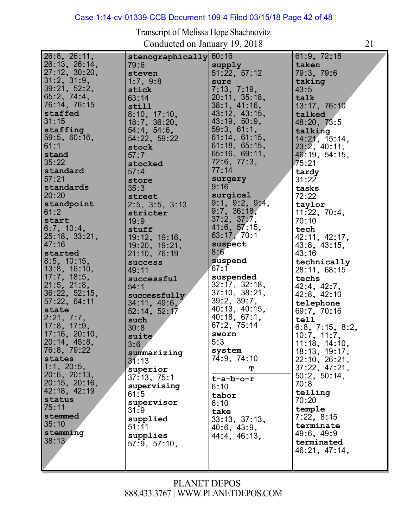#### Case 1:14-cv-01339-CCB Document 109-4 Filed 03/15/18 Page 42 of 48

| 26:8, 26:11,      | stenographically  | 60:16                             | 61:9, 72:18                    |
|-------------------|-------------------|-----------------------------------|--------------------------------|
| 26:13, 26:14,     | 79:6              | supply                            | taken                          |
| 27:12, 30:20,     | steven            | 51:22, 57:12                      | 79:3, 79:6                     |
| $31:2$ , $31:9$ , |                   |                                   |                                |
|                   | 1:7,9:8           | sure                              | taking                         |
| 39:21, 52:2,      | stick             | 7:13, 7:19,                       | 43:5                           |
| 65:2, 74:4,       | 63:14             | 20:11, 35:18,                     | talk                           |
| 76:14, 76:15      | still             | 38:1, 41:16,                      | 13:17, 76:10                   |
| staffed           | 8:10, 17:10,      | 43:12, 43:15,                     | talked                         |
| 31:15             | 18:7, 36:20,      | 43:19, 50:9,                      | 48:20, 73:5                    |
| staffing          | $54:4$ , $54:6$ , | 59:3, 61:1,                       | talking                        |
| 59:5, 60:16,      | 54:22, 59:22      | 61:14, 61:15,                     |                                |
| 61:1              |                   | 61:18, 65:15,                     | 14:21, 15:14,                  |
|                   | stock             |                                   | 23:2, 40:11,                   |
| stand             | 57:7              | 65:16, 69:11,                     | 46.19, 54.15,                  |
| 35:22             | stocked           | $72:6$ , $77:3$ ,                 | 75:21                          |
| standard          | 57:4              | 77:14                             | tardy                          |
| 57:21             | store             | surgery                           | 31:22                          |
| standards         | 35:3              | 9:16                              | tasks                          |
| 20:20             |                   | surgical                          | 72:22                          |
|                   | street            |                                   |                                |
| standpoint        | 2:5, 3:5, 3:13    | $9:1, 9:2, 9:4,$<br>$9:7, 36:18,$ | taylor                         |
| 61:2              | stricter          |                                   | 11:22, 70:4,                   |
| start             | 19:9              | 37:2, 37:7,                       | 70:10                          |
| 6:7, 10:4,        | stuff             | 41:6, 57:15,                      | tech                           |
| 25:18, 33:21,     | 19:12, 19:16,     | 63:17, 70:1                       | 42:11, 42:17,                  |
| 47:16             | 19:20, 19:21,     | suspect                           | 43:8, 43:15,                   |
| started           | 21:10, 76:19      | 8:6                               | 43:16                          |
|                   |                   |                                   |                                |
|                   |                   |                                   |                                |
| $8:5$ , 10:15,    | success           | suspend                           | technically                    |
| 13:8, 16:10,      | 49:11             | 67:1                              | 28:11, 68:15                   |
| 17:7, 18:5,       | successful        | suspended                         | techs                          |
| $21:5$ , $21:8$ , | 54:1              | 32:17, 32:18,                     | 42:4, 42:7,                    |
| 36:22, 52:15,     |                   | 37:10, 38:21,                     |                                |
|                   | successfully      | 39:2, 39:7,                       | $42:8$ , $42:10$               |
| 57:22, 64:11      | 34:11, 49:6,      |                                   | telephone                      |
| state             | 52:14, 52:17      | 40:13, 40:15,                     | 69:7, 70:16                    |
| 2:21, 7:7,        | such              | 40:18, 67:1,                      | tell                           |
| $17:8$ , $17:9$ , | 30:8              | 67:2, 75:14                       | 6:8, 7:15, 8:2,                |
| 17:16, 20:10,     | suite             | sworn                             | 10:7, 11:7,                    |
| 20:14, 45:8,      | 3:6               | 5:3                               | 11:18, 14:10,                  |
| 76:8, 79:22       |                   | system                            |                                |
| states            | summarizing       | 74:9, 74:10                       |                                |
| $1:1$ , $20:5$ ,  | 31:13             |                                   | 18:13, 19:17,<br>22:10, 26:21, |
|                   | superior          | т                                 | 37:22, 47:21,                  |
| 20:6, 20:13,      | 37:13, 75:1       | $t-a-b-o-r$                       | 50:2, 50:14,                   |
| 20:15, 20:16,     | supervising       | 6:10                              | 70:8                           |
| 42:18, 42:19      | 61:5              | tabor                             | telling                        |
| status            | supervisor        | 6:10                              | 70:20                          |
| 75:11             | 31:9              | take                              | temple                         |
| stemmed           | supplied          |                                   | 7:22, 8:15                     |
| 35:10             | 51:11             | 33:13, 37:13,                     | terminate                      |
| stemming          |                   | 40:6, 43:9,                       | 49:6, 49:9                     |
| 38:13             | supplies          | 44:4, 46:13,                      |                                |
|                   | 57:9, 57:10,      |                                   | terminated                     |
|                   |                   |                                   | 46:21, 47:14,                  |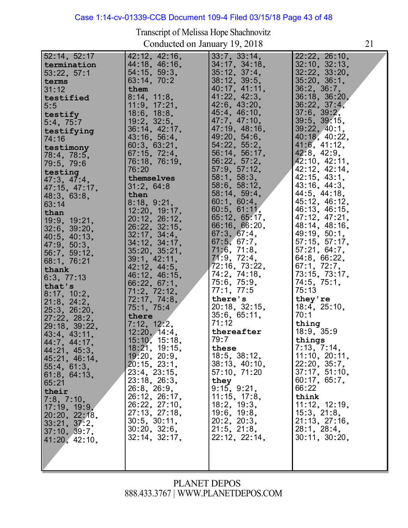#### Case 1:14-cv-01339-CCB Document 109-4 Filed 03/15/18 Page 43 of 48

Transcript of Melissa Hope Shachnovitz Conducted on January 19, 2018 21

| 52:14, 52:17               | 42:12, 42:16,       | 33:7, 33:14,       | 22:22, 26:10,      |
|----------------------------|---------------------|--------------------|--------------------|
| termination                | 44:18, 46:16,       | 34:17, 34:18,      | 32:10, 32:13,      |
| 53:22, 57:1                | 54:15, 59:3,        | 35:12, 37:4,       | 32.22, 33.20,      |
| terms                      | 63:14, 70:2         | 38:12, 39:5,       | 35:20, 36:1,       |
| 31:12                      | them                | 40:17, 41:11,      | 36:2, 36:7,        |
|                            | 8:14, 11:8,         | 41:22, 42:3,       | 36:18, 36:20,      |
| testified                  | 11:9, 17:21,        | $42:6$ , $43:20$ , | 36.22, 37.4,       |
| 5:5                        | $18:6$ , $18:8$ ,   | 45:4, 46:10,       | $37:6$ , $39:2$ ,  |
| testify                    |                     | 47:7, 47:10,       | $39:5$ , $39:15$ , |
| $5:4$ , $75:7$             | $19:2$ , $32:5$ ,   | 47:19, 48:16,      | 39:22, 40:1        |
| testifying                 | 36:14, 42:17,       |                    |                    |
| 74:16                      | 43:16, 56:4,        | 49:20, 54:6,       | 40:18, 40:22,      |
| testimony                  | 60:3, 63:21,        | 54:22, 55:2,       | 41:6, 41:12,       |
| 78:4, 78:5,                | 67:15, 72:4,        | 56:14, 56:17,      | $42:8$ , $42:9$ ,  |
| 79:5, 79:6                 | 76:18, 76:19,       | 56:22, 57:2,       | 42:10, 42:11,      |
| testing                    | 76:20               | 57:9, 57:12,       | 42:12, 42:14,      |
| 47:3, 47:4,                | themselves          | 58:1, 58:3,        | 42:15, 43:1,       |
| 47:15, 47:17,              | 31:2, 64:8          | 58:6, 58:12,       | $43:16$ , $44:3$ , |
| 48:3, 63:8,                | then                | 58:14, 59:4,       | 44:5, 44:18,       |
| 63:14                      | 8:18, 9:21,         | 60:1, 60:4,        | 45:12, 46:12,      |
| than                       | 12:20, 19:17,       | 60:5, 61:11.       | 46:13, 46:15,      |
| 19:9, 19:21,               | 20:12, 26:12,       | 65:12, 65:17,      | 47:12, 47:21,      |
| $32:6$ , $39:20$ ,         | 26:22, 32:15,       | 66:16, 66:20,      | 48:14, 48:16,      |
| 40:5, 40:13,               | $32:17$ , $34:4$ ,  | 67:3, 67:4,        | 49:19, 50:1,       |
| 47:9, 50:3,                | $34:12$ , $34:17$ , | 67:5, 67:7,        | 57:15, 57:17,      |
| 56:7, 59:12,               | 35:20, 35:21,       | 71:6, 71:8,        | 57:21, 64:7,       |
| 68:1, 76:21                | 39:1, 42:11,        | 71:9, 72:4,        | 64.8, 66.22,       |
| thank                      | 42:12, 44:5,        | 72:16, 73:22,      | 67:1, 72:7,        |
|                            | 46:12, 46:15,       | 74:2, 74:18,       | 73:15, 73:17,      |
| 6:3, 77:13                 | 66:22, 67:1,        | 75:6, 75:9,        | 74:5, 75:1,        |
| that's                     | 71:2, 72:12,        | 77.1, 77.5         | 75:13              |
| 8:17, 10:2.                | 72:17, 74:8,        | there's            | they're            |
| 21:8, 24:2,                | 75:1, 75:4          | 20:18, 32:15,      | 18:4, 25:10,       |
| 25:3, 26:20,               | there               | 35:6, 65:11,       | 70:1               |
| 27:22, 28:2,               | 7:12, 12:2,         | 71:12              | thing              |
| 29:18, 39:22,              | 12:20, 14:4,        | thereafter         | 18:9, 35:9         |
| $43:4$ , $43:11$ ,         | 15:10, 15:18,       | 79:7               | things             |
| 44:7, 44:17,               | 18:21, 19:15,       | these              | 7:13, 7:14,        |
| 44:21, 45:3,               |                     | 18:5, 38:12,       |                    |
| 45:21, 46:14,              | 19:20, 20:9,        |                    | 11:10, 20:11,      |
| 55:4, 61:3,                | 20:15, 23:1,        | 38.13, 40.10,      | 22:20, 35:7,       |
| 61:8, 64:13,               | 23.4, 23.15,        | 57:10, 71:20       | 37:17, 51:10,      |
| 65:21                      | 23:18, 26:3,        | they               | 60:17, 65:7,       |
| their                      | $26:8$ , $26:9$ ,   | 9:15, 9:21,        | 66:22              |
| 7:8, 7:10,                 | 26:12, 26:17,       | 11:15, 17:8,       | think              |
| 17:19, 19:9, 20:20, 22:18, | 26:22, 27:10,       | 18:2, 19:3,        | 11:12, 12:19,      |
|                            | 27:13, 27:18,       | 19:6, 19:8,        | 15:3, 21:8,        |
| 33:21, 37:2,               | $30:5$ , $30:11$ ,  | 20:2, 20:3,        | 21:13, 27:16,      |
| 37:10, 39:7,               | 30:20, 32:6,        | 21:5, 21:8,        | 28:1, 28:4,        |
| 41:20, 42:10,              | $32:14$ , $32:17$ , | 22:12, 22:14,      | 30:11, 30:20,      |
|                            |                     |                    |                    |
|                            |                     |                    |                    |
|                            |                     |                    |                    |
|                            |                     |                    |                    |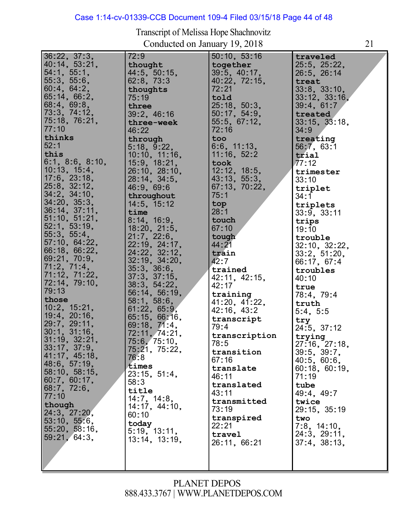#### Case 1:14-cv-01339-CCB Document 109-4 Filed 03/15/18 Page 44 of 48

Transcript of Melissa Hope Shachnovitz Conducted on January 19, 2018 21

| $36:22$ , $37:3$ ,<br>40:14, 53:21,<br>54:1, 55:1,<br>55:3, 55:6,<br>60:4, 64:2,<br>65:14, 66:2,<br>68:4, 69:8,<br>73:3, 74:12,<br>75:18, 76:21,<br>77:10<br>thinks<br>52:1<br>this<br>6:1, 8:6, 8:10,<br>10:13, 15:4,<br>17:6, 23:18,<br>25:8, 32:12,<br>34:2, 34:10,<br>34:20, 35:3,<br>36:14, 37:11,<br>51:10, 51:21,<br>52:1, 53:19,<br>55:3, 55:4,<br>57:10, 64:22,<br>66:18, 66:22,<br>69:21, 70:9,<br>71:2, 71:4,<br>71:12, 71:22,<br>72:14, 79:10,<br>79:13<br>those<br>10:2, 15:21,<br>19:4, 20:16,<br>29:7, 29:11,<br>30:1, 31:16,<br>31:19, 32:21,<br>33:17, 37:9,<br>41:17, 45:18,<br>48:6, 57:19,<br>58:10, 58:15,<br>60:7, 60:17,<br>68:7, 72:6,<br>77:10<br>though<br>24:3, 27:20,<br>53:10, 55:6,<br>55:20, 58:16,<br>59:21, 64:3, | 72:9<br>thought<br>44:5, 50:15,<br>62:8, 73:3<br>thoughts<br>75:19<br>three<br>39:2, 46:16<br>three-week<br>46:22<br>through<br>5:18, 9:22,<br>10:10, 11:16,<br>15:9, 18:21,<br>26:10, 28:10,<br>28:14, 34:5,<br>46:9, 69:6<br>throughout<br>14:5, 15:12<br>time<br>8:14, 16:9,<br>18:20, 21:5,<br>21.7, 22.6,<br>22.19, 24.17,<br>24:22, 32:12,<br>32:19, 34:20,<br>35:3, 36:6,<br>37:3, 37:15,<br>38:3, 54:22,<br>56:14, 56:19,<br>58:1, 58:6,<br>61:22, 65:9,<br>65:15, 66:16,<br>69:18, 71:4,<br>72:11, 74:21,<br>75:6, 75:10,<br>75:21, 75:22,<br>76:8<br>times<br>23:15, 51:4,<br>58:3<br>title<br>14:7, 14:8,<br>14:17, 44:10,<br>60:10<br>today<br>5:19, 13:11,<br>13:14, 13:19, | 50:10, 53:16<br>together<br>39:5, 40:17,<br>40:22, 72:15,<br>72:21<br>told<br>25:18, 50:3,<br>50:17, 54:9,<br>55:5, 67:12,<br>72:16<br>too<br>6:6, 11:13,<br>11:16, 52:2<br>took<br>12:12, 18:5,<br>43:13, 55:3,<br>67:13, 70:22,<br>75:1<br>top<br>28:1<br>touch<br>67:10<br>tough<br>44 : 21<br>train<br>42:7<br>trained<br>42:11, 42:15,<br>42:17<br>training<br>41:20, 41:22,<br>42:16, 43:2<br>transcript<br>79:4<br>transcription<br>78:5<br>transition<br>67:16<br>translate<br>46:11<br>translated<br>43:11<br>transmitted<br>73:19<br>transpired<br>22:21<br>travel<br>26:11, 66:21 | traveled<br>25:5, 25:22,<br>26:5, 26:14<br>treat<br>33:8, 33:10,<br>33:12, 33:16,<br>39:4, 61:7<br>treated<br>33:15, 33:18,<br>34:9<br>treating<br>56:7, 63:1<br>trial<br>77:12<br>trimester<br>33:10<br>triplet<br>34:1<br>triplets<br>33:9, 33:11<br>trips<br>19:10<br>trouble<br>32:10, 32:22,<br>33:2, 51:20,<br>66:17, 67:4<br>troubles<br>40:10<br>true<br>78:4, 79:4<br>truth<br>5:4, 5:5<br>try<br>24:5, 37:12<br>trying<br>27:16, 27:18,<br>39:5, 39:7,<br>40.5, 60.6,<br>60:18, 60:19,<br>71:19<br>tube<br>49:4, 49:7<br>twice<br>29:15, 35:19<br>two<br>7:8, 14:10,<br>24:3, 29:11,<br>37:4, 38:13, |
|----------------------------------------------------------------------------------------------------------------------------------------------------------------------------------------------------------------------------------------------------------------------------------------------------------------------------------------------------------------------------------------------------------------------------------------------------------------------------------------------------------------------------------------------------------------------------------------------------------------------------------------------------------------------------------------------------------------------------------------------------|------------------------------------------------------------------------------------------------------------------------------------------------------------------------------------------------------------------------------------------------------------------------------------------------------------------------------------------------------------------------------------------------------------------------------------------------------------------------------------------------------------------------------------------------------------------------------------------------------------------------------------------------------------------------------------------|----------------------------------------------------------------------------------------------------------------------------------------------------------------------------------------------------------------------------------------------------------------------------------------------------------------------------------------------------------------------------------------------------------------------------------------------------------------------------------------------------------------------------------------------------------------------------------------------|----------------------------------------------------------------------------------------------------------------------------------------------------------------------------------------------------------------------------------------------------------------------------------------------------------------------------------------------------------------------------------------------------------------------------------------------------------------------------------------------------------------------------------------------------------------------------------------------------------------|
|                                                                                                                                                                                                                                                                                                                                                                                                                                                                                                                                                                                                                                                                                                                                                    |                                                                                                                                                                                                                                                                                                                                                                                                                                                                                                                                                                                                                                                                                          |                                                                                                                                                                                                                                                                                                                                                                                                                                                                                                                                                                                              |                                                                                                                                                                                                                                                                                                                                                                                                                                                                                                                                                                                                                |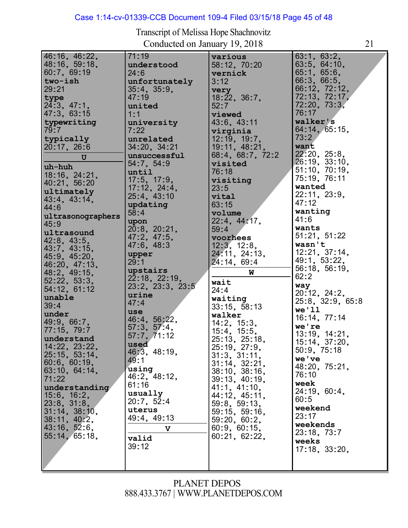# Case 1:14-cv-01339-CCB Document 109-4 Filed 03/15/18 Page 45 of 48

Transcript of Melissa Hope Shachnovitz Conducted on January 19, 2018 21

| 71:19<br>understood<br>24:6<br>unfortunately<br>$35:4$ , $35:9$ ,<br>47:19<br>united<br>1:1<br>university<br>7:22<br>unrelated<br>34:20, 34:21<br>unsuccessful                                                                                                                                                                                                                                         | various<br>58:12, 70:20<br>vernick<br>3:12<br>very<br>18:22, 36:7,<br>52:7<br>viewed<br>43:6, 43:11<br>virginia<br>12:19, 19:7,<br>19:11, 48:21,                                                                                                                                                                                                                                                                                 | 63:1, 63:2,<br>63:5, 64:10,<br>65.1, 65.6,<br>66:3, 66:5,<br>66:12, 72:12,<br>72:13, 72:17,<br>72.20, 73.3.<br>76:17<br>walker's<br>64:14, 65:15,<br>73:2<br>want                                                                                                                                                                                                                                                                                  |
|--------------------------------------------------------------------------------------------------------------------------------------------------------------------------------------------------------------------------------------------------------------------------------------------------------------------------------------------------------------------------------------------------------|----------------------------------------------------------------------------------------------------------------------------------------------------------------------------------------------------------------------------------------------------------------------------------------------------------------------------------------------------------------------------------------------------------------------------------|----------------------------------------------------------------------------------------------------------------------------------------------------------------------------------------------------------------------------------------------------------------------------------------------------------------------------------------------------------------------------------------------------------------------------------------------------|
| 54:7, 54:9<br>until<br>17:5, 17:9,<br>17:12, 24:4,<br>25:4, 43:10<br>updating<br>58:4<br>upon<br>20:8, 20:21.<br>47:2, 47:5,<br>47:6, 48:3<br>upper<br>29:1<br>upstairs<br>22:18, 22:19,<br>23:2, 23:3, 23:5<br>urine<br>47:4<br>use<br>46:4, 56:22,<br>57:3, 57:4,<br>57:7, 71:12<br>used<br>46:3, 48:19,<br>49:1<br>using<br>46:2, 48:12,<br>61:16<br>usually<br>20:7, 52:4<br>uterus<br>49:4, 49:13 | visited<br>76:18<br>visiting<br>23:5<br>vital<br>63:15<br>volume<br>22:4, 44:17<br>59:4<br>voorhees<br>12:3, 12:8,<br>24.11, 24:13,<br>24:14, 69:4<br>W<br>wait<br>24:4<br>waiting<br>33:15, 58:13<br>walker<br>14:2, 15:3,<br>15:4, 15:5,<br>25:13, 25:18,<br>25:19, 27:9,<br>31:3, 31:11,<br>31:14, 32:21,<br>38:10, 38:16,<br>39:13, 40:19,<br>41:1, 41:10,<br>44:12, 45:11,<br>59:8, 59:13,<br>59:15, 59:16,<br>59:20, 60:2, | 22.20, 25.8,<br>26:19, 33:10,<br>51:10, 70:19,<br>75:19, 76:11<br>wanted<br>22:11, 23:9,<br>47:12<br>wanting<br>41:6<br>wants<br>51:21, 51:22<br>wasn't<br>12:21, 37:14,<br>49:1, 53:22,<br>56:18, 56:19,<br>62:2<br>way<br>20:12, 24:2,<br>25:8, 32:9, 65:8<br>we'11<br>16:14, 77:14<br>we're<br>13:19, 14:21,<br>15:14, 37:20,<br>50:9, 75:18<br>we've<br>48:20, 75:21,<br>76:10<br>week<br>24:19, 60:4,<br>60:5<br>weekend<br>23:17<br>weekends |
| V<br>valid<br>39:12                                                                                                                                                                                                                                                                                                                                                                                    | 60.9, 60.15,<br>60:21, 62:22,                                                                                                                                                                                                                                                                                                                                                                                                    | 23.18, 73.7<br>weeks<br>$17:18$ , $33:20$ ,                                                                                                                                                                                                                                                                                                                                                                                                        |
|                                                                                                                                                                                                                                                                                                                                                                                                        |                                                                                                                                                                                                                                                                                                                                                                                                                                  | 68:4, 68:7, 72:2                                                                                                                                                                                                                                                                                                                                                                                                                                   |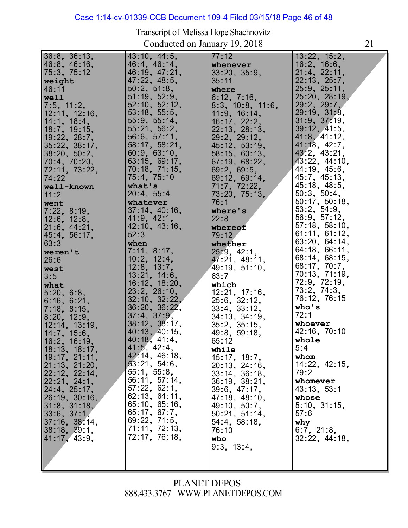# Case 1:14-cv-01339-CCB Document 109-4 Filed 03/15/18 Page 46 of 48

Transcript of Melissa Hope Shachnovitz Conducted on January 19, 2018 21

| $36:8$ , $36:13$ ,       | 43:10, 44:5,  | 77:12               | 13:22, 15:2,       |
|--------------------------|---------------|---------------------|--------------------|
| 46:8, 46:16,             | 46:4, 46:14,  | whenever            | $16:2$ , $16:6$ ,  |
| 75:3, 75:12              |               |                     | 21.4, 22.11,       |
|                          | 46:19, 47:21, | 33:20, 35:9,        |                    |
| weight                   | 47:22, 48:5,  | 35:11               | 22:13, 25:7,       |
| 46:11                    | 50:2, 51:8,   | where               | 25:9, 25:11,       |
| well                     | 51:19, 52:9,  | 6:12, 7:16,         | 25:20, 28:19,      |
|                          | 52:10, 52:12, |                     | 29.2, 29.7         |
| $\vert 7.5, 11.2, \vert$ |               | $8:3$ , 10:8, 11:6, |                    |
| 12:11, 12:16,            | 53:18, 55:5,  | 11:9, 16:14,        | 29:19, 31:8,       |
| 14:1, 18:4,              | 55:9, 55:14,  | 16:17, 22:2,        | 31:9, 37:19,       |
| 18:7, 19:15,             | 55:21, 56:2,  | 22:13, 28:13,       | 39:12, 41:5,       |
| 19:22, 28:7,             | 56:6, 57:11,  | 29:2, 29:12,        | 41.8, 41.12,       |
|                          |               |                     |                    |
| 35:22, 38:17,            | 58:17, 58:21, | 45:12, 53:19,       | 41:18, 42:7,       |
| 38:20, 50:2,             | 60:9, 63:10,  | 58:15, 60:13,       | $43:2$ , $43:21$ , |
| 70:4, 70:20,             | 63:15, 69:17, | 67:19, 68:22,       | 43:22, 44:10,      |
| 72:11, 73:22,            | 70:18, 71:15, | 69:2, 69:5,         | 44:19, 45:6,       |
|                          |               |                     | 45:7, 45:13,       |
| 74:22                    | 75:4, 75:10   | 69:12, 69:14,       |                    |
| well-known               | what's        | 71:7, 72:22,        | 45:18, 48:5,       |
| 11:2                     | 20:4, 55:4    | 73.20, 75.13,       | 50:3, 50:4,        |
| went                     | whatever      | 76:1                | 50:17, 50:18,      |
|                          | 37:14, 40:16, | where's             | 53:2, 54:9,        |
| 7:22, 8:19,              |               |                     |                    |
| 12:6, 12:8,              | 41:9, 42:1,   | 22:8                | 56:9, 57:12,       |
| 21:6, 44:21,             | 42:10, 43:16, | whereof             | 57:18, 58:10,      |
| 45:4, 56:17,             | 52:3          | 79:12               | 61:11, 61:12,      |
| 63:3                     | when          |                     | 63:20, 64:14,      |
|                          |               | whether             | 64:18, 66:11,      |
| weren't                  | 7:11, 8:17,   | 25:9, 42:1,         |                    |
| 26:6                     | 10:2, 12:4,   | 47:21, 48:11,       | 68:14, 68:15,      |
| west                     | 12:8, 13:7,   | 49:19, 51:10,       | 68:17, 70:7,       |
| 3:5                      | 13:21, 14:6,  | 63:7                | 70:13, 71:19,      |
|                          | 16:12, 18:20, |                     | 72:9, 72:19,       |
| what                     |               | which               |                    |
| 5:20, 6:8,               | 23:2, 26:10,  | 12:21, 17:16,       | 73.2, 74.3,        |
| 6:16, 6:21,              | 32:10, 32:22, | 25:6, 32:12,        | 76:12, 76:15       |
| 7:18, 8:15,              | 36:20, 36:22, | 33.4, 33.12,        | who's              |
|                          | 37:4, 37:9,   |                     | 72:1               |
| 8:20, 12:9,              |               | 34:13, 34:19,       |                    |
| 12:14, 13:19,            | 38:12, 38:17, | 35:2, 35:15,        | whoever            |
| 14:7, 15:6,              | 40:13, 40:15, | 49:8, 59:18,        | 42:16, 70:10       |
| $16:2$ , 16:19,          | 40:18, 41:4,  | 65:12               | whole              |
| 18:13, 18:17,            | 41:5, 42:4,   | while               | 5:4                |
|                          | 42:14, 46:18, |                     | whom               |
| 19:17, 21:11,            |               | 15:17, 18:7,        |                    |
| 21:13, 21:20,            | 53:21, 54:6,  | 20:13, 24:16,       | 14:22, 42:15,      |
| 22:12, 22:14,            | 55:1, 55:8,   | $33:14$ , $36:18$ , | 79:2               |
| 22:21, 24:1,             | 56:11, 57:14, | 36:19, 38:21,       | whomever           |
| 24:4, 25:17,             | 57:22, 62:1,  | 39.6, 47.17,        | 43:13, 53:1        |
|                          | 62:13, 64:11, |                     |                    |
| 26:19, 30:16,            |               | 47:18, 48:10,       | whose              |
| $31:8$ , $31:18$ ,       | 65:10, 65:16, | 49:10, 50:7,        | 5:10, 31:15        |
| 33:6, 37:1,              | 65:17, 67:7,  | 50:21, 51:14,       | 57:6               |
| 37:16, 38:14,            | 69:22, 71:5,  | 54:4, 58:18,        | why                |
|                          | 71:11, 72:13, |                     |                    |
| 38:18, 39:1,             |               | 76:10               | 6:7, 21:8,         |
| 41:17, 43:9,             | 72:17, 76:18, | who                 | 32.22, 44.18,      |
|                          |               | 9:3, 13:4,          |                    |
|                          |               |                     |                    |
|                          |               |                     |                    |
|                          |               |                     |                    |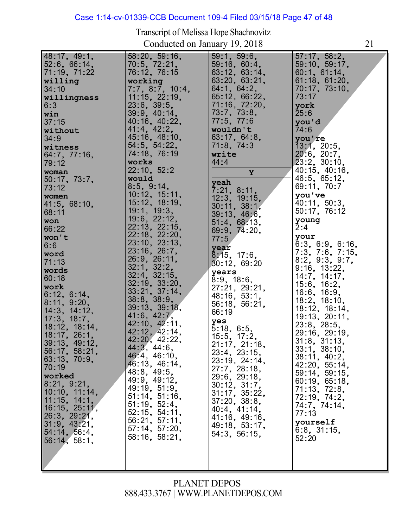#### Case 1:14-cv-01339-CCB Document 109-4 Filed 03/15/18 Page 47 of 48

Transcript of Melissa Hope Shachnovitz

Conducted on January 19, 2018 21 48:17, 49:1, 52:6, 66:14, 71:19, 71:22 **willing** 34:10 **willingness** 6:3 **win** 37:15 **without** 34:9 **witness** 64:7, 77:16, 79:12 **woman** 50:17, 73:7, 73:12 **women** 41:5, 68:10, 68:11 **won** 66:22 **won't** 6:6 **word** 71:13 **words** 60:18 **work work**<br>6:12, 6:14, 6:12, 6:14,<br>8:11, 9:20,<br>*11*.0. *11.1*0 14:3, 14:12, 17:3, 18:7, 17:3, 18:7,<br>18:12, 18:14, 18:17, 26:1, 39:13, 49:12, 56:17, 58:21, 63:13, 70:9, 70:19 **worked** 8:21, 9:21, 10:10, 11:14, 10:10, 11:14<br>11:15, 14:1,<br>*1*0.15, 05.11 11:15, 14:1,<br>16:15, 25:11, 16:15, 25:11<br>26:3, 29:21, 20:3, 29:21,<br>31:9, 43:21,<br>51:11:50 54:14, 56:4, 56:14, 58:1, 58:20, 59:16, 58:20, 59:10<br>70:5, 72:21,<br>73:18 76:12, 76:15 **working** 7:7, 8:7, 10:4, 11:15, 22:19, 11:15, 22:1<br>23:6, 39:5,<br>22:2 23:0, 39:0,<br>39:9, 40:14,<br>13:13: 13:03 40:16, 40:22, 40:16, 40:2<br>41:4, 42:2,<br>45.48 41:4, 42:2,<br>45:16, 48:10,<br>51.5 54:5, 54:22, 74:18, 76:19 **works** 22:10, 52:2 **would** 8:5, 9:14, 10:12, 15:11, 10:12, 15:11,<br>15:12, 18:19, 15:12, 18:1<br>19:1, 19:3, 19:1, 19:3,<br>19:6, 22:12,<br>23.18.23.15 22:13, 22:15, 22:13, 22:15,<br>22:18, 22:20, 22:16, 22:20,<br>23:10, 23:13, 23:10, 23:13<br>23:16, 26:7,<br>22.2 23:16, 26:7,<br>26:9, 26:11, 26:9, 26:11<br>32:1, 32:2, 32:1, 32:2,<br>32:4, 32:15,<br>33, 12, 33, 28 32:19, 33:20, 32:19, 33:20,<br>33:21, 37:14, 33:21, 37:1<br>38:8, 38:9, 39:13, 39:18, 41:6, 42:7, 42:10, 42:11, 42:10, 42:11,<br>42:12, 42:14,<br>48.88, 48.88 42:12, 42:14,<br>42:20, 42:22, 42:20, 42:2<br>44:3, 44:6,<br>43:4, 43:43 44:3, 44:0,<br>46:4, 46:10,<br>*1*0:40 46:13, 46:14, 48:8, 49:5, 49:9, 49:12, 49:19, 51:9, 51:14, 51:16, 51:14, 51:16<br>51:19, 52:4,<br>53, 15, 51, 11 51:19, 52:4,<br>52:15, 54:11,<br>53.34, 57.44 56:21, 57:11, 57:14, 57:20, 58:16, 58:21, 59:1, 59:6, 59:16, 60:4, 63:12, 63:14, 63:20, 63:21, 64:1, 64:2, 65:12, 66:22, 00:12, 00:22,<br>71:16, 72:20,<br>70:20 71:10, 72:2<br>73:7, 73:8,<br>-- - -- -*13:1*,73:6<br>77:5<sub>,</sub>77:6 **wouldn't** 63:17, 64:8, 71:8, 74:3 **write** 44:4 **Y yeah**<br>7:21, 8:11, 12:3, 19:15, 30:11, 38:1, 39:13, 46:6, 51:4, 68:13, 69:9, 74:20, 77:5 **year** 8:15, 17:6, 30:12, 69:20 **years** 8:9, 18:6, 27:21, 29:21, 48:16, 53:1, 56:18, 56:21, 66:19 **yes** 5:18, 6:5, 5:18, 6:5,<br>15:5, 17:2,<br>01:47 15:5, 17:2,<br>21:17, 21:18,<br>22:12 21:17, 21:16<br>23:4, 23:15,<br>23.18 23:4, 23:15,<br>23:19, 24:14,<br>27:7 23:19, 24:14<br>27:7, 28:18,<br>22:22:43 29:6, 29:18, 30:12, 31:7, 30:12, 31:7,<br>31:17, 35:22, 37:20, 38:8, 40:4, 41:14, 41:16, 49:16, 49:18, 53:17, 54:3, 56:15, 57:17, 58:2, 57:17,58:2,<br>59:10,59:17, 60:1, 61:14, 60:1, 61:14,<br>61:18, 61:20,<br>70:17, 70:10 61:18, 01:20,<br>70:17, 73:10,<br>70:17 73:17 **york** 25:6 **you'd** 74:6 **you're** 13:1, 20:5, 13:1, 20:5,<br>20:6, 20:7,<br>22:3 20:0, 20:7,<br>23:2, 30:10,<br>*1*0:45 40:15, 40:16, 46:5, 65:12, 69:11, 70:7 **you've** you've<br>40:11, 50:3,<br>--40:11, 50:3,<br>50:17, <mark>76:12</mark> **young** 2:4 **your** 6:3, 6:9, 6:16, 7:3, 7:6, 7:15, 8:2, 9:3, 9:7, 9:16, 13:22, 14:7, 14:17, 15:6, 16:2, 16:6, 16:9, 18:2, 18:10, 18:12, 18:14, 18:12, 18:14,<br>19:13, 20:11, 19:13, 20:1<br>23:8, 28:5,<br>22:42 23:8, 28:5,<br>29:16, 29:19,<br>21:2 29:16, 29:19<br>31:8, 31:13, 31:8, 31:13,<br>33:1, 38:10,<br>38:11, 40:2, 38:11, 40:2,<br>42:20, 55:14,<br>58.44, 58.45 42:20, 55:14,<br>59:14, 59:15,<br>00:10, 05:10 60:19, 65:18, 71:13, 72:8, 71:13, 72:8,<br>72:19, 74:2,<br>71:7 72:19, 74:2,<br>74:7, 74:14,<br>--77:13 **yourself** 6:8, 31:15, 52:20